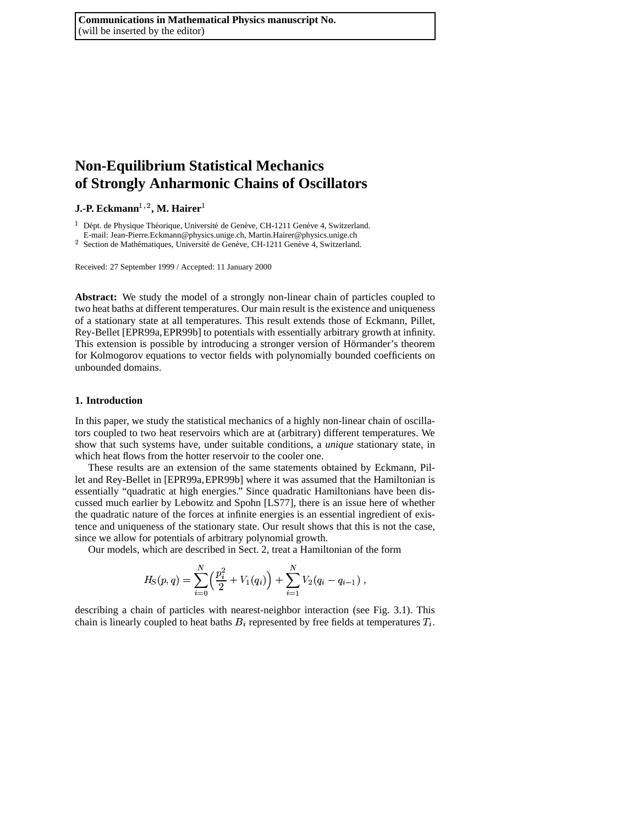# **Non-Equilibrium Statistical Mechanics of Strongly Anharmonic Chains of Oscillators**

**J.-P. Eckmann**- **, M. Hairer**

 $1$  Dépt. de Physique Théorique, Université de Genève, CH-1211 Genève 4, Switzerland.

E-mail: Jean-Pierre.Eckmann@physics.unige.ch, Martin.Hairer@physics.unige.ch

 $2$  Section de Mathématiques, Université de Genève, CH-1211 Genève 4, Switzerland.

Received: 27 September 1999 / Accepted: 11 January 2000

**Abstract:** We study the model of a strongly non-linear chain of particles coupled to two heat baths at different temperatures. Our main result is the existence and uniqueness of a stationary state at all temperatures. This result extends those of Eckmann, Pillet, Rey-Bellet [EPR99a,EPR99b] to potentials with essentially arbitrary growth at infinity. This extension is possible by introducing a stronger version of Hörmander's theorem for Kolmogorov equations to vector fields with polynomially bounded coefficients on unbounded domains.

## **1. Introduction**

In this paper, we study the statistical mechanics of a highly non-linear chain of oscillators coupled to two heat reservoirs which are at (arbitrary) different temperatures. We show that such systems have, under suitable conditions, a *unique* stationary state, in which heat flows from the hotter reservoir to the cooler one.

These results are an extension of the same statements obtained by Eckmann, Pillet and Rey-Bellet in [EPR99a, EPR99b] where it was assumed that the Hamiltonian is essentially "quadratic at high energies." Since quadratic Hamiltonians have been discussed much earlier by Lebowitz and Spohn [LS77], there is an issue here of whether the quadratic nature of the forces at infinite energies is an essential ingredient of existence and uniqueness of the stationary state. Our result shows that this is not the case, since we allow for potentials of arbitrary polynomial growth.

Our models, which are described in Sect. 2, treat a Hamiltonian of the form

$$
H_S(p,q) = \sum_{i=0}^N \left(\frac{p_i^2}{2} + V_1(q_i)\right) + \sum_{i=1}^N V_2(q_i - q_{i-1}),
$$

describing a chain of particles with nearest-neighbor interaction (see Fig. 3.1). This chain is linearly coupled to heat baths  $B_i$  represented by free fields at temperatures  $T_i$ .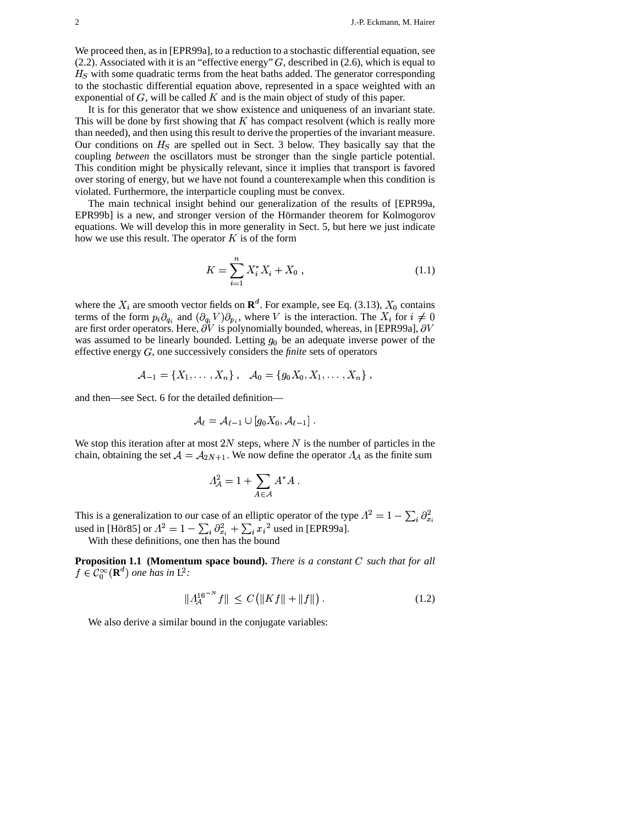We proceed then, as in [EPR99a], to a reduction to a stochastic differential equation, see (2.2). Associated with it is an "effective energy"  $G$ , described in (2.6), which is equal to  $H<sub>S</sub>$  with some quadratic terms from the heat baths added. The generator corresponding to the stochastic differential equation above, represented in a space weighted with an exponential of  $G$ , will be called  $K$  and is the main object of study of this paper.

It is for this generator that we show existence and uniqueness of an invariant state. This will be done by first showing that  $K$  has compact resolvent (which is really more than needed), and then using this result to derive the properties of the invariant measure. Our conditions on  $H<sub>S</sub>$  are spelled out in Sect. 3 below. They basically say that the coupling *between* the oscillators must be stronger than the single particle potential. This condition might be physically relevant, since it implies that transport is favored over storing of energy, but we have not found a counterexample when this condition is violated. Furthermore, the interparticle coupling must be convex.

The main technical insight behind our generalization of the results of [EPR99a, EPR99b] is a new, and stronger version of the Hörmander theorem for Kolmogorov equations. We will develop this in more generality in Sect. 5, but here we just indicate how we use this result. The operator  $K$  is of the form

$$
K = \sum_{i=1}^{n} X_i^* X_i + X_0 , \qquad (1.1)
$$

where the  $X_i$  are smooth vector fields on  $\mathbf{R}^d$ . For example, see Eq. (3.13),  $X_0$  contains terms of the form  $p_i \partial_q$ , and  $(\partial_q, V) \partial_q$ , where V is the interaction. The  $X_i$  for  $i \neq 0$ terms of the form  $p_i \partial_{q_i}$  and  $(\partial_{q_i} V) \partial_{p_i}$ , where V is the interaction. The X where the  $X_i$  are smooth vector fields on  $\mathbf{R}^d$ . For example, see Eq. (3.13),  $X_0$  contains terms of the form  $p_i \partial_{q_i}$  and  $(\partial_{q_i} V) \partial_{p_i}$ , where V is the interaction. The  $X_i$  for  $i \neq 0$  are first order opera are first order operators. Here,  $\partial V$  is polynomially bounded, whereas, in [EPR99a],  $\partial V$ was assumed to be linearly bounded. Letting  $q_0$  be an adequate inverse power of the effective energy  $G$ , one successively considers the *finite* sets of operators

$$
A_{-1} = \{X_1, \ldots, X_n\}, \quad A_0 = \{g_0 X_0, X_1, \ldots, X_n\},
$$

and then—see Sect. 6 for the detailed definition—

$$
\mathcal{A}_\ell=\mathcal{A}_{\ell-1}\cup[g_0X_0,\mathcal{A}_{\ell-1}]\ .
$$

We stop this iteration after at most 2N steps, where N is the number of particles in the chain, obtaining the set  $A = A_{2N+1}$ . We now define the operator  $A_{\mathcal{A}}$  as the finite sum

$$
\Lambda^2_{\mathcal{A}} = 1 + \sum_{A \in \mathcal{A}} A^* A \; .
$$

This is a generalization to our case of an elliptic operator of the type  $A^2 = 1 - \sum_i \partial_i$ <br>used in [Hör85] or  $A^2 = 1 - \sum_i \partial_i^2 + \sum_i x_i^2$  used in [EPR99a].  $\frac{1}{3}$  $\mathcal{L}(\mathcal{L})$ used in [Hör85] or  $\Lambda^2 = 1 - \sum_i \partial_{x_i}^2 + \sum_i x_i^2$  used in [EPR99a].

With these definitions, one then has the bound

**Proposition 1.1** (Momentum space bound). There is a constant C such that for all  $f \in \mathcal{C}_0^{\infty}(\mathbf{R}^d)$  one has in  $L^2$ :

$$
||A_A^{16^{-N}}f|| \le C(||Kf|| + ||f||). \tag{1.2}
$$

We also derive a similar bound in the conjugate variables: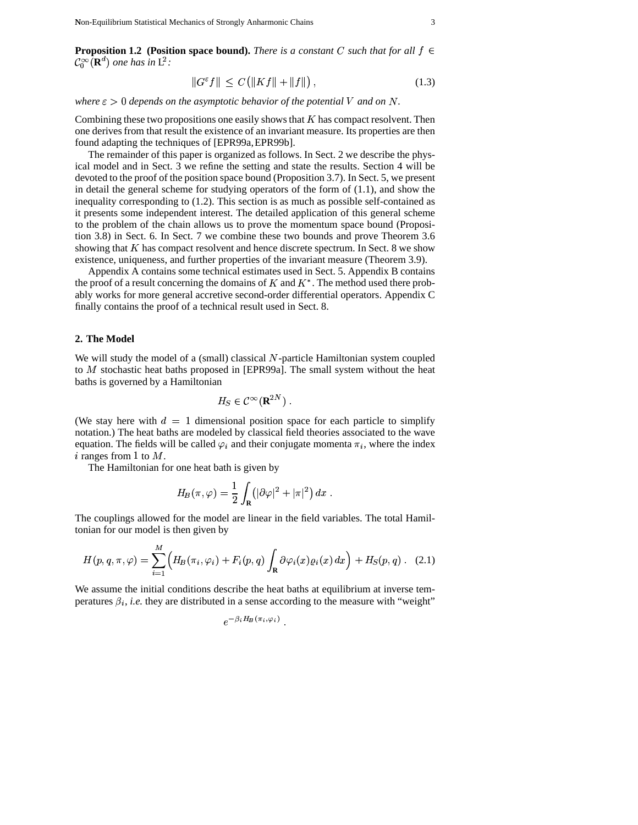**Proposition 1.2 (Position space bound).** *There is a constant* C such that for all  $f \in$  $\mathcal{C}_0^{\infty}(\mathbf{R}^d)$  one has in  $L^2$ :

$$
||G^{\varepsilon}f|| \le C(||Kf|| + ||f||), \qquad (1.3)
$$

*where*  $\varepsilon > 0$  *depends on the asymptotic behavior of the potential V and on N*.

Combining these two propositions one easily shows that  $K$  has compact resolvent. Then one derivesfrom that result the existence of an invariant measure. Its properties are then found adapting the techniques of [EPR99a,EPR99b].

The remainder of this paper is organized as follows. In Sect. 2 we describe the physical model and in Sect. 3 we refine the setting and state the results. Section 4 will be devoted to the proof of the position space bound (Proposition 3.7). In Sect. 5, we present in detail the general scheme for studying operators of the form of  $(1.1)$ , and show the inequality corresponding to (1.2). This section is as much as possible self-contained as it presents some independent interest. The detailed application of this general scheme to the problem of the chain allows us to prove the momentum space bound (Proposition 3.8) in Sect. 6. In Sect. 7 we combine these two bounds and prove Theorem 3.6 showing that  $K$  has compact resolvent and hence discrete spectrum. In Sect. 8 we show existence, uniqueness, and further properties of the invariant measure (Theorem 3.9).

Appendix A contains some technical estimates used in Sect. 5. Appendix B contains the proof of a result concerning the domains of  $K$  and  $K^*$ . The method used there probably works for more general accretive second-order differential operators. Appendix C finally contains the proof of a technical result used in Sect. 8.

# **2. The Model**

We will study the model of a (small) classical  $N$ -particle Hamiltonian system coupled to  $M$  stochastic heat baths proposed in [EPR99a]. The small system without the heat baths is governed by a Hamiltonian

$$
H_{\rm S} \in \mathcal{C}^{\infty}(\mathbf{R}^{2N}) \ .
$$

(We stay here with  $d = 1$  dimensional position space for each particle to simplify notation.) The heat baths are modeled by classical field theories associated to the wave equation. The fields will be called  $\varphi_i$  and their conjugate momenta  $\pi_i$ , where the index i ranges from 1 to  $M$ .

The Hamiltonian for one heat bath is given by

$$
H_B(\pi,\varphi)=\frac{1}{2}\int_{\mathbf{R}}\!\left(|\partial\varphi|^2+|\pi|^2\right)dx\;.
$$

The couplings allowed for the model are linear in the field variables. The total Hamiltonian for our model is then given by

$$
H(p,q,\pi,\varphi) = \sum_{i=1}^{M} \Big( H_B(\pi_i,\varphi_i) + F_i(p,q) \int_{\mathbf{R}} \partial \varphi_i(x) \varrho_i(x) dx \Big) + H_S(p,q) \quad (2.1)
$$

We assume the initial conditions describe the heat baths at equilibrium at inverse tem peratures  $\beta_i$ , *i.e.* they are distributed in a sense according to the measure with "weight"<br> $-\beta_i H_P(\pi_i, \omega_i)$ 

$$
e^{-\beta_i H_{\!\!B}(\pi_i,\varphi_i)}
$$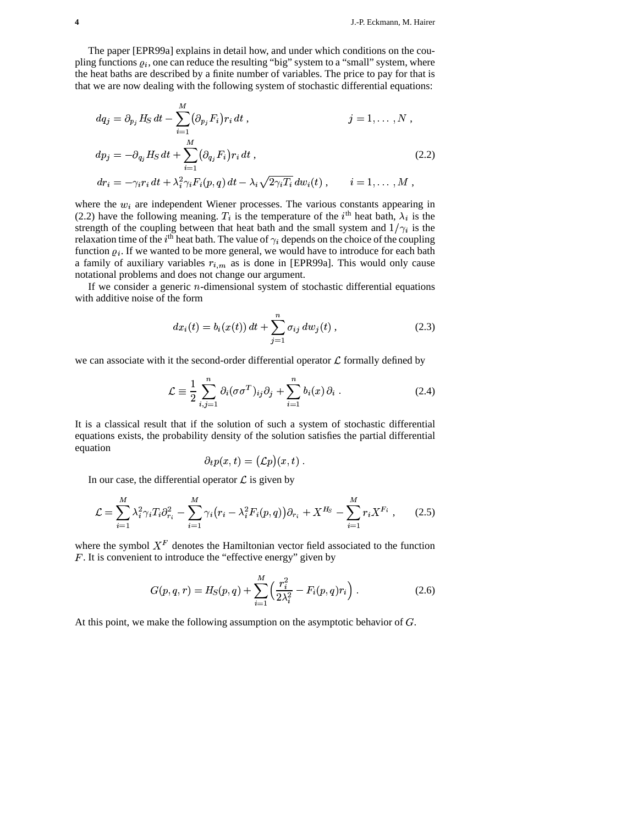The paper [EPR99a] explains in detail how, and under which conditions on the cou pling functions  $\varrho_i$ , one can reduce the resulting "big" system to a "small" system, where the heat baths are described by a finite number of variables. The price to pay for that is that we are now dealing with the following system of stochastic differential equations:

$$
dq_j = \partial_{p_j} H_S dt - \sum_{i=1}^M (\partial_{p_j} F_i) r_i dt , \qquad j = 1, \ldots, N ,
$$

$$
dp_j = -\partial_{q_j} H_S dt + \sum_{i=1}^M (\partial_{q_i} F_i) r_i dt,
$$
  
\n
$$
dr_i = -\gamma_i r_i dt + \lambda_i^2 \gamma_i F_i(p, q) dt - \lambda_i \sqrt{2\gamma_i T_i} dw_i(t), \qquad i = 1, ..., M.
$$
\n(2.2)

$$
dr_i = -\gamma_i r_i dt + \lambda_i^2 \gamma_i F_i(p,q) dt - \lambda_i \sqrt{2 \gamma_i T_i} dw_i(t) , \qquad i = 1, \ldots, M ,
$$

where the  $w_i$  are independent Wiener processes. The various constants appearing in (2.2) have the following meaning.  $T_i$  is the temperature of the  $i^{\text{th}}$  heat bath,  $\lambda_i$  is the strength of the coupling between that heat bath and the small system and  $1/\gamma_i$  is the strength of the coupling between that heat bath and the small system and  $1/\gamma_i$  is the relaxation time of the *i*<sup>th</sup> heat bath. The value of  $\gamma_i$  depends on the choice of the coupling function  $\rho_i$ . If we wanted to be more general, we would have to introduce for each bath a family of auxiliary variables  $r_{i,m}$  as is done in [EPR99a]. This would only cause notational problems and does not change our argument.

If we consider a generic  $n$ -dimensional system of stochastic differential equations with additive noise of the form

$$
dx_i(t) = b_i(x(t)) dt + \sum_{j=1}^n \sigma_{ij} dw_j(t) , \qquad (2.3)
$$

we can associate with it the second-order differential operator  $\mathcal L$  formally defined by

$$
\mathcal{L} \equiv \frac{1}{2} \sum_{i,j=1}^{n} \partial_i (\sigma \sigma^T)_{ij} \partial_j + \sum_{i=1}^{n} b_i(x) \partial_i.
$$
 (2.4)

It is a classical result that if the solution of such a system of stochastic differential equations exists, the probability density of the solution satisfies the partial differential equation

$$
\partial_t p(x,t) = (\mathcal{L}p)(x,t)
$$

In our case, the differential operator  $\mathcal L$  is given by

$$
\mathcal{L} = \sum_{i=1}^{M} \lambda_i^2 \gamma_i T_i \partial_{r_i}^2 - \sum_{i=1}^{M} \gamma_i (r_i - \lambda_i^2 F_i(p, q)) \partial_{r_i} + X^{H_S} - \sum_{i=1}^{M} r_i X^{F_i} , \qquad (2.5)
$$

where the symbol  $X^F$  denotes the Hamiltonian vector field associated to the function F. It is convenient to introduce the "effective energy" given by

$$
G(p,q,r) = H_S(p,q) + \sum_{i=1}^{M} \left( \frac{r_i^2}{2\lambda_i^2} - F_i(p,q)r_i \right).
$$
 (2.6)

At this point, we make the following assumption on the asymptotic behavior of  $G$ .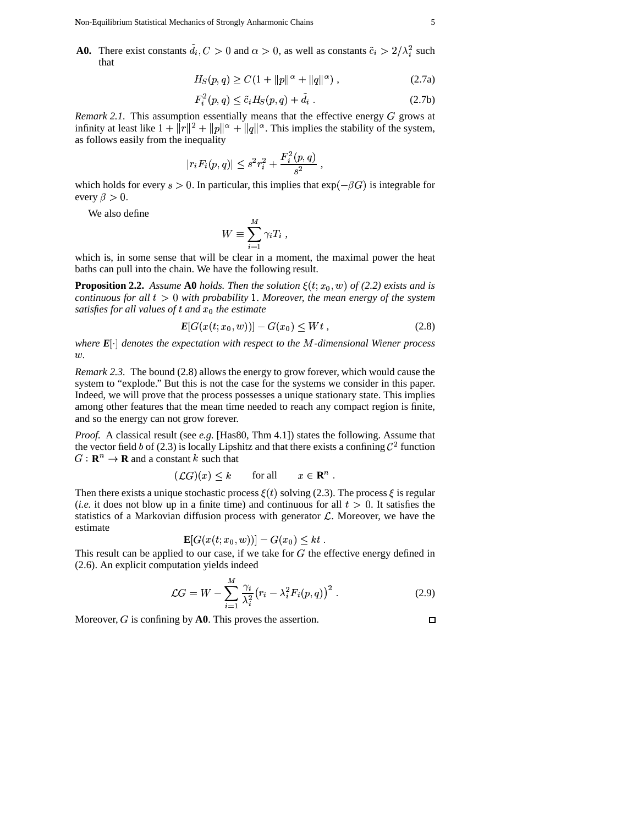**A0.** There exist constants  $d_i, C > 0$  and  $\alpha > 0$ , as well as constants  $\tilde{c}_i > 2/\lambda_i^2$  such  $\frac{2}{i}$  such that

$$
H_S(p,q) \ge C\left(1 + \|p\|^{\alpha} + \|q\|^{\alpha}\right),\tag{2.7a}
$$

$$
F_i^2(p,q) \le \tilde{c}_i H_S(p,q) + \tilde{d}_i \tag{2.7b}
$$

*Remark* 2.1. This assumption essentially means that the effective energy  $G$  grows at infinity at least like  $1 + ||r||^2 + ||p||^{\alpha}$ .  $+ ||p||^{\alpha} + ||q||^{\alpha}$ . This implies the stability of the system, as follows easily from the inequality

$$
|r_i F_i(p,q)| \leq s^2 r_i^2 + \frac{F_i^2(p,q)}{s^2} ,
$$

which holds for every  $s > 0$ . In particular, this implies that  $\exp$  $-\beta G$ ) is integrable for every  $\beta > 0$ .

We also define

$$
W \equiv \sum_{i=1}^{M} \gamma_i T_i ,
$$

which is, in some sense that will be clear in a moment, the maximal power the heat baths can pull into the chain. We have the following result.

**Proposition 2.2.** *Assume* **A0** *holds. Then the solution*  $\xi(t; x_0, w)$  *of* (2.2) *exists and is continuous* for all  $t > 0$  with probability 1. Moreover, the mean energy of the system *satisfies for all values of t and*  $x_0$  *the estimate*<br>  $E[G(x(t; x_0, w))] = G$ 

$$
E[G(x(t; x_0, w))] - G(x_0) \le Wt,
$$
\n(2.8)

*k*where  $E[\cdot]$  denotes the expectation with respect to the M-dimensional Wiener process £*.*

*Remark 2.3.* The bound (2.8) allows the energy to grow forever, which would cause the system to "explode." But this is not the case for the systems we consider in this paper. Indeed, we will prove that the process possesses a unique stationary state. This implies among other features that the mean time needed to reach any compact region is finite, and so the energy can not grow forever.

*Proof.* A classical result (see *e.g.* [Has80, Thm 4.1]) states the following. Assume that the vector field b of (2.3) is locally Lipshitz and that there exists a confining  $\mathcal{C}^2$  function  $G: \mathbb{R}^n \to \mathbb{R}$  and a constant k such that

$$
\mathcal{L}G)(x) \leq k \qquad \text{for all} \qquad x \in \mathbf{R}^n \; .
$$

Then there exists a unique stochastic process  $\xi(t)$  solving (2.3). The process  $\xi$  is regular (*i.e.* it does not blow up in a finite time) and continuous for all  $t > 0$ . It satisfies the statistics of a Markovian diffusion process with generator  $\mathcal{L}$ . Moreover, we have the estimate  $(x_0, w))$ ] – G  $C(x) < kt$ 

$$
\mathbf{E}[G(x(t; x_0, w))] - G(x_0) \leq kt
$$

This result can be applied to our case, if we take for  $G$  the effective energy defined in  $(2.6)$ . An explicit computation yields indeed

$$
\mathcal{L}G = W - \sum_{i=1}^{M} \frac{\gamma_i}{\lambda_i^2} \left( r_i - \lambda_i^2 F_i(p, q) \right)^2. \tag{2.9}
$$

<sup>F</sup>

Moreover,  $G$  is confining by  $A0$ . This proves the assertion.

 $\Box$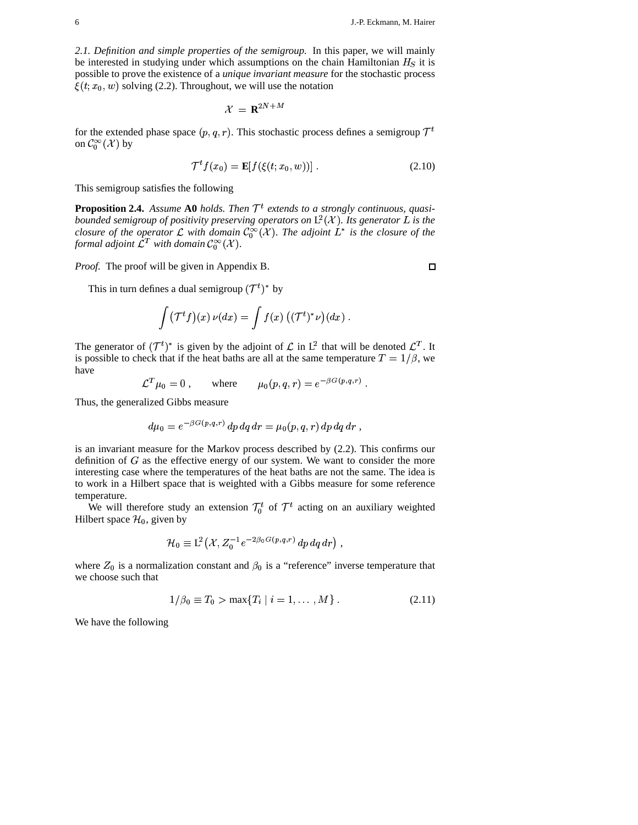2.1. Definition and simple properties of the semigroup. In this paper, we will mainly be interested in studying under which assumptions on the chain Hamiltonian  $H<sub>S</sub>$  it is possible to prove the existence of a *unique invariant measure* for the stochastic process  $\xi(t; x_0, w)$  solving (2.2). Throughout, we will use the notation

$$
\mathcal{X} = \mathbf{R}^{2N+M}
$$

for the extended phase space  $(p, q, r)$ . This stochastic process defines a semigroup  $\mathcal{T}^t$ on  $\mathcal{C}_0^{\infty}(\mathcal{X})$  by

$$
\mathcal{T}^t f(x_0) = \mathbf{E}[f(\xi(t; x_0, w))]. \qquad (2.10)
$$

This semigroup satisfies the following

**Proposition 2.4.** Assume A0 holds. Then  $\mathcal{T}^t$  extends to a strongly continuous, quasibounded semigroup of positivity preserving operators on  $L^2(\mathcal{X})$ . Its generator L is the closure of the operator L with domain  $\mathcal{C}_0^{\infty}(\mathcal{X})$ . The adjoint  $L^*$  is the closure of the formal adjoint  $\mathcal{L}^T$  with domain  $\mathcal{C}_0^{\infty}(\mathcal{X})$ .

Proof. The proof will be given in Appendix B.

This in turn defines a dual semigroup  $({\cal T}^t)^*$  by

$$
\int (\mathcal{T}^t f)(x) \nu(dx) = \int f(x) \left( (\mathcal{T}^t)^* \nu \right) (dx) .
$$

The generator of  $(\mathcal{T}^t)^*$  is given by the adjoint of  $\mathcal L$  in  $L^2$  that will be denoted  $\mathcal{L}^T$ . It is possible to check that if the heat baths are all at the same temperature  $T = 1/\beta$ , we have

$$
\mathcal{L}^T \mu_0 = 0 \,, \qquad \text{where} \qquad \mu_0(p,q,r) = e^{-\beta G(p,q,r)} \,.
$$

Thus, the generalized Gibbs measure

$$
d\mu_0 = e^{-\beta G(p,q,r)} dp dq dr = \mu_0(p,q,r) dp dq dr,
$$

is an invariant measure for the Markov process described by  $(2.2)$ . This confirms our definition of  $G$  as the effective energy of our system. We want to consider the more interesting case where the temperatures of the heat baths are not the same. The idea is to work in a Hilbert space that is weighted with a Gibbs measure for some reference temperature.

We will therefore study an extension  $\mathcal{T}_0^t$  of  $\mathcal{T}^t$  acting on an auxiliary weighted Hilbert space  $\mathcal{H}_0$ , given by

$$
\mathcal{H}_0 \equiv L^2(\mathcal{X}, Z_0^{-1}e^{-2\beta_0 G(p,q,r)}dp\,dq\,dr) ,
$$

where  $Z_0$  is a normalization constant and  $\beta_0$  is a "reference" inverse temperature that we choose such that

$$
1/\beta_0 \equiv T_0 > \max\{T_i \mid i = 1, ..., M\}.
$$
 (2.11)

We have the following

 $\Box$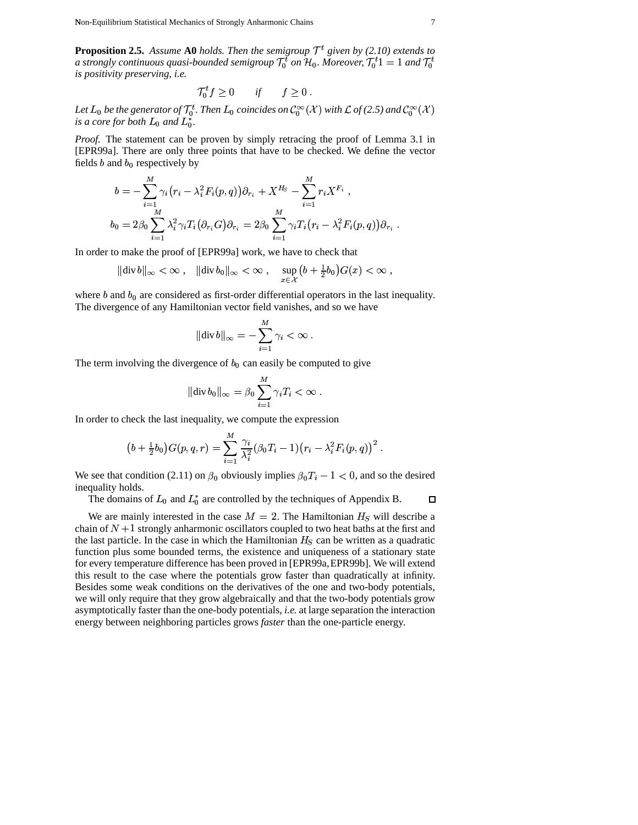**Proposition 2.5.** Assume A0 holds. Then the semigroup  $T<sup>t</sup>$  given by (2.10) extends to a strongly continuous quasi-bounded semigroup  $\mathcal{T}_0^t$  on  $\mathcal{H}_0$ . Moreover,  $\mathcal{T}_0^t$ 1 = 1 and  $\mathcal{T}_0^t$ is positivity preserving, i.e.

$$
T_0^t f \ge 0 \qquad \text{if} \qquad f \ge 0 \; .
$$

Let  $L_0$  be the generator of  $\mathcal{T}_0^t$ . Then  $L_0$  coincides on  $\mathcal{C}_0^{\infty}(\mathcal{X})$  with  $\mathcal{L}$  of (2.5) and  $\mathcal{C}_0^{\infty}(\mathcal{X})$ is a core for both  $L_0$  and  $L_0^*$ .

*Proof.* The statement can be proven by simply retracing the proof of Lemma 3.1 in [EPR99a]. There are only three points that have to be checked. We define the vector fields  $b$  and  $b_0$  respectively by

$$
b = -\sum_{i=1}^{M} \gamma_i (r_i - \lambda_i^2 F_i(p, q)) \partial_{r_i} + X^{H_S} - \sum_{i=1}^{M} r_i X^{F_i},
$$
  
\n
$$
b_0 = 2\beta_0 \sum_{i=1}^{M} \lambda_i^2 \gamma_i T_i (\partial_{r_i} G) \partial_{r_i} = 2\beta_0 \sum_{i=1}^{M} \gamma_i T_i (r_i - \lambda_i^2 F_i(p, q)) \partial_{r_i}
$$

In order to make the proof of [EPR99a] work, we have to check that

$$
\|\text{div}\,b\|_{\infty} < \infty\;, \quad \|\text{div}\,b_0\|_{\infty} < \infty\;, \quad \sup_{x \in \mathcal{X}} \left(b + \frac{1}{2}b_0\right)G(x) < \infty\;,
$$

where  $b$  and  $b_0$  are considered as first-order differential operators in the last inequality. The divergence of any Hamiltonian vector field vanishes, and so we have

$$
\|\text{div}\,b\|_{\infty} = -\sum_{i=1}^{M}\gamma_i < \infty.
$$

The term involving the divergence of  $b_0$  can easily be computed to give

$$
\|\text{div}\,b_0\|_{\infty}=\beta_0\sum_{i=1}^M\gamma_iT_i<\infty.
$$

In order to check the last inequality, we compute the expression

$$
(b + \frac{1}{2}b_0)G(p, q, r) = \sum_{i=1}^{M} \frac{\gamma_i}{\lambda_i^2} (\beta_0 T_i - 1)(r_i - \lambda_i^2 F_i(p, q))^2
$$

We see that condition (2.11) on  $\beta_0$  obviously implies  $\beta_0 T_i - 1 < 0$ , and so the desired inequality holds.

The domains of  $L_0$  and  $L_0^*$  are controlled by the techniques of Appendix B.  $\Box$ 

We are mainly interested in the case  $M = 2$ . The Hamiltonian  $H<sub>S</sub>$  will describe a chain of  $N+1$  strongly anharmonic oscillators coupled to two heat baths at the first and the last particle. In the case in which the Hamiltonian  $H<sub>S</sub>$  can be written as a quadratic function plus some bounded terms, the existence and uniqueness of a stationary state for every temperature difference has been proved in [EPR99a, EPR99b]. We will extend this result to the case where the potentials grow faster than quadratically at infinity. Besides some weak conditions on the derivatives of the one and two-body potentials, we will only require that they grow algebraically and that the two-body potentials grow asymptotically faster than the one-body potentials, *i.e.* at large separation the interaction energy between neighboring particles grows *faster* than the one-particle energy.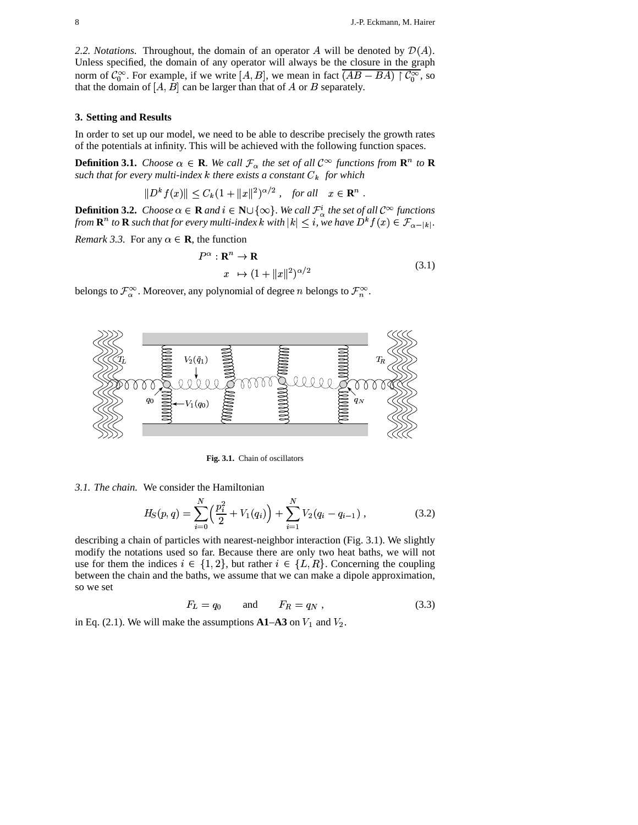2.2. Notations. Throughout, the domain of an operator A will be denoted by  $\mathcal{D}(A)$ . Unless specified, the domain of any operator will always be the closure in the graph norm of  $C_0^{\infty}$ . For example, if we write [A, B], we mean in fact  $\overline{(AB-BA)}$   $\upharpoonright C_0^{\infty}$ , so that the domain of  $[A, \hat{B}]$  can be larger than that of A or B separately.

# 3. Setting and Results

In order to set up our model, we need to be able to describe precisely the growth rates of the potentials at infinity. This will be achieved with the following function spaces.

**Definition 3.1.** Choose  $\alpha \in \mathbf{R}$ . We call  $\mathcal{F}_{\alpha}$  the set of all  $\mathcal{C}^{\infty}$  functions from  $\mathbf{R}^{n}$  to  $\mathbf{R}$ such that for every multi-index  $k$  there exists a constant  $C_k$  for which

$$
||Dk f(x)|| \le C_k (1 + ||x||^2)^{\alpha/2}, \quad \text{for all} \quad x \in \mathbb{R}^n
$$

**Definition 3.2.** Choose  $\alpha \in \mathbf{R}$  and  $i \in \mathbf{N} \cup \{\infty\}$ . We call  $\mathcal{F}^i_{\alpha}$  the set of all  $\mathcal{C}^{\infty}$  functions from  $\mathbf{R}^n$  to  $\mathbf{R}$  such that for every multi-index k with  $|k| \leq i$ , we have  $D^k f(x) \in \$ 

*Remark 3.3.* For any  $\alpha \in \mathbf{R}$ , the function

$$
P^{\alpha}: \mathbf{R}^{n} \to \mathbf{R}
$$
  

$$
x \mapsto (1 + ||x||^{2})^{\alpha/2}
$$
 (3.1)

belongs to  $\mathcal{F}_{\alpha}^{\infty}$ . Moreover, any polynomial of degree *n* belongs to  $\mathcal{F}_{n}^{\infty}$ .



Fig. 3.1. Chain of oscillators

3.1. The chain. We consider the Hamiltonian

$$
H_S(p,q) = \sum_{i=0}^{N} \left(\frac{p_i^2}{2} + V_1(q_i)\right) + \sum_{i=1}^{N} V_2(q_i - q_{i-1}), \qquad (3.2)
$$

describing a chain of particles with nearest-neighbor interaction (Fig. 3.1). We slightly modify the notations used so far. Because there are only two heat baths, we will not use for them the indices  $i \in \{1,2\}$ , but rather  $i \in \{L,R\}$ . Concerning the coupling between the chain and the baths, we assume that we can make a dipole approximation, so we set

$$
F_L = q_0 \qquad \text{and} \qquad F_R = q_N \,, \tag{3.3}
$$

in Eq. (2.1). We will make the assumptions  $A1-A3$  on  $V_1$  and  $V_2$ .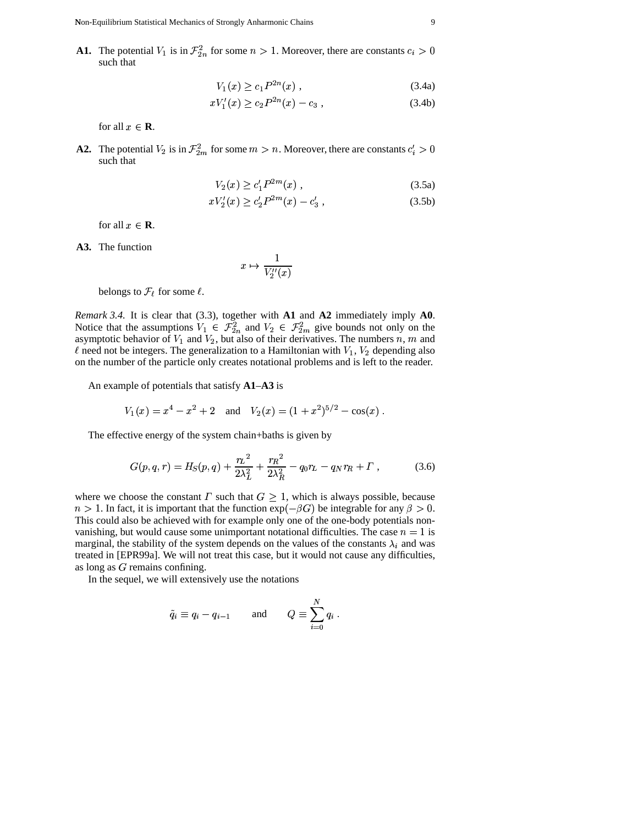**A1.** The potential  $V_1$  is in  $\mathcal{F}_{2n}^2$  for some  $n > 1$ . Moreover, there are constants  $c_i > 0$ such that

$$
V_1(x) \ge c_1 P^{2n}(x) \,, \tag{3.4a}
$$

$$
xV_1'(x) \ge c_2 P^{2n}(x) - c_3 \tag{3.4b}
$$

for all  $x \in \mathbf{R}$ . c**R**.

**A2.** The potential  $V_2$  is in  $\mathcal{F}_{2m}^2$  for some  $m > n$ . Moreover, there are constants  $c_i' > 0$ such that

$$
V_2(x) \ge c_1' P^{2m}(x) , \qquad (3.5a)
$$

$$
xV_2'(x) \ge c_2' P^{2m}(x) - c_3'
$$
\n(3.5b)

for all  $x \in \mathbf{R}$ . c**R**.

A3. The function

$$
x\mapsto \frac{1}{V_2''(x)}
$$

belongs to  $\mathcal{F}_{\ell}$  for some  $\ell$ .

*Remark 3.4.* It is clear that (3.3), together with **A1** and **A2** immediately imply **A0**. Notice that the assumptions  $V_1 \in \mathcal{F}_{2n}^2$  and  $V_2 \in \mathcal{F}_{2n}^2$  $n_n$  and  $V_2 \in \mathcal{F}_{2m}^2$  give bounds not only on the sum and asymptotic behavior of  $V_1$  and  $V_2$ , but also of their derivatives. The numbers  $n, m$  and  $\ell$  need not be integers. The generalization to a Hamiltonian with  $V_1$ ,  $V_2$  depending also on the number of the particle only creates notational problems and is left to the reader.

An example of potentials that satisfy **A1**–**A3** is

$$
V_1(x) = x^4 - x^2 + 2
$$
 and  $V_2(x) = (1 + x^2)^{5/2} - \cos(x)$ .

The effective energy of the system chain+baths is given by

$$
G(p,q,r) = H_S(p,q) + \frac{r_L^2}{2\lambda_L^2} + \frac{r_R^2}{2\lambda_R^2} - q_0r_L - q_Nr_R + \Gamma , \qquad (3.6)
$$

where we choose the constant  $\Gamma$  such that  $G \geq 1$ , which is always possible, because  $n > 1$ . In fact, it is important that the function  $\exp(-\beta G)$  be integrable for any  $\beta > 0$ . This could also be achieved with for example only one of the one-body potentials nonvanishing, but would cause some unimportant notational difficulties. The case  $n = 1$  is marginal, the stability of the system depends on the values of the constants  $\lambda_i$  and was treated in [EPR99a]. We will not treat this case, but it would not cause any difficulties, as long as  $G$  remains confining.

In the sequel, we will extensively use the notations

$$
\tilde{q}_i \equiv q_i - q_{i-1} \qquad \text{and} \qquad Q \equiv \sum_{i=0}^N q_i \; .
$$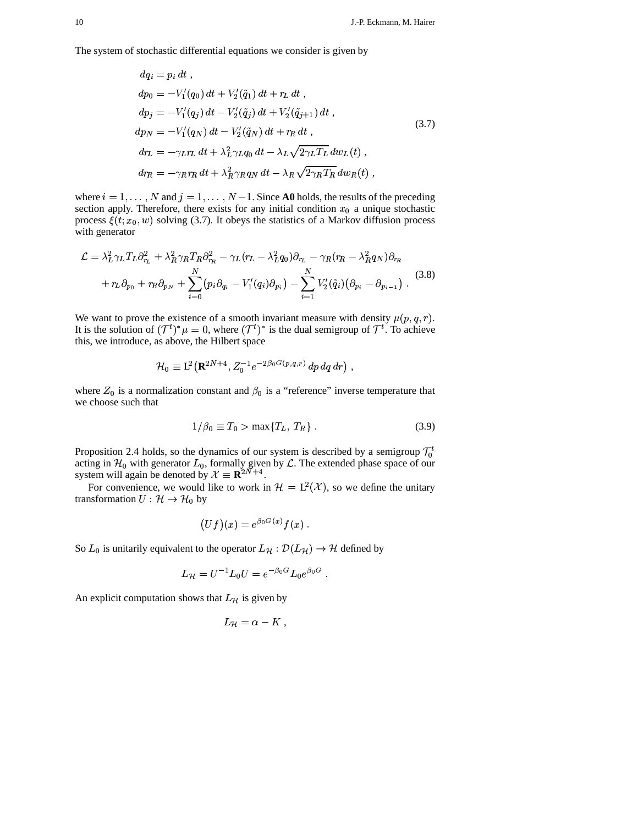The system of stochastic differential equations we consider is given by

$$
dq_{i} = p_{i} dt ,
$$
  
\n
$$
dp_{0} = -V'_{1}(q_{0}) dt + V'_{2}(\tilde{q}_{1}) dt + r_{L} dt ,
$$
  
\n
$$
dp_{j} = -V'_{1}(q_{j}) dt - V'_{2}(\tilde{q}_{j}) dt + V'_{2}(\tilde{q}_{j+1}) dt ,
$$
  
\n
$$
dp_{N} = -V'_{1}(q_{N}) dt - V'_{2}(\tilde{q}_{N}) dt + r_{R} dt ,
$$
  
\n
$$
dr_{L} = -\gamma_{L}r_{L} dt + \lambda_{L}^{2}\gamma_{L}q_{0} dt - \lambda_{L}\sqrt{2\gamma_{L}T_{L}} dw_{L}(t) ,
$$
  
\n
$$
dr_{R} = -\gamma_{R}r_{R} dt + \lambda_{R}^{2}\gamma_{R}q_{N} dt - \lambda_{R}\sqrt{2\gamma_{R}T_{R}} dw_{R}(t) ,
$$
\n(3.7)

where  $i = 1, ..., N$  and  $j = 1, ..., N - 1$ . Since **A0** holds, the results of the preceding section apply. Therefore, there exists for any initial condition  $x_0$  a unique stochastic process  $\xi(t; x_0, w)$  solving (3.7). It obeys the statistics of a Markov diffusion process with generator

$$
\mathcal{L} = \lambda_L^2 \gamma_L T_L \partial_{\tau_L}^2 + \lambda_R^2 \gamma_R T_R \partial_{\tau_R}^2 - \gamma_L (r_L - \lambda_L^2 q_0) \partial_{\tau_L} - \gamma_R (r_R - \lambda_R^2 q_N) \partial_{\tau_R} + r_L \partial_{p_0} + r_R \partial_{p_N} + \sum_{i=0}^N (p_i \partial_{q_i} - V'_1(q_i) \partial_{p_i}) - \sum_{i=1}^N V'_2(\tilde{q}_i) (\partial_{p_i} - \partial_{p_{i-1}}).
$$
 (3.8)

We want to prove the existence of a smooth invariant measure with density  $\mu(p,q,r)$ . It is the solution of  $(\mathcal{T}^t)^*\mu = 0$ , where  $(\mathcal{T}^t)^*$  is the dual semigroup of  $\mathcal{T}^t$ . To achieve this, we introduce, as above, the Hilbert space

$$
\mathcal{H}_0 \equiv \mathrm{L}^2\big(\mathbf{R}^{2N+4}, Z_0^{-1}e^{-2\beta_0 G(p,q,r)}\,dp\,dq\,dr\big)
$$

where  $Z_0$  is a normalization constant and  $\beta_0$  is a "reference" inverse temperature that we choose such that

$$
1/\beta_0 \equiv T_0 > \max\{T_L, T_R\} \,. \tag{3.9}
$$

Proposition 2.4 holds, so the dynamics of our system is described by a semigroup  $\mathcal{T}_0^t$ acting in  $\mathcal{H}_0$  with generator  $L_0$ , formally given by  $\mathcal{L}$ . The extended phase space of our system will again be denoted by  $\mathcal{X} \equiv \mathbf{R}^{2N+4}$ .

For convenience, we would like to work in  $\mathcal{H} = L^2(\mathcal{X})$ , so we define the unitary transformation  $U: \mathcal{H} \to \mathcal{H}_0$  by

$$
\big(Uf\big)(x)=e^{\beta_0 G(x)}f(x)
$$

So  $L_0$  is unitarily equivalent to the operator  $L_{\mathcal{H}} : \mathcal{D}(L_{\mathcal{H}}) \to \mathcal{H}$  defined by

$$
L_{\mathcal{H}} = U^{-1} L_0 U = e^{-\beta_0 G} L_0 e^{\beta_0 G}
$$

An explicit computation shows that  $L_{\mathcal{H}}$  is given by

$$
L_{\mathcal{H}}=\alpha-K\ ,
$$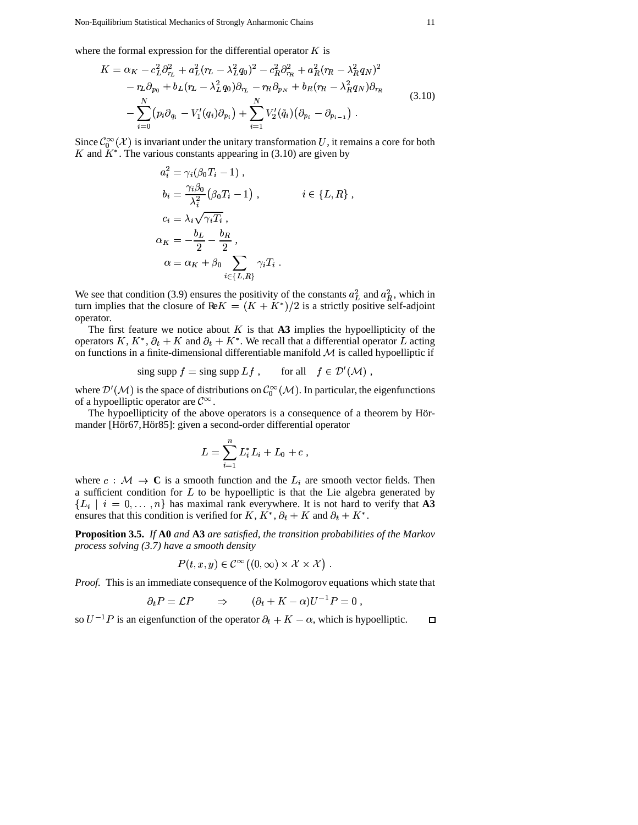where the formal expression for the differential operator  $K$  is

$$
K = \alpha_K - c_L^2 \partial_{r_L}^2 + a_L^2 (r_L - \lambda_L^2 q_0)^2 - c_R^2 \partial_{r_R}^2 + a_R^2 (r_R - \lambda_R^2 q_N)^2
$$
  

$$
- r_L \partial_{p_0} + b_L (r_L - \lambda_L^2 q_0) \partial_{r_L} - r_R \partial_{p_N} + b_R (r_R - \lambda_R^2 q_N) \partial_{r_R}
$$
  

$$
- \sum_{i=0}^N (p_i \partial_{q_i} - V'_1(q_i) \partial_{p_i}) + \sum_{i=1}^N V'_2(\tilde{q}_i) (\partial_{p_i} - \partial_{p_{i-1}}).
$$
 (3.10)

Since  $\mathcal{C}_0^{\infty}(\mathcal{X})$  is invariant under the unitary transformation  $U,$  it remains a core for both K and  $K^*$ . The various constants appearing in (3.10) are given by

$$
a_i^2 = \gamma_i(\beta_0 T_i - 1),
$$
  
\n
$$
b_i = \frac{\gamma_i \beta_0}{\lambda_i^2} (\beta_0 T_i - 1), \qquad i \in \{L, R\},
$$
  
\n
$$
c_i = \lambda_i \sqrt{\gamma_i T_i},
$$
  
\n
$$
\alpha_K = -\frac{b_L}{2} - \frac{b_R}{2},
$$
  
\n
$$
\alpha = \alpha_K + \beta_0 \sum_{i \in \{L, R\}} \gamma_i T_i.
$$

We see that condition (3.9) ensures the positivity of the constants  $a<sub>L</sub><sup>2</sup>$  and  $a<sub>R</sub><sup>2</sup>$ , which in turn implies that the closure of  $\text{Re}K = (K + K^*)/2$  is a strictly positive self-adjoint operator.

The first feature we notice about  $K$  is that  $\mathbf{A3}$  implies the hypoellipticity of the operators K,  $K^*$ ,  $\partial_t + K$  and  $\partial_t + K^*$ . We recall that a differential operator L acting on functions in a finite-dimensional differentiable manifold  $M$  is called hypoelliptic if

$$
\text{sing supp } f = \text{sing supp } Lf \,, \qquad \text{for all} \quad f \in \mathcal{D}'(\mathcal{M}) \,,
$$

where  $\mathcal{D}'(\mathcal{M})$  is the space of distributions on  $\mathcal{C}_0^{\infty}(\mathcal{M})$ . In particular, the eigenfunctions of a hypoelliptic operator are  $\mathcal{C}^{\infty}$ .

The hypoellipticity of the above operators is a consequence of a theorem by Hörmander [Hör67, Hör85]: given a second-order differential operator

$$
L = \sum_{i=1}^{n} L_i^* L_i + L_0 + c
$$

where  $c : \mathcal{M} \to \mathbf{C}$  is a smooth function and the  $L_i$  are smooth vector fields. Then a sufficient condition for  $L$  to be hypoelliptic is that the Lie algebra generated by  ${L_i \mid i = 0, \ldots, n}$  has maximal rank everywhere. It is not hard to verify that A3 ensures that this condition is verified for K,  $K^*$ ,  $\partial_t + K$  and  $\partial_t + K^*$ .

**Proposition 3.5.** If A0 and A3 are satisfied, the transition probabilities of the Markov process solving  $(3.7)$  have a smooth density

$$
P(t, x, y) \in \mathcal{C}^{\infty}((0, \infty) \times \mathcal{X} \times \mathcal{X})
$$

*Proof.* This is an immediate consequence of the Kolmogorov equations which state that

$$
\partial_t P = \mathcal{L} P \qquad \Rightarrow \qquad (\partial_t + K - \alpha) U^{-1} P = 0
$$

so  $U^{-1}P$  is an eigenfunction of the operator  $\partial_t + K - \alpha$ , which is hypoelliptic.  $\Box$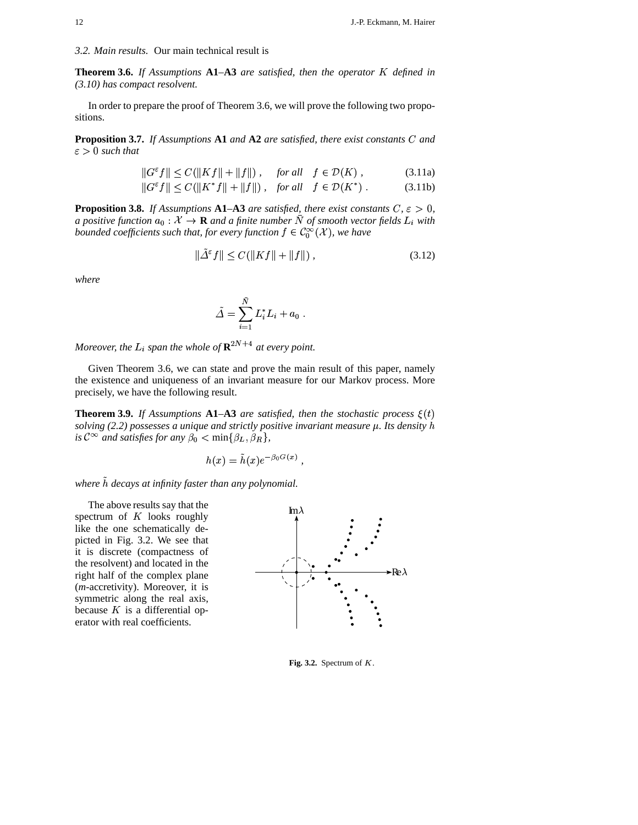**Theorem 3.6.** *If Assumptions* **A1***–***A3** *are satisfied, then the operator* <sup>+</sup> *defined in (3.10) has compact resolvent.*

In order to prepare the proof of Theorem 3.6, we will prove the following two propositions.

**Proposition 3.7.** If Assumptions A1 and A2 are satisfied, there exist constants C and  $\varepsilon > 0$  such that

$$
||G^{\varepsilon}f|| \le C(||Kf|| + ||f||), \quad \text{for all} \quad f \in \mathcal{D}(K), \tag{3.11a}
$$

$$
||G^{\varepsilon}f|| \le C(||K^*f|| + ||f||), \quad \text{for all} \quad f \in \mathcal{D}(K^*).
$$
 (3.11b)

**Proposition 3.8.** *If Assumptions* **A1–A3** *are satisfied, there exist constants*  $C, \varepsilon > 0$ , *a* positive function  $a_0: \mathcal{X} \to \mathbf{R}$  and a finite number N of smooth vector fields  $L_i$  with *bounded coefficients such that, for every function*  $f \in C_0^\infty(\mathcal{X})$ *, we have* 

$$
\|\tilde{\Delta}^{\varepsilon}f\| \le C(\|Kf\| + \|f\|) \,,\tag{3.12}
$$

*where*

$$
\tilde{\Delta} = \sum_{i=1}^{\bar{N}} L_i^* L_i + a_0.
$$

*Moreover, the*  $L_i$  *span the whole of*  $\mathbf{R}^{2N+4}$  *at every point.* 

Given Theorem 3.6, we can state and prove the main result of this paper, namely the existence and uniqueness of an invariant measure for our Markov process. More precisely, we have the following result.

**Theorem 3.9.** *If Assumptions*  $A1-A3$  *are satisfied, then the stochastic process*  $\xi(t)$ *solving (2.2) possesses a unique and strictly positive invariant measure . Its density is*  $C^{\infty}$  *and satisfies for any*  $\beta_0 < \min\{\beta_L, \beta_R\},$ 

$$
\lim_{h(x) = \tilde{h}(x)e^{-\beta_0 G(x)}}
$$

*where*  $\tilde{h}$  *decays at infinity faster than any polynomial.* 

The above results say that the spectrum of  $K$  looks roughly like the one schematically depicted in Fig. 3.2. We see that it is discrete (compactness of the resolvent) and located in the right half of the complex plane (*m*-accretivity). Moreover, it is symmetric along the real axis, because  $K$  is a differential operator with real coefficients.



*,*

Fig. 3.2. Spectrum of  $K$ .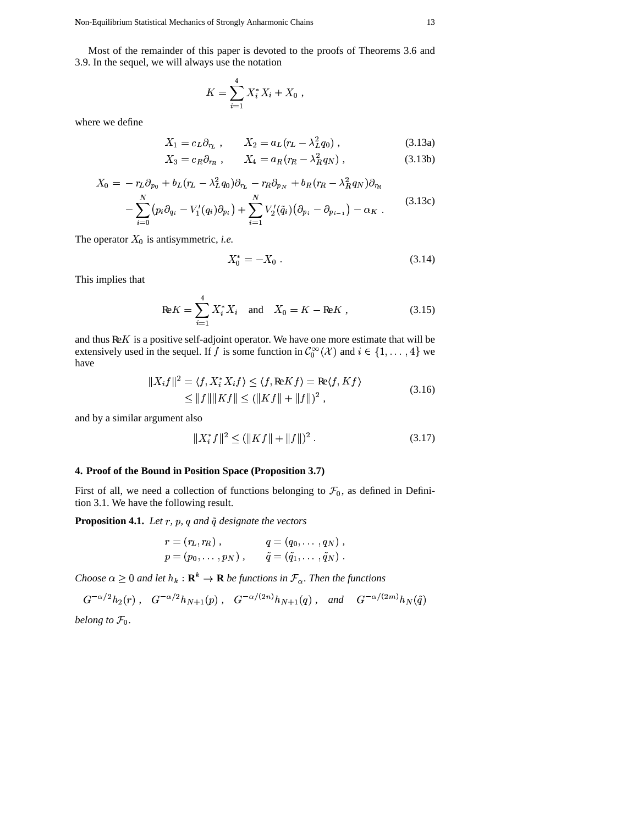Most of the remainder of this paper is devoted to the proofs of Theorems 3.6 and 3.9. In the sequel, we will always use the notation

$$
K = \sum_{i=1}^{4} X_i^* X_i + X_0 ,
$$

where we define

$$
X_1 = c_L \partial_{r_L} , \qquad X_2 = a_L (r_L - \lambda_L^2 q_0) , \qquad (3.13a)
$$

$$
X_3 = c_R \partial_{r_R} , \qquad X_4 = a_R (r_R - \lambda_R^2 q_N) , \qquad (3.13b)
$$

$$
X_0 = -r_L \partial_{p_0} + b_L (r_L - \lambda_L^2 q_0) \partial_{r_L} - r_R \partial_{p_N} + b_R (r_R - \lambda_R^2 q_N) \partial_{r_R} - \sum_{i=0}^N (p_i \partial_{q_i} - V'_1(q_i) \partial_{p_i}) + \sum_{i=1}^N V'_2(\tilde{q}_i) (\partial_{p_i} - \partial_{p_{i-1}}) - \alpha_K.
$$
 (3.13c)

The operator  $X_0$  is antisymmetric, *i.e.* 

$$
X_0^* = -X_0 \tag{3.14}
$$

This implies that

$$
\text{Re}K = \sum_{i=1}^{4} X_i^* X_i \quad \text{and} \quad X_0 = K - \text{Re}K \tag{3.15}
$$

and thus  $\mathbb{R}E K$  is a positive self-adjoint operator. We have one more estimate that will be extensively used in the sequel. If f is some function in  $C_0^{\infty}(\mathcal{X})$  and  $i \in \{1, ..., 4\}$  we have

$$
||X_i f||^2 = \langle f, X_i^* X_i f \rangle \le \langle f, \text{Re} K f \rangle = \text{Re}\langle f, K f \rangle
$$
  
\$\leq ||f|| ||Kf|| \leq (||Kf|| + ||f||)^2, \qquad (3.16)\$

and by a similar argument also

$$
||X_i^* f||^2 \le (||Kf|| + ||f||)^2. \tag{3.17}
$$

# 4. Proof of the Bound in Position Space (Proposition 3.7)

First of all, we need a collection of functions belonging to  $\mathcal{F}_0$ , as defined in Definition 3.1. We have the following result.

**Proposition 4.1.** Let  $r$ ,  $p$ ,  $q$  and  $\tilde{q}$  designate the vectors

$$
r = (r_L, r_R), \qquad q = (q_0, \dots, q_N),
$$
  

$$
p = (p_0, \dots, p_N), \qquad \tilde{q} = (\tilde{q}_1, \dots, \tilde{q}_N).
$$

Choose  $\alpha \geq 0$  and let  $h_k : \mathbf{R}^k \to \mathbf{R}$  be functions in  $\mathcal{F}_{\alpha}$ . Then the functions

$$
G^{-\alpha/2}h_2(r)
$$
,  $G^{-\alpha/2}h_{N+1}(p)$ ,  $G^{-\alpha/(2n)}h_{N+1}(q)$ , and  $G^{-\alpha/(2m)}h_N(\tilde{q})$ 

belong to  $\mathcal{F}_0$ .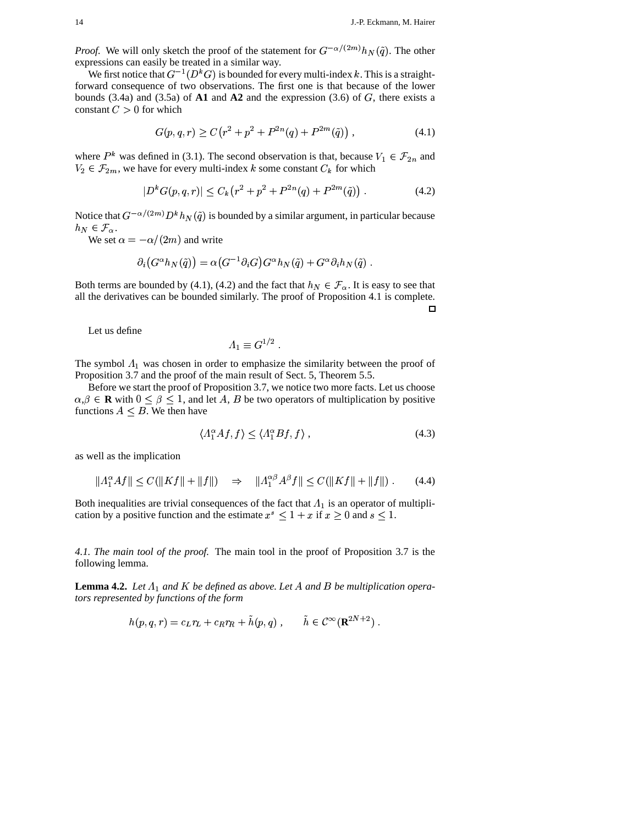¥<br>≉¥

*Proof.* We will only sketch the proof of the statement for  $G^{-\alpha/(2m)}h_N(\tilde{q})$ . tch the proof of the statement for  $G^{-\alpha/(2m)}h_N(\tilde{q})$ . The other expressions can easily be treated in a similar way.

We first notice that  $G^{-1}(D^kG)$  is bounded for every multi-index k. This is a straightforward consequence of two observations. The first one is that because of the lower bounds  $(3.4a)$  and  $(3.5a)$  of  $\mathbf{A1}$  and  $\mathbf{A2}$  and the expression  $(3.6)$  of  $G$ , there exists a constant  $C > 0$  for which

$$
G(p,q,r) \ge C\left(r^2 + p^2 + P^{2n}(q) + P^{2m}(\tilde{q})\right),\tag{4.1}
$$

where  $P^k$  was defined in (3.1). The second observation is that, because  $V_1 \in \mathcal{F}_{2n}$  and  $V_2 \in \mathcal{F}_{2m}$ , we have for every multi-index k some constant  $C_k$  for which

$$
|D^{k}G(p,q,r)| \leq C_{k}(r^{2}+p^{2}+P^{2n}(q)+P^{2m}(\tilde{q})) . \tag{4.2}
$$

Notice that  $G^{-\alpha/(2m)} D^k h_N(\tilde{q})$  is bounded by a similar argument, in particular because  $h_N \in \mathcal{F}_{\alpha}$ .

We set  $\alpha = -\alpha/(2m)$  and w  $-\alpha/(2m)$  and write

$$
\partial_i \big( G^\alpha h_N(\tilde q) \big) = \alpha \big( G^{-1} \partial_i G \big) G^\alpha h_N(\tilde q) + G^\alpha \partial_i h_N(\tilde q) \; .
$$

Both terms are bounded by (4.1), (4.2) and the fact that  $h_N \in \mathcal{F}_{\alpha}$ . It is easy to see that all the derivatives can be bounded similarly. The proof of Proposition 4.1 is complete.

 $\Box$ 

Let us define

$$
\Lambda_1 \equiv G^{1/2} .
$$

The symbol  $\Lambda_1$  was chosen in order to emphasize the similarity between the proof of Proposition 3.7 and the proof of the main result of Sect. 5, Theorem 5.5.

Before we start the proof of Proposition 3.7, we notice two more facts. Let us choose  $\alpha, \beta \in \mathbf{R}$  with  $0 \leq \beta \leq 1$ , and let A, B be two operators of multiplication by positive functions  $A \leq B$ . We then have

$$
\langle A_1^{\alpha} A f, f \rangle \le \langle A_1^{\alpha} B f, f \rangle \,, \tag{4.3}
$$

as well as the implication

$$
||A_1^{\alpha} A f|| \le C(||Kf|| + ||f||) \quad \Rightarrow \quad ||A_1^{\alpha \beta} A^{\beta} f|| \le C(||Kf|| + ||f||). \tag{4.4}
$$

Both inequalities are trivial consequences of the fact that  $\Lambda_1$  is an operator of multiplication by a positive function and the estimate  $x^s \leq 1 + x$  if  $x \geq 0$  and  $s \leq 1$ . Both inequalities are trivial consequences of the fact that  $\Lambda_1$  is an operator of cation by a positive function and the estimate  $x^s \leq 1 + x$  if  $x \geq 0$  and  $s \leq 1$ .

*4.1. The main tool of the proof.* The main tool in the proof of Proposition 3.7 is the following lemma.

**Lemma 4.2.** Let  $\Lambda_1$  and  $K$  be defined as above. Let  $A$  and  $B$  be multiplication opera*tors represented by functions of the form*

$$
h(p,q,r) = c_L r_L + c_R r_R + \tilde{h}(p,q) , \qquad \tilde{h} \in \mathcal{C}^{\infty}(\mathbf{R}^{2N+2}) .
$$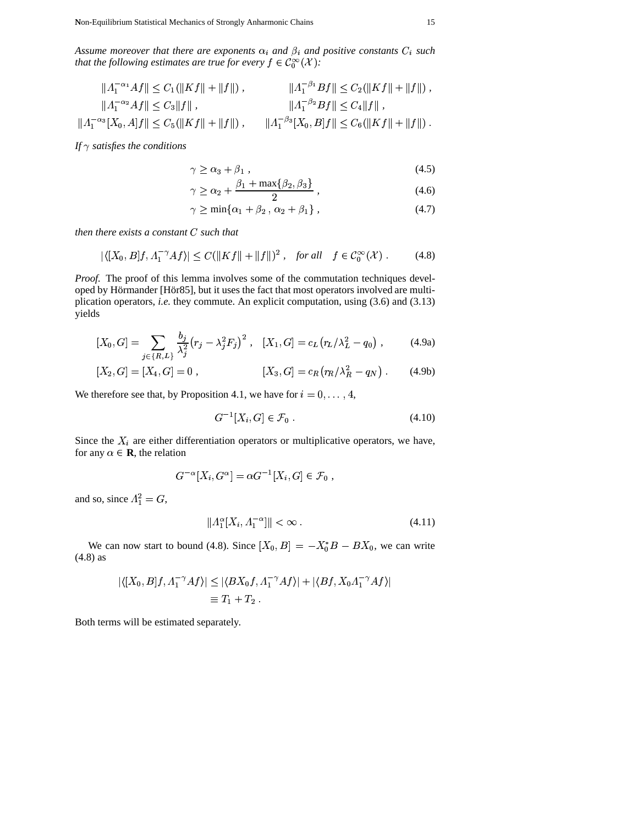Assume moreover that there are exponents  $\alpha_i$  and  $\beta_i$  and positive constants  $C_i$  such that the following estimates are true for every  $f \in C_0^{\infty}(\mathcal{X})$ :

$$
||A_1^{-\alpha_1}Af|| \le C_1(||Kf|| + ||f||), \qquad ||A_1^{-\beta_1}Bf|| \le C_2(||Kf|| + ||f||),
$$
  
\n
$$
||A_1^{-\alpha_2}Af|| \le C_3||f||, \qquad ||A_1^{-\beta_2}Bf|| \le C_4||f||,
$$
  
\n
$$
||A_1^{-\alpha_3}[X_0,A]f|| \le C_5(||Kf|| + ||f||), \qquad ||A_1^{-\beta_3}[X_0,B]f|| \le C_6(||Kf|| + ||f||).
$$

If  $\gamma$  satisfies the conditions

$$
\gamma \ge \alpha_3 + \beta_1, \tag{4.5}
$$

$$
\gamma \ge \alpha_2 + \frac{\beta_1 + \max\{\beta_2, \beta_3\}}{2} \,,\tag{4.6}
$$

$$
\gamma \ge \min\{\alpha_1 + \beta_2 \,, \, \alpha_2 + \beta_1\} \,, \tag{4.7}
$$

then there exists a constant  $C$  such that

$$
|\langle [X_0, B]f, \Lambda_1^{-\gamma} Af \rangle| \le C(\|Kf\| + \|f\|)^2 , \quad \text{for all} \quad f \in \mathcal{C}_0^{\infty}(\mathcal{X}) . \tag{4.8}
$$

Proof. The proof of this lemma involves some of the commutation techniques developed by Hörmander [Hör85], but it uses the fact that most operators involved are multiplication operators, i.e. they commute. An explicit computation, using (3.6) and (3.13) yields

$$
[X_0, G] = \sum_{j \in \{R, L\}} \frac{b_j}{\lambda_j^2} (r_j - \lambda_j^2 F_j)^2 , \quad [X_1, G] = c_L (r_L/\lambda_L^2 - q_0) , \quad (4.9a)
$$

$$
[X_2, G] = [X_4, G] = 0 , \qquad [X_3, G] = c_R (r_R / \lambda_R^2 - q_N) . \qquad (4.9b)
$$

We therefore see that, by Proposition 4.1, we have for  $i = 0, ..., 4$ ,

$$
G^{-1}[X_i, G] \in \mathcal{F}_0. \tag{4.10}
$$

Since the  $X_i$  are either differentiation operators or multiplicative operators, we have, for any  $\alpha \in \mathbf{R}$ , the relation

$$
G^{-\alpha}[X_i, G^{\alpha}] = \alpha G^{-1}[X_i, G] \in \mathcal{F}_0,
$$

and so, since  $\Lambda_1^2 = G$ ,

$$
||A_1^{\alpha}[X_i, A_1^{-\alpha}]|| < \infty . \tag{4.11}
$$

We can now start to bound (4.8). Since  $[X_0, B] = -X_0^*B - BX_0$ , we can write  $(4.8)$  as

$$
|\langle [X_0, B]f, \Lambda_1^{-\gamma} Af \rangle| \le |\langle BX_0f, \Lambda_1^{-\gamma} Af \rangle| + |\langle Bf, X_0\Lambda_1^{-\gamma} Af \rangle|
$$
  

$$
\equiv T_1 + T_2.
$$

Both terms will be estimated separately.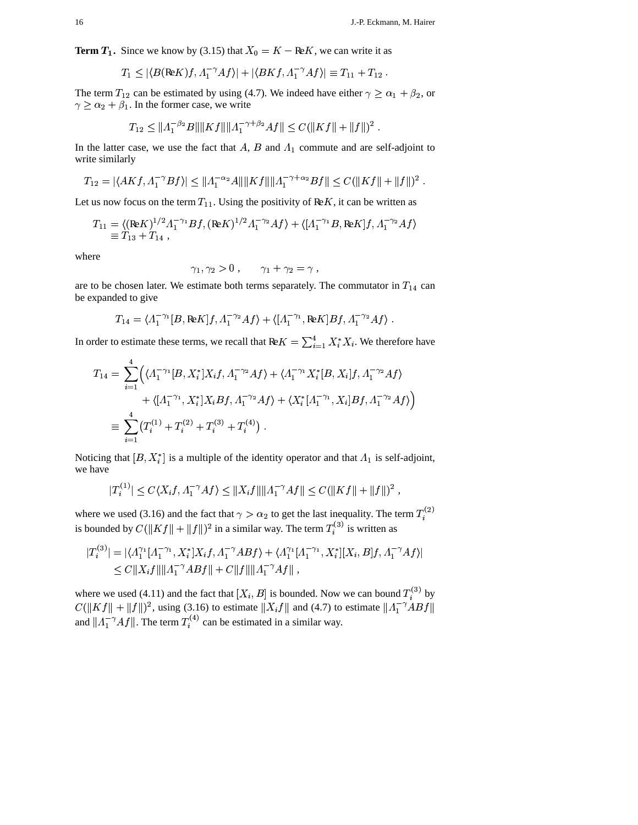**Term**  $T_1$ **. Since we know by (3.15) that**  $X_0 = K - \mathbb{R}eK$ **, we can write it as** 

$$
T_1 \leq |\langle B(\text{Re} K)f, \Lambda_1^{-\gamma} Af \rangle| + |\langle B Kf, \Lambda_1^{-\gamma} Af \rangle| \equiv T_{11} + T_{12} .
$$

The term  $T_{12}$  can be estimated by using (4.7). We indeed have either  $\gamma \ge \alpha_1 + \beta_2$ , or  $\geq \alpha_2 + \beta_1$ . In the former case, we write

$$
T_{12} \le ||A_1^{-\beta_2}B|| ||Kf|| ||A_1^{-\gamma+\beta_2}Af|| \le C(||Kf|| + ||f||)^2.
$$

In the latter case, we use the fact that  $A$ ,  $B$  and  $\Lambda_1$  commute and are self-adjoint to write similarly

$$
T_{12} = |\langle AKf, \Lambda_1^{-\gamma}Bf \rangle| \le ||\Lambda_1^{-\alpha_2}A\| ||Kf|| ||\Lambda_1^{-\gamma+\alpha_2}Bf|| \le C(||Kf|| + ||f||)^2.
$$

Let us now focus on the term  $T_{11}$ . Using the positivity of ReK, it can be written as

$$
T_{11} = \langle (\mathbf{Re} K)^{1/2} A_1^{-\gamma_1} B f, (\mathbf{Re} K)^{1/2} A_1^{-\gamma_2} A f \rangle + \langle [A_1^{-\gamma_1} B, \mathbf{Re} K] f, A_1^{-\gamma_2} A f \rangle
$$
  
 
$$
\equiv T_{13} + T_{14} ,
$$

where

$$
\gamma_1, \gamma_2 > 0 , \qquad \gamma_1 + \gamma_2 = \gamma ,
$$

,

are to be chosen later. We estimate both terms separately. The commutator in  $T_{14}$  can be expanded to give

$$
T_{14}=\langle \Lambda_1^{-\gamma_1}[B,\text{Re}K]f,\Lambda_1^{-\gamma_2}Af\rangle+\langle [\Lambda_1^{-\gamma_1},\text{Re}K]Bf,\Lambda_1^{-\gamma_2}Af\rangle.
$$

In order to estimate these terms, we recall that  $\text{Re}K = \sum_{i=1}^{4} X_i^* X_i$ . We therefore have

$$
T_{14} = \sum_{i=1}^{4} \left( \langle A_1^{-\gamma_1} [B, X_i^*] X_i f, A_1^{-\gamma_2} A f \rangle + \langle A_1^{-\gamma_1} X_i^* [B, X_i] f, A_1^{-\gamma_2} A f \rangle \right. + \left\langle [A_1^{-\gamma_1}, X_i^*] X_i B f, A_1^{-\gamma_2} A f \rangle + \langle X_i^* [A_1^{-\gamma_1}, X_i] B f, A_1^{-\gamma_2} A f \rangle \right) \equiv \sum_{i=1}^{4} \left( T_i^{(1)} + T_i^{(2)} + T_i^{(3)} + T_i^{(4)} \right) .
$$

Noticing that  $[B, X^*_i]$  is a multiple of the identity operator and that  $\Lambda_1$  is self-adjoint, we have

$$
|T_i^{(1)}| \le C\langle X_i f, A_1^{-\gamma} A f \rangle \le ||X_i f|| ||A_1^{-\gamma} A f|| \le C(||K f|| + ||f||)^2,
$$

where we used (3.16) and the fact that  $\gamma > \alpha_2$  to get the last inequality. The term  $T_i^{(2)}$ is bounded by  $C(\|Kf\| + \|f\|)^2$  in a similar way. The term  $T_i^{(3)}$  is written as

$$
|T_i^{(3)}| = |\langle \Lambda_1^{\gamma_1} [\Lambda_1^{-\gamma_1}, X_i^*] X_i f, \Lambda_1^{-\gamma} A B f \rangle + \langle \Lambda_1^{\gamma_1} [\Lambda_1^{-\gamma_1}, X_i^*] [X_i, B] f, \Lambda_1^{-\gamma} A f \rangle|
$$
  
\n
$$
\leq C \|X_i f\| \| \Lambda_1^{-\gamma} A B f \| + C \|f\| \| \Lambda_1^{-\gamma} A f \|,
$$

where we used (4.11) and the fact that  $[X_i, B]$  is bounded. Now we can bound  $T_i^{(3)}$  by  $C(||Kf|| + ||f||)^2$ , using (3.16) to estimate  $||X_i f||$  and (4.7) to estimate  $||A_1^{-\gamma}ABf||$ had a strong of the state of the state of the state of the state of the state of the state of the state of the and  $||A_1^{\pi} A f||$ . The term  $T_i^{(4)}$  can be estimated in a similar way.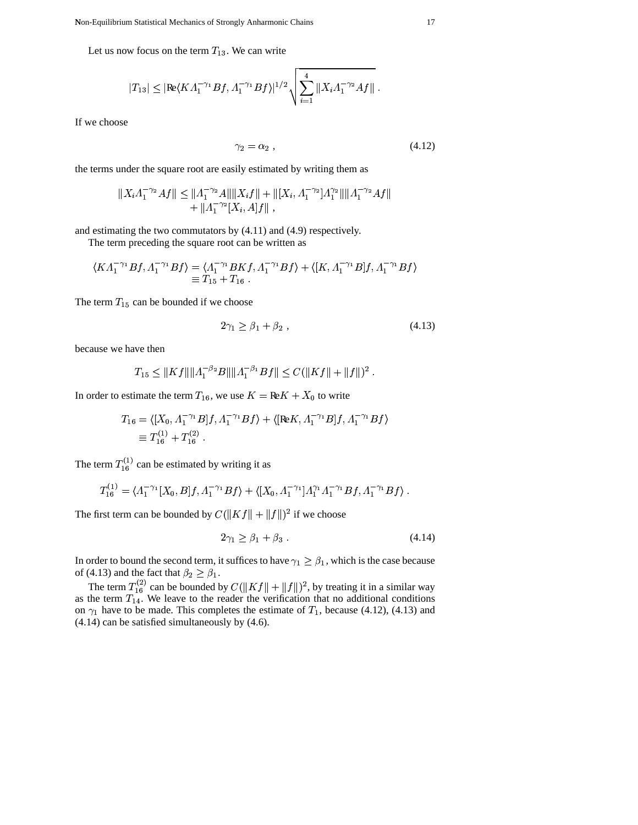Let us now focus on the term  $T_{13}$ . We can write

$$
|T_{13}| \leq |\text{Re}\langle K\Lambda_1^{-\gamma_1}Bf, \Lambda_1^{-\gamma_1}Bf \rangle|^{1/2} \sqrt{\sum_{i=1}^4 \|X_i\Lambda_1^{-\gamma_2}Af\|}.
$$

If we choose

$$
\gamma_2 = \alpha_2 \,, \tag{4.12}
$$

the terms under the square root are easily estimated by writing them as

$$
||X_i \Lambda_1^{-\gamma_2} Af|| \le ||\Lambda_1^{-\gamma_2} A|| ||X_i f|| + ||[X_i, \Lambda_1^{-\gamma_2}] \Lambda_1^{\gamma_2} || ||\Lambda_1^{-\gamma_2} Af|| + ||\Lambda_1^{-\gamma_2} [X_i, A] f||,
$$

and estimating the two commutators by (4.11) and (4.9) respectively.

The term preceding the square root can be written as

$$
\langle K \Lambda_1^{-\gamma_1} B f, \Lambda_1^{-\gamma_1} B f \rangle = \langle \Lambda_1^{-\gamma_1} B K f, \Lambda_1^{-\gamma_1} B f \rangle + \langle [K, \Lambda_1^{-\gamma_1} B] f, \Lambda_1^{-\gamma_1} B f \rangle
$$
  

$$
\equiv T_{15} + T_{16} .
$$

The term  $T_{15}$  can be bounded if we choose

$$
2\gamma_1 \ge \beta_1 + \beta_2 \,,\tag{4.13}
$$

because we have then

$$
T_{15} \le ||Kf|| ||A_1^{-\beta_2}B|| ||A_1^{-\beta_1}Bf|| \le C(||Kf|| + ||f||)^2.
$$

In order to estimate the term  $T_{16}$ , we use  $K = \text{Re}K + X_0$  to write

$$
T_{16} = \langle [X_0, \Lambda_1^{-\gamma_1} B]f, \Lambda_1^{-\gamma_1} Bf \rangle + \langle [\text{Re}K, \Lambda_1^{-\gamma_1} B]f, \Lambda_1^{-\gamma_1} Bf \rangle
$$
  

$$
\equiv T_{16}^{(1)} + T_{16}^{(2)}.
$$

The term  $T_{16}^{(1)}$  can be estimated by writing it as

$$
T_{16}^{(1)} = \langle \Lambda_1^{-\gamma_1}[X_0, B]f, \Lambda_1^{-\gamma_1}Bf \rangle + \langle [X_0, \Lambda_1^{-\gamma_1}] \Lambda_1^{\gamma_1} \Lambda_1^{-\gamma_1} Bf, \Lambda_1^{-\gamma_1} Bf \rangle.
$$

The first term can be bounded by  $C(\|Kf\| + \|f\|)^2$  if we choose

$$
2\gamma_1 \ge \beta_1 + \beta_3 \tag{4.14}
$$

In order to bound the second term, it suffices to have  $\gamma_1 \ge \beta_1$ , which is the case because of (4.13) and the fact that  $\beta_2 \geq \beta_1$ .

The term  $T_{16}^{(2)}$  can be bounded by  $C(||Kf|| + ||f||)^2$ , by treating it in a similar way<br>as the term  $T_{14}$ . We leave to the reader the verification that no additional conditions<br>on  $\gamma_1$  have to be made. This completes th (4.14) can be satisfied simultaneously by (4.6).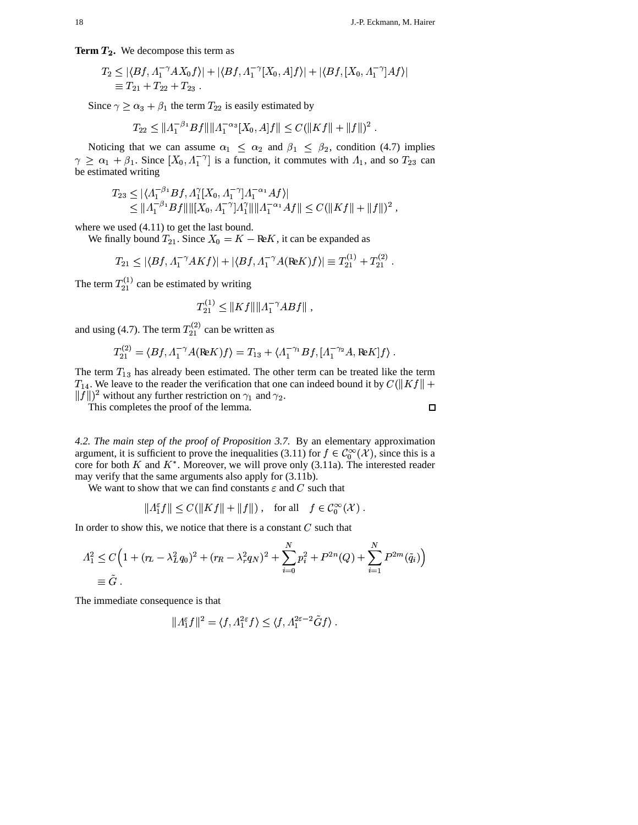Term  $T_2$ . We decompose this term as

$$
T_2 \le |\langle Bf, \Lambda_1^{-\gamma} A X_0 f \rangle| + |\langle Bf, \Lambda_1^{-\gamma} [X_0, A]f \rangle| + |\langle Bf, [X_0, \Lambda_1^{-\gamma}] A f \rangle|
$$
  
\n
$$
\equiv T_{21} + T_{22} + T_{23} .
$$

Since  $\gamma \ge \alpha_3 + \beta_1$  the term  $T_{22}$  is easily estimated by

$$
T_{22} \le ||A_1^{-\beta_1}Bf|| ||A_1^{-\alpha_3}[X_0,A]f|| \le C(||Kf|| + ||f||)^2.
$$

Noticing that we can assume  $\alpha_1 \leq \alpha_2$  and  $\beta_1 \leq \beta_2$ , condition (4.7) implies  $\gamma \geq \alpha_1 + \beta_1$ . Since  $[X_0, \Lambda_1^{-\gamma}]$  is a function, it commutes with  $\Lambda_1$ , and so  $T_{23}$  can be estimated writing

$$
T_{23} \leq |\langle \Lambda_1^{-\beta_1} Bf, \Lambda_1^{\gamma} [X_0, \Lambda_1^{-\gamma}] \Lambda_1^{-\alpha_1} Af \rangle|
$$
  
\$\leq \| \Lambda\_1^{-\beta\_1} Bf\| \| [X\_0, \Lambda\_1^{-\gamma}] \Lambda\_1^{\gamma} \| \| \Lambda\_1^{-\alpha\_1} Af \|\leq C (||Kf|| + ||f||)^2 ,

where we used  $(4.11)$  to get the last bound.

We finally bound  $T_{21}$ . Since  $X_0 = K - \text{Re}K$ , it can be expanded as

$$
T_{21} \leq |\langle Bf, \Lambda_1^{-\gamma} AKf \rangle| + |\langle Bf, \Lambda_1^{-\gamma} A(\text{Re} K)f \rangle| \equiv T_{21}^{(1)} + T_{21}^{(2)}
$$

The term  $T_{21}^{(1)}$  can be estimated by writing

$$
T_{21}^{(1)} \leq ||Kf|| ||A_1^{-\gamma} ABf||,
$$

and using (4.7). The term  $T_{21}^{(2)}$  can be written as

$$
T_{21}^{(2)} = \langle Bf, A_1^{-\gamma} A (\text{Re} K) f \rangle = T_{13} + \langle A_1^{-\gamma_1} Bf, [A_1^{-\gamma_2} A, \text{Re} K] f \rangle.
$$

The term  $T_{13}$  has already been estimated. The other term can be treated like the term  $T_{14}$ . We leave to the reader the verification that one can indeed bound it by  $C(\|Kf\| +$  $||f||^2$  without any further restriction on  $\gamma_1$  and  $\gamma_2$ .

This completes the proof of the lemma.

4.2. The main step of the proof of Proposition 3.7. By an elementary approximation argument, it is sufficient to prove the inequalities (3.11) for  $f \in C_0^{\infty}(\mathcal{X})$ , since this is a core for both  $K$  and  $K^*$ . Moreover, we will prove only (3.11a). The interested reader may verify that the same arguments also apply for (3.11b).

We want to show that we can find constants  $\varepsilon$  and C such that

$$
||A_1^{\varepsilon}f|| \le C(||Kf|| + ||f||) , \quad \text{for all} \quad f \in \mathcal{C}_0^{\infty}(\mathcal{X}).
$$

In order to show this, we notice that there is a constant  $C$  such that

$$
A_1^2 \leq C \Big( 1 + (r_L - \lambda_L^2 q_0)^2 + (r_R - \lambda_r^2 q_N)^2 + \sum_{i=0}^N p_i^2 + P^{2n}(Q) + \sum_{i=1}^N P^{2m}(\tilde{q}_i) \Big)
$$
  

$$
\equiv \tilde{G}.
$$

The immediate consequence is that

$$
||A_1^{\varepsilon}f||^2 = \langle f, A_1^{2\varepsilon}f \rangle \le \langle f, A_1^{2\varepsilon-2}\tilde{G}f \rangle.
$$

 $\Box$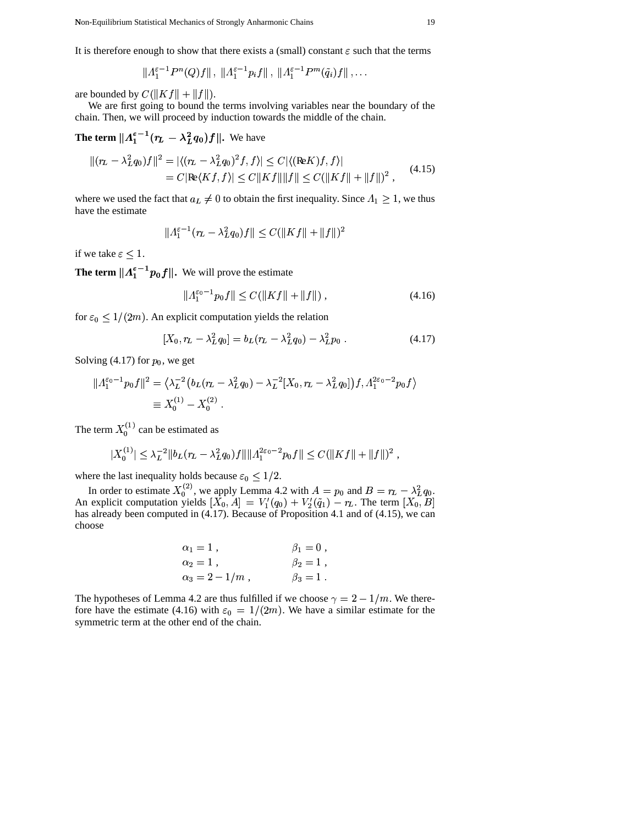It is therefore enough to show that there exists a (small) constant  $\varepsilon$  such that the terms<br>  $||A^{\varepsilon-1}P^n(0) f||$ ,  $||A^{\varepsilon-1}P_n f||$ ,  $||A^{\varepsilon-1}P^m(\tilde{a}) f||$ , ...

$$
\| \varLambda_1^{\varepsilon-1}P^n(Q)f\|\,,\,\,\|\varLambda_1^{\varepsilon-1}p_if\|\,,\,\,\|\varLambda_1^{\varepsilon-1}P^m(\tilde{q}_i)f\|\,,\ldots
$$

are bounded by  $C(\|Kf\| + \|f\|).$ 

.We are first going to bound the terms involving variables near the boundary of the chain. Then, we will proceed by induction towards the middle of the chain.

**The term**  $||A_1^{\varepsilon-1}(r_L - \lambda_L^2 q_0)f||$ . We have

$$
||(r_L - \lambda_L^2 q_0)f||^2 = |\langle (r_L - \lambda_L^2 q_0)^2 f, f \rangle| \le C |\langle (\text{Re} K) f, f \rangle|
$$
  
= C |Re $\langle K f, f \rangle| \le C ||K f|| ||f|| \le C (||K f|| + ||f||)^2$ , (4.15)

where we used the fact that  $a_L \neq 0$  to obtain the first inequality. Since  $A_1 \geq 1$ , we thus have the estimate

$$
\| \varLambda_1^{\varepsilon - 1}(r_L - \lambda_L^2 q_0) f \| \leq C ( \| K f \| + \| f \|)^2
$$

if we take  $\varepsilon \leq 1$ .

**The term**  $||A_1^{\epsilon-1}p_0f||$ . We will prove the estimate

$$
|A_1^{\varepsilon_0 - 1} p_0 f|| \le C(||Kf|| + ||f||) , \qquad (4.16)
$$

for  $\varepsilon_0 \leq 1/(2m)$ . An explicit computation yields the relation

$$
[X_0, r_L - \lambda_L^2 q_0] = b_L (r_L - \lambda_L^2 q_0) - \lambda_L^2 p_0.
$$
 (4.17)

Solving (4.17) for  $p_0$ , we get

$$
||A_1^{\varepsilon_0-1} p_0 f||^2 = \langle \lambda_L^{-2} (b_L (r_L - \lambda_L^2 q_0) - \lambda_L^{-2} [X_0, r_L - \lambda_L^2 q_0]) f, A_1^{2\varepsilon_0-2} p_0 f \rangle
$$
  

$$
\equiv X_0^{(1)} - X_0^{(2)}.
$$

The term  $X_0^{(1)}$  can b  $_0^{(1)}$  can be estimated as

$$
|X_0^{(1)}| \leq \lambda_L^{-2} \|b_L(r_L - \lambda_L^2 q_0)f\| \| \Lambda_1^{2\varepsilon_0 - 2} p_0 f \| \leq C ( \|Kf\| + \|f\|)^2 ,
$$

where the last inequality holds because  $\varepsilon_0 \leq 1/2$ .

 $\sim$   $\sim$   $\sim$   $\sim$   $\sim$   $\sim$ 

In order to estimate  $X_0^{(2)}$ , we apply Lem  $_0^{(2)}$ , we apply Lemma 4.2 with  $\cdots$  $= p_0$  and  $B = r_L - \lambda_L^2 q_0$ .  $q_0$ . An explicit computation yields  $[X_0, A] = V'_1(q_0) +$ pply Lemma 4.2 with  $A = p_0$  and  $B = r_L - \lambda_L^2 q_0$ .<br>  $\alpha_0, A] = V'_1(q_0) + V'_2(\tilde{q}_1) - r_L$ . The term  $[X_0, B]$ has already been computed in (4.17). Because of Proposition 4.1 and of (4.15), we can choose

$$
\alpha_1 = 1
$$
,  $\beta_1 = 0$ ,  
\n $\alpha_2 = 1$ ,  $\beta_2 = 1$ ,  
\n $\alpha_3 = 2 - 1/m$ ,  $\beta_3 = 1$ .

The hypotheses of Lemma 4.2 are thus fulfilled if we choose  $\gamma = 2 - 1/m$ . We therefore have the estimate (4.16) with  $\varepsilon_0 = 1/(2m)$ . We have a similar estimate for the symmetric term at the other end of the chain.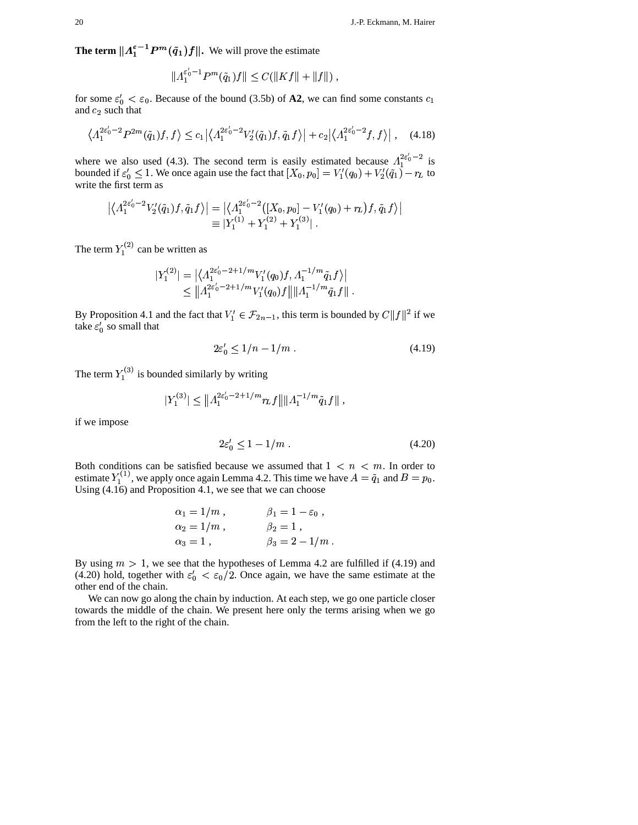**The term**  $||A_1^{\varepsilon-1}P^m(\tilde{q}_1)f||$ . We will prove the estimate

$$
||A_1^{\varepsilon'_0-1}P^m(\tilde{q}_1)f||\leq C(||Kf||+||f||),
$$

for some  $\varepsilon_0' < \varepsilon_0$ . Because of the bound (3.5b) of **A2**, we can find some constants  $c_1$ and  $c_2$  such that

$$
\left\langle \Lambda_1^{2\varepsilon_0'-2} P^{2m}(\tilde{q}_1)f, f \right\rangle \leq c_1 \left| \left\langle \Lambda_1^{2\varepsilon_0'-2} V_2'(\tilde{q}_1)f, \tilde{q}_1 f \right\rangle \right| + c_2 \left| \left\langle \Lambda_1^{2\varepsilon_0'-2} f, f \right\rangle \right|, \quad (4.18)
$$

where we also used (4.3). The second term is easily estimated because  $\Lambda_1^{2\varepsilon_0^{\prime}-2}$  is  $i_1^{2z_0-2}$  is where we also used (4.3). The second term is easily estimated because  $A_1^{2\varepsilon_0 - 2}$  is bounded if  $\varepsilon'_0 \le 1$ . We once again use the fact that  $[X_0, p_0] = V'_1(q_0) + V'_2(q_1) - r_L$  to write the first term as

$$
\begin{aligned} \left| \left\langle \Lambda_1^{2\varepsilon_0'-2} V_2'(\tilde{q}_1)f , \tilde{q}_1 f \right\rangle \right| &= \left| \left\langle \Lambda_1^{2\varepsilon_0'-2}([X_0,p_0]-V_1'(q_0)+r_L)f , \tilde{q}_1 f \right\rangle \right| \\ & \equiv |Y_1^{(1)}+Y_1^{(2)}+Y_1^{(3)}| \ . \end{aligned}
$$

The term  $Y_1^{(2)}$  can be written as

$$
\begin{aligned} |Y_1^{(2)}| &= \left| \langle \Lambda_1^{2\varepsilon_0'-2+1/m} V_1'(q_0) f, \Lambda_1^{-1/m} \tilde{q}_1 f \rangle \right| \\ &\leq \| \Lambda_1^{2\varepsilon_0'-2+1/m} V_1'(q_0) f \| \| \Lambda_1^{-1/m} \tilde{q}_1 f \| \end{aligned}.
$$

By Proposition 4.1 and the fact that  $V'_1 \in \mathcal{F}_{2n-1}$ , this term 1, this term is bounded by  $C||f||^2$  if we take  $\varepsilon_0'$  so small that

$$
2\varepsilon_0' \le 1/n - 1/m \tag{4.19}
$$

The term  $Y_1^{(3)}$  is bounded si  $i^{(3)}$  is bounded similarly by writing

$$
|Y_1^{(3)}| \leq \left\| \Lambda_1^{2\varepsilon_0' - 2 + 1/m} r_L f \right\| \| \Lambda_1^{-1/m} \tilde{q}_1 f \|,
$$

if we impose

$$
2\varepsilon'_0 \le 1 - 1/m \tag{4.20}
$$

Both conditions can be satisfied because we assumed that  $1 < n < m$ . In order to estimate  $Y_1^{(1)}$ , we apply once again Lemma 4.2. This time we have  $A = \tilde{q}_1$  and  $B = p_0$ . Using  $(4.16)$  and Proposition  $4.1$ , we see that we can choose

$$
\alpha_1 = 1/m
$$
,  $\beta_1 = 1 - \varepsilon_0$ ,  
\n $\alpha_2 = 1/m$ ,  $\beta_2 = 1$ ,  
\n $\alpha_3 = 1$ ,  $\beta_3 = 2 - 1/m$ .

By using  $m > 1$ , we see that the hypotheses of Lemma 4.2 are fulfilled if (4.19) and (4.20) hold, together with  $\varepsilon_0' < \varepsilon_0/2$ . Once again, we have the same estimate at the other end of the chain.

We can now go along the chain by induction. At each step, we go one particle closer towards the middle of the chain. We present here only the terms arising when we go from the left to the right of the chain.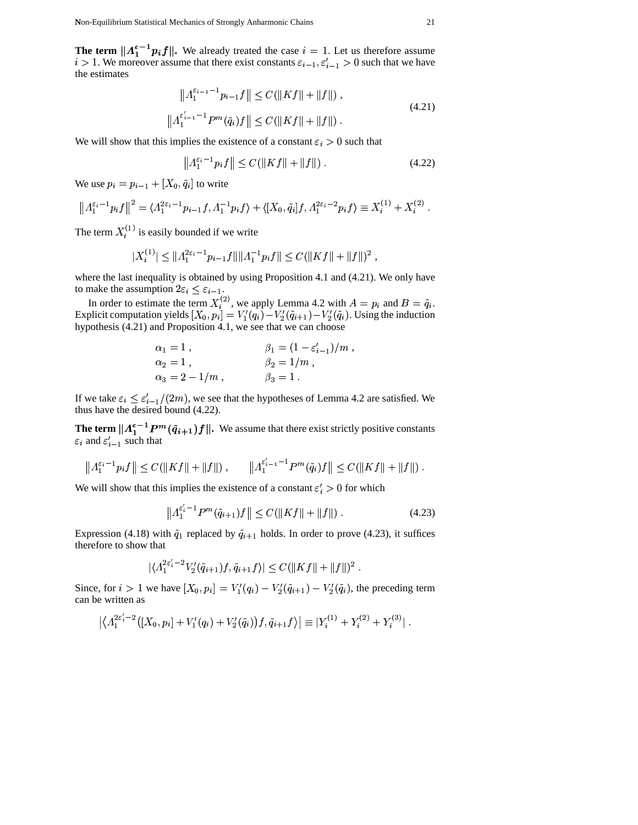**The term**  $||A_1^{\varepsilon-1}p_if||$ **. We already treated the case**  $i = 1$ **. Let us therefore assume**  $i > 1$ . We moreover assume that there exist constants  $\varepsilon_{i-1}, \varepsilon'_{i-1}$ = 1. Let us therefore assume<br> $t_1, \varepsilon'_{i-1} > 0$  such that we have the estimates  $j = 1$   $j = 1$ 

$$
\|A_1^{\varepsilon_{i-1}-1}p_{i-1}f\| \le C(\|Kf\| + \|f\|) ,
$$
  

$$
\|A_1^{\varepsilon'_{i-1}-1}P^m(\tilde{q}_i)f\| \le C(\|Kf\| + \|f\|) .
$$
 (4.21)

We will show that this implies the existence of a constant  $\varepsilon_i > 0$  such that

$$
\|A_1^{\varepsilon_i - 1} p_i f\| \le C(\|Kf\| + \|f\|) \tag{4.22}
$$

We use  $p_i = p_{i-1} + [X_0, \tilde{q}_i]$  to write

$$
\left\|A_1^{\varepsilon_i-1} p_i f\right\|^2 = \langle A_1^{2\varepsilon_i-1} p_{i-1} f, A_1^{-1} p_i f\rangle + \langle [X_0, \tilde{q}_i] f, A_1^{2\varepsilon_i-2} p_i f\rangle \equiv X_i^{(1)} + X_i^{(2)}.
$$

The term  $X_i^{(1)}$  is easily bounded if we write

$$
|X_i^{(1)}| \le ||A_1^{2\varepsilon_i - 1} p_{i-1} f|| ||A_1^{-1} p_i f|| \le C (||Kf|| + ||f||)^2,
$$

where the last inequality is obtained by using Proposition 4.1 and (4.21). We only have to make the assumption  $2\varepsilon_i \leq \varepsilon_{i-1}$ .

In order to estimate the term  $X_i^{(2)}$ , we apply Lem  $^{2)}$ , we apply Lemma 4.2 with  $\cdots$ and  $B = \tilde{q}_i$ . Explicit computation yields  $[X_0, p_i] = V'_1(q_i) - V$ <br>by pathodic (4.21) and Proposition 4.1, we see that m  $X_i^{(2)}$ , we apply Lemma 4.2 w<br>  $[0, p_i] = V'_1(q_i) - V'_2(\tilde{q}_{i+1}) - V'_2$ aan anaaaa a 4.2 with  $A = p_i$ <br>  $(y_1) - V'_2(\tilde{q}_i)$ . Using . Using the induction hypothesis (4.21) and Proposition 4.1, we see that we can choose % '&

$$
\alpha_1 = 1
$$
,  $\beta_1 = (1 - \varepsilon'_{i-1})/m$ ,  
\n $\alpha_2 = 1$ ,  $\beta_2 = 1/m$ ,  
\n $\alpha_3 = 2 - 1/m$ ,  $\beta_3 = 1$ .

If we take  $\varepsilon_i \leq \varepsilon'_{i-1}/(2m)$ , we see that the hypotheses of Lemma 4.2 are satisfied. We thus have the desired bound (4.22).

**The term**  $||A_1^{\varepsilon-1}P^m(\tilde{q}_{i+1})f||$ **. We assume that there exist strictly positive constants**  $\varepsilon_i$  and  $\varepsilon'_{i-1}$  such that

and 
$$
\varepsilon_{i-1}
$$
 such that  

$$
\|A_1^{\varepsilon_{i-1}}p_if\| \leq C(\|Kf\| + \|f\|) , \qquad \|A_1^{\varepsilon'_{i-1}-1}P^m(\tilde{q}_i)f\| \leq C(\|Kf\| + \|f\|) .
$$

We will show that this implies the existence of a constant  $\varepsilon_i' > 0$  for which

$$
\left\| \Lambda_1^{\varepsilon_i'-1} P^m(\tilde{q}_{i+1}) f \right\| \le C(\|Kf\| + \|f\|) \,. \tag{4.23}
$$

Expression (4.18) with  $\tilde{q}_1$  replaced by  $\tilde{q}_{i+1}$  holds. In order to prove (4.23), it suffices therefore to show that

$$
|\langle A_1^{2\varepsilon'_i-2}V'_2(\tilde{q}_{i+1})f,\tilde{q}_{i+1}f\rangle| \leq C(\|Kf\| + \|f\|)^2.
$$

Since, for  $i > 1$  we have  $[X_0, p_i] = V'_1(q_i) - V'_2(\tilde{q}_{i+1}) - V'_2(\tilde{q}_i)$ , the preceding term can be written as

$$
\left| \langle \Lambda_1^{2\varepsilon'_i-2}([X_0,p_i]+V'_1(q_i)+V'_2(\tilde q_i))f,\tilde q_{i+1}f\rangle \right| \equiv |Y_i^{(1)}+Y_i^{(2)}+Y_i^{(3)}|.
$$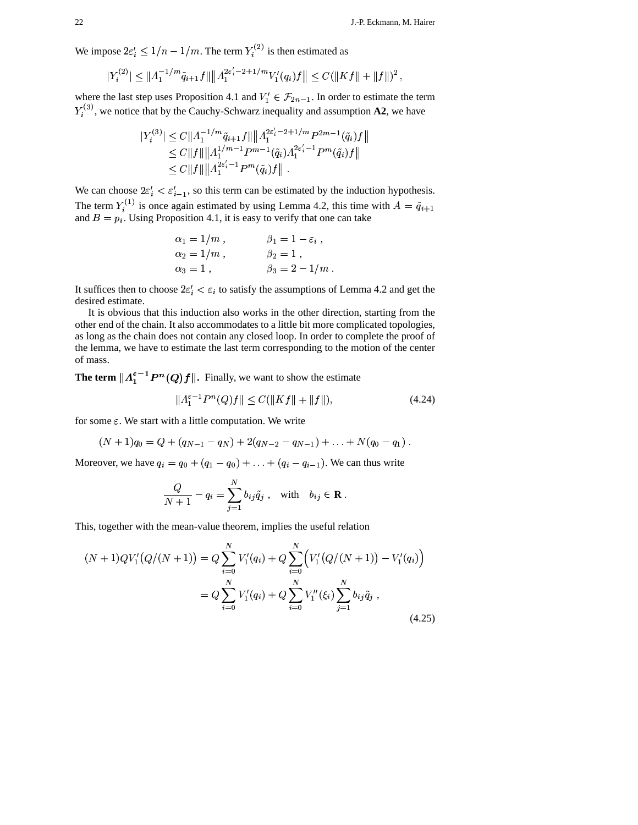We impose  $2\varepsilon_i' \leq 1/n$ .  $2\varepsilon'_{i} \leq 1/n - 1/m$ . The term  $Y_i^{(2)}$  is then estimated as

$$
|Y_i^{(2)}| \leq \|A_1^{-1/m}\tilde{q}_{i+1}f\| \|\Lambda_1^{2\varepsilon'_i - 2 + 1/m} V'_1(q_i)f\| \leq C(\|Kf\| + \|f\|)^2,
$$

where the last step uses Proposition 4.1 and  $V'_1 \in \mathcal{F}_{2n-1}$ . In order  $Y<sub>i</sub><sup>(9)</sup>$ , we notice that by the Cauchy-Schwarz inequality there the last step uses Proposition 4.1 and  $V_1' \in \mathcal{F}_{2n-1}$ . In order to estimate the term <sup>3)</sup>, we notice that by the Cauchy-Schwarz inequality and assumption **A2**, we have<br>  $|V^{(3)}| < C ||A^{-1/m} \tilde{a}_{k+1} f|| ||A^{2\epsilon'_{k} - 2 + 1/m} p^{2m-1}(\tilde{a}_{k}) f||$ 

$$
|Y_i^{(3)}| \leq C \| \Lambda_1^{-1/m} \tilde{q}_{i+1} f \| \| \Lambda_1^{2\varepsilon'_i - 2 + 1/m} P^{2m-1}(\tilde{q}_i) f \|
$$
  
\n
$$
\leq C \| f \| \| \Lambda_1^{1/m-1} P^{m-1}(\tilde{q}_i) \Lambda_1^{2\varepsilon'_i - 1} P^m(\tilde{q}_i) f \|
$$
  
\n
$$
\leq C \| f \| \| \Lambda_1^{2\varepsilon'_i - 1} P^m(\tilde{q}_i) f \|.
$$

We can choose  $2\varepsilon'_i < \varepsilon'_{i-1}$ , so this term can be estimated by the induction hypothesis. The term  $Y_i^{(1)}$  is once again estimated by using Lemma 4.2, this time with  $= \tilde{q}_{i+1}$ The term  $T_i$  is once again estimated by using Lemma 4.2, this time with  $A = q_{i+1}$ <br>and  $B = p_i$ . Using Proposition 4.1, it is easy to verify that one can take . Using Proposition 4.1, it is easy to verify that one can take

$$
\alpha_1 = 1/m, \qquad \beta_1 = 1 - \varepsilon_i ,
$$
  
\n
$$
\alpha_2 = 1/m, \qquad \beta_2 = 1 ,
$$
  
\n
$$
\alpha_3 = 1, \qquad \beta_3 = 2 - 1/m .
$$

It suffices then to choose  $2\varepsilon'_i < \varepsilon_i$  to satisfy the assumptions of Lemma 4.2 and get the desired estimate.

It is obvious that this induction also works in the other direction, starting from the other end of the chain. It also accommodates to a little bit more complicated topologies, as long as the chain does not contain any closed loop. In order to complete the proof of the lemma, we have to estimate the last term corresponding to the motion of the center of mass.

**The term**  $||A_1^{\varepsilon-1}P^n(Q)f||$ . Finally, we want to show the estimate<br> $||A_1^{\varepsilon-1}P^n(Q)f|| < C(||Kf|| + ||f||)$ .

$$
||A_1^{\varepsilon - 1} P^n(Q)f|| \le C(||Kf|| + ||f||), \tag{4.24}
$$

for some  $\varepsilon$ . We start with a little computation. We write

 $(N+1)q_0 = Q + (q_{N-1} - q_N) + 2(q_N)$  $q_N$ ) + 2 $(q_{N-2} - q_{N-1})$  + ...  $Q + (q_{N-1} - q_N) + 2(q_{N-2} - q_{N-1}) + \ldots + N(q_0 - q_1)$ .

Moreover, we have  $q_i = q_0 + (q_1 - q_0) + ... + (q_i - q_{i-1})$ . We can thus write

$$
\frac{Q}{N+1} - q_i = \sum_{j=1}^N b_{ij} \tilde{q}_j , \text{ with } b_{ij} \in \mathbf{R} .
$$

This, together with the mean-value theorem, implies the useful relation

$$
(N+1)QV'_{1}(Q/(N+1)) = Q \sum_{i=0}^{N} V'_{1}(q_{i}) + Q \sum_{i=0}^{N} \left( V'_{1}(Q/(N+1)) - V'_{1}(q_{i}) \right)
$$
  

$$
= Q \sum_{i=0}^{N} V'_{1}(q_{i}) + Q \sum_{i=0}^{N} V''_{1}(\xi_{i}) \sum_{j=1}^{N} b_{ij} \tilde{q}_{j} ,
$$
 (4.25)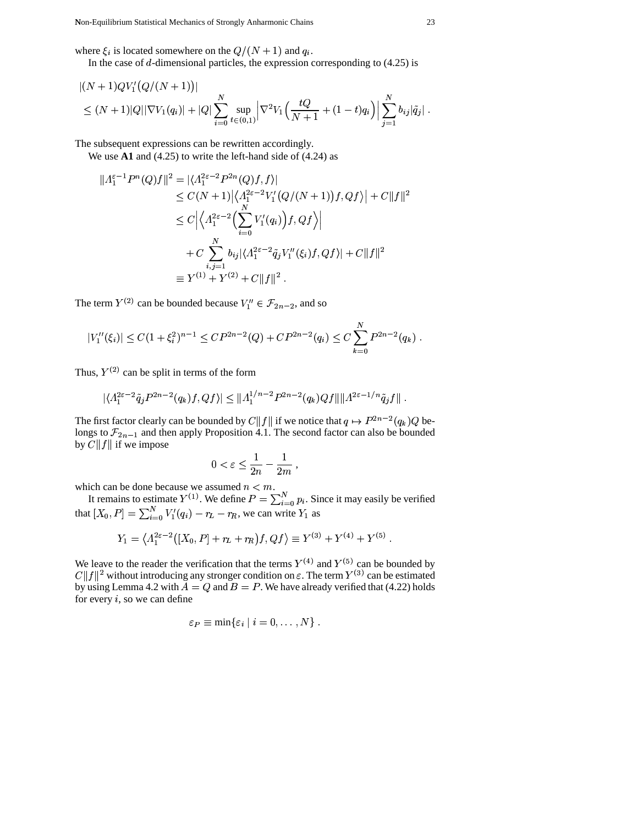where  $\xi_i$  is located somewhere on the  $Q/(N+1)$  and  $q_i$ .

In the case of  $d$ -dimensional particles, the expression corresponding to  $(4.25)$  is

$$
|(N+1)QV'_{1}(Q/(N+1))|
$$
  
\n
$$
\leq (N+1)|Q||\nabla V_{1}(q_{i})|+|Q|\sum_{i=0}^{N}\sup_{t\in(0,1)}\left|\nabla^{2}V_{1}\left(\frac{tQ}{N+1}+(1-t)q_{i}\right)\right|\sum_{j=1}^{N}b_{ij}|\tilde{q}_{j}|.
$$

The subsequent expressions can be rewritten accordingly.

We use  $\mathbf{A1}$  and (4.25) to write the left-hand side of (4.24) as

$$
||A_1^{\varepsilon-1}P^n(Q)f||^2 = |\langle A_1^{2\varepsilon-2}P^{2n}(Q)f,f\rangle|
$$
  
\n
$$
\leq C(N+1)|\langle A_1^{2\varepsilon-2}V_1'(Q/(N+1))f,Qf\rangle| + C||f||^2
$$
  
\n
$$
\leq C\Big|\langle A_1^{2\varepsilon-2}\Big(\sum_{i=0}^N V_1'(q_i)\Big)f,Qf\rangle\Big|
$$
  
\n
$$
+ C\sum_{i,j=1}^N b_{ij}|\langle A_1^{2\varepsilon-2}\tilde{q}_jV_1''(\xi_i)f,Qf\rangle| + C||f||^2
$$
  
\n
$$
\equiv Y^{(1)} + Y^{(2)} + C||f||^2.
$$

The term  $Y^{(2)}$  can be bounded because  $V''_1 \in \mathcal{F}_{2n-2}$ , and so

$$
|V_1''(\xi_i)| \le C(1+\xi_i^2)^{n-1} \le CP^{2n-2}(Q) + CP^{2n-2}(q_i) \le C \sum_{k=0}^N P^{2n-2}(q_k).
$$

Thus,  $Y^{(2)}$  can be split in terms of the form

$$
|\langle A_1^{2\varepsilon-2}\tilde{q}_j P^{2n-2}(q_k)f,Qf\rangle| \leq ||A_1^{1/n-2} P^{2n-2}(q_k)Qf|| ||A^{2\varepsilon-1/n}\tilde{q}_jf||.
$$

The first factor clearly can be bounded by  $C||f||$  if we notice that  $q \mapsto P^{2n-2}(q_k)Q$  belongs to  $\mathcal{F}_{2n-1}$  and then apply Proposition 4.1. The second factor can also be bounded by  $\overline{C} ||f||$  if we impose

$$
0 < \varepsilon \le \frac{1}{2n} - \frac{1}{2m} \;,
$$

which can be done because we assumed  $n < m$ .<br>It remains to estimate  $Y^{(1)}$ . We define  $P = \sum_{i=0}^{N} p_i$ . Since it may easily be verified that  $[X_0, P] = \sum_{i=0}^{N} V'_1(q_i) - r_L - r_R$ , we can write  $Y_1$  as

$$
Y_1 = \langle A_1^{2\varepsilon - 2}([X_0, P] + r_L + r_R) f, Qf \rangle \equiv Y^{(3)} + Y^{(4)} + Y^{(5)}
$$

We leave to the reader the verification that the terms  $Y^{(4)}$  and  $Y^{(5)}$  can be bounded by  $C||f||^2$  without introducing any stronger condition on  $\varepsilon$ . The term  $Y^{(3)}$  can be estimated by using Lemma 4.2 with  $A = Q$  and  $B = P$ . We have already verified that (4.22) holds for every  $i$ , so we can define

$$
\varepsilon_P \equiv \min\{\varepsilon_i \mid i = 0, \ldots, N\}.
$$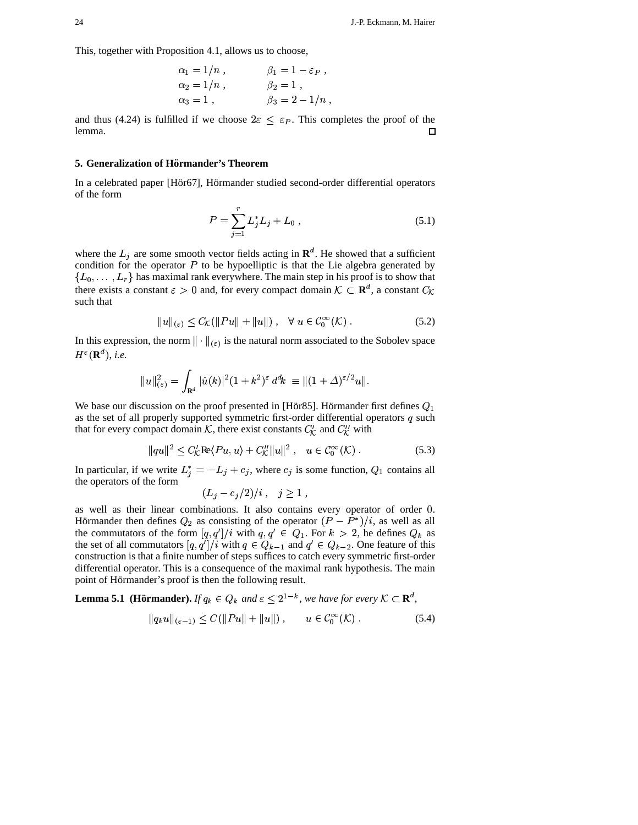This, together with Proposition 4.1, allows us to choose,

$$
\alpha_1 = 1/n
$$
,  $\beta_1 = 1 - \varepsilon_P$ ,  
\n $\alpha_2 = 1/n$ ,  $\beta_2 = 1$ ,  
\n $\alpha_3 = 1$ ,  $\beta_3 = 2 - 1/n$ 

and thus (4.24) is fulfilled if we choose  $2\varepsilon \leq \varepsilon_P$ . This completes the proof of the lemma.  $\Box$ 

# 5. Generalization of Hörmander's Theorem

In a celebrated paper [Hör67], Hörmander studied second-order differential operators of the form

$$
P = \sum_{j=1}^{r} L_j^* L_j + L_0 , \qquad (5.1)
$$

where the  $L_j$  are some smooth vector fields acting in  $\mathbf{R}^d$ . He showed that a sufficient condition for the operator  $P$  to be hypoelliptic is that the Lie algebra generated by  $\{L_0, \ldots, L_r\}$  has maximal rank everywhere. The main step in his proof is to show that there exists a constant  $\varepsilon > 0$  and, for every compact domain  $\mathcal{K} \subset \mathbf{R}^d$ , a constant  $C_{\mathcal{K}}$ such that

$$
||u||_{(\varepsilon)} \leq C_{\mathcal{K}}(||Pu|| + ||u||), \quad \forall \ u \in C_0^{\infty}(\mathcal{K}). \tag{5.2}
$$

In this expression, the norm  $\|\cdot\|_{(\varepsilon)}$  is the natural norm associated to the Sobolev space  $H^{\varepsilon}(\mathbf{R}^d),$  i.e.

$$
||u||_{(\varepsilon)}^2 = \int_{\mathbf{R}^d} |\hat{u}(k)|^2 (1+k^2)^{\varepsilon} d^d k \equiv ||(1+\Delta)^{\varepsilon/2} u||.
$$

We base our discussion on the proof presented in [Hör85]. Hörmander first defines  $Q_1$ as the set of all properly supported symmetric first-order differential operators  $q$  such that for every compact domain  $K$ , there exist constants  $C_K'$  and  $C_K''$  with

$$
||qu||^{2} \leq C_{\mathcal{K}}^{\prime} \text{Re}\langle Pu, u \rangle + C_{\mathcal{K}}^{\prime\prime} ||u||^{2}, \quad u \in C_{0}^{\infty}(\mathcal{K}) . \tag{5.3}
$$

In particular, if we write  $L_j^* = -L_j + c_j$ , where  $c_j$  is some function,  $Q_1$  contains all the operators of the form

$$
L_j - c_j/2)/i \ , \quad j \geq 1 \ ,
$$

as well as their linear combinations. It also contains every operator of order 0. Hörmander then defines  $Q_2$  as consisting of the operator  $(P - P^*)/i$ , as well as all the commutators of the form  $[q, q']/i$  with  $q, q' \in Q_1$ . For  $k > 2$ , he defines  $Q_k$  as the set of all commutators  $[q, q']/i$  with  $q \in Q_{k-1}$  and  $q' \in Q_{k-2}$ . One feature of this construction is that a finite number of steps suffices to catch every symmetric first-order differential operator. This is a consequence of the maximal rank hypothesis. The main point of Hörmander's proof is then the following result.

**Lemma 5.1 (Hörmander).** If  $q_k \in Q_k$  and  $\varepsilon \leq 2^{1-k}$ , we have for every  $K \subset \mathbf{R}^d$ ,

$$
|q_k u||_{(\varepsilon - 1)} \le C(||Pu|| + ||u||), \qquad u \in C_0^{\infty}(\mathcal{K}). \tag{5.4}
$$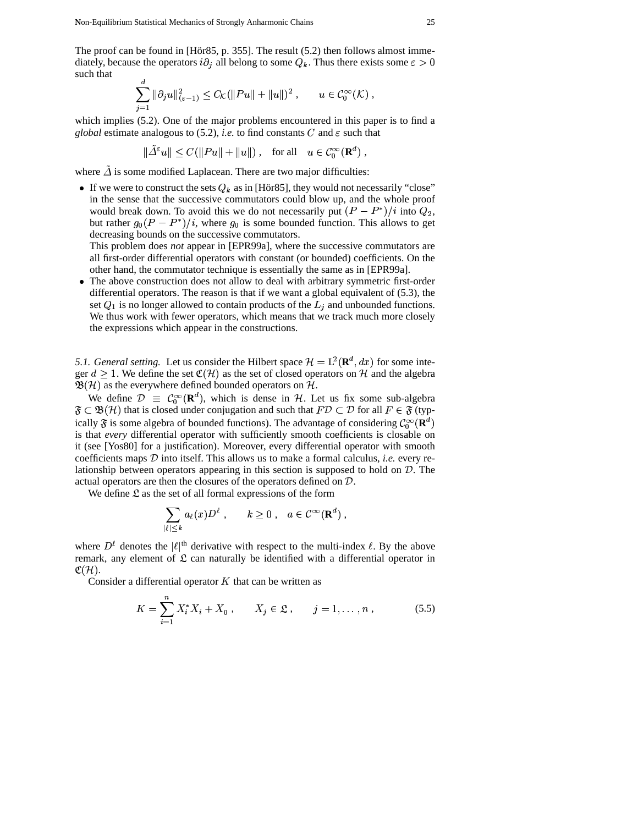The proof can be found in [Hör85, p. 355]. The result  $(5.2)$  then follows almost imme-The proof can be found in [Hör85, p. 355]. I diately, because the operators  $i\partial_j$  all belong  $Q_i$  all belong to some  $Q_k$ . Thus there exists some  $\varepsilon > 0$ such that

$$
\sum_{j=1}^d \|\partial_j u\|_{(\varepsilon - 1)}^2 \le C_{\mathcal{K}} (\|Pu\| + \|u\|)^2 , \qquad u \in C_0^{\infty}(\mathcal{K}),
$$

which implies (5.2). One of the major problems encountered in this paper is to find a *global* estimate analogous to (5.2), *i.e.* to find constants C and  $\varepsilon$  such that

$$
\|\tilde{\varDelta}^{\varepsilon}u\| \le C(\|Pu\| + \|u\|) \,, \quad \text{for all} \quad u \in \mathcal{C}_0^{\infty}(\mathbf{R}^d) \,,
$$

 $\|\Delta^{\varepsilon}u\| \leq C(\|Pu\| + \|u\|)$ , for all  $u \in C_0^{\infty}(\mathbf{R}^d)$ ,<br>where  $\tilde{\Delta}$  is some modified Laplacean. There are two major difficulties:

If we were to construct the sets  $Q_k$  as in [Hör85], they would not necessarily "close" in the sense that the successive commutators could blow up, and the whole proof would break down. To avoid this we do not necessarily put  $(P - P^*)/i$  into  $Q_2$ , but rather  $g_0(P - P^*)/i$ , where  $g_0$  is some bounded function. This allows to get decreasing bounds on the successive commutators.

This problem does *not* appear in [EPR99a], where the successive commutators are all first-order differential operators with constant (or bounded) coefficients. On the other hand, the commutator technique is essentially the same as in [EPR99a].

• The above construction does not allow to deal with arbitrary symmetric first-order differential operators. The reason is that if we want a global equivalent of (5.3), the set  $Q_1$  is no longer allowed to contain products of the  $L_i$  and unbounded functions. We thus work with fewer operators, which means that we track much more closely the expressions which appear in the constructions.

5.1. *General setting.* Let us consider the Hilbert space  $\mathcal{H} = L^2(\mathbf{R}^d, dx)$  for  $\mathbf{R}^d, dx$  for some ) for some integer  $d \geq 1$ . We define the set  $\mathfrak{C}(\mathcal{H})$  as the set of closed operators on  $\mathcal{H}$  and the algebra  $\mathfrak{B}(\mathcal{H})$  as the everywhere defined bounded operators on  $\mathcal{H}.$ 

We define  $\mathcal{D} \equiv \mathcal{C}_0^{\infty}(\mathbf{R}^d)$ , which is dense in  $\mathcal{H}$ . Let us fix some sub-algebra  $\mathfrak{F} \subset \mathfrak{B}(\mathcal{H})$  that is closed under conjugation and such that  $F\mathcal{D} \subset \mathcal{D}$  for all  $F \in \mathfrak{F}$  (typically  $\mathfrak{F}$  is some algebra of bounded functions). The advantage of considering  $\mathcal{C}_0^{\infty}(\mathbf{R}^d)$ is that *every* differential operator with sufficiently smooth coefficients is closable on it (see [Yos80] for a justification). Moreover, every differential operator with smooth coefficients maps  $D$  into itself. This allows us to make a formal calculus, *i.e.* every relationship between operators appearing in this section is supposed to hold on  $D$ . The actual operators are then the closures of the operators defined on  $D$ .

We define  $\mathfrak L$  as the set of all formal expressions of the form

$$
\sum_{|\ell| \leq k} a_{\ell}(x) D^{\ell} , \qquad k \geq 0 , \quad a \in \mathcal{C}^{\infty}(\mathbf{R}^{d}) ,
$$

where  $D^{\ell}$  denotes the  $|\ell|^{\text{th}}$  derivative with respect to the multi-index  $\ell$ . By the above remark, any element of  $\mathfrak L$  can naturally be identified with a differential operator in  $\mathfrak{C}(\mathcal{H}).$ 

Consider a differential operator  $K$  that can be written as

$$
K = \sum_{i=1}^{n} X_i^* X_i + X_0 , \qquad X_j \in \mathfrak{L} , \qquad j = 1, \dots, n , \tag{5.5}
$$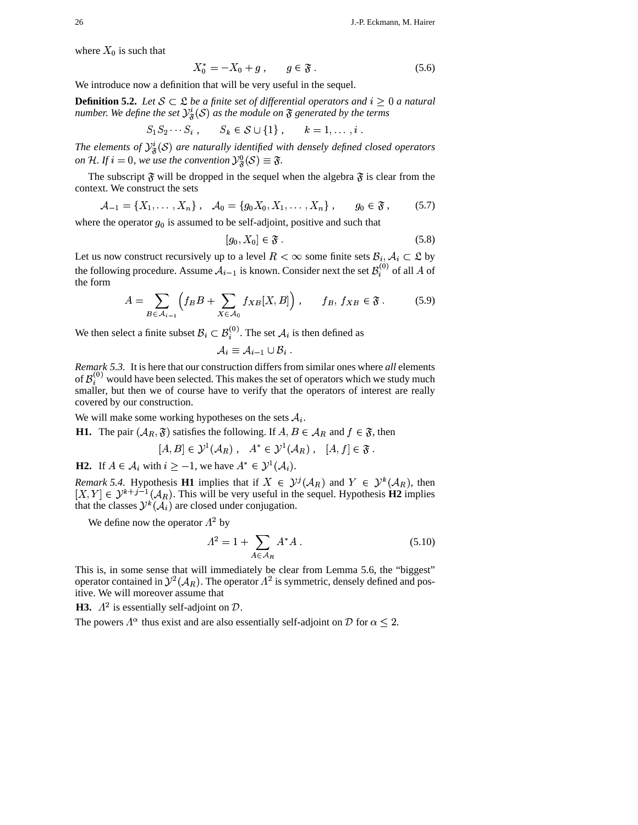where  $X_0$  is such that

$$
X_0^* = -X_0 + g \,, \qquad g \in \mathfrak{F} \,.
$$
 (5.6)

We introduce now a definition that will be very useful in the sequel.

**Definition 5.2.** Let  $S \subset \mathcal{L}$  be a finite set of differential operators and  $i \geq 0$  a natural *number. We define the set*  $\mathcal{Y}^i_{\mathcal{R}}(\mathcal{S})$  as the module on  $\mathfrak{F}$  generated by the terms

$$
S_1 S_2 \cdots S_i, \qquad S_k \in \mathcal{S} \cup \{1\}, \qquad k = 1, \ldots, i.
$$

*The elements of*  $\mathcal{Y}_{\mathcal{R}}^{i}(\mathcal{S})$  are naturally identified with densely defined closed operators *on* H. If  $i = 0$ , we use the convention  $\mathcal{Y}^0_{\mathcal{R}}(\mathcal{S}) \equiv \mathfrak{F}$ .

The subscript  $\mathfrak F$  will be dropped in the sequel when the algebra  $\mathfrak F$  is clear from the context. We construct the sets &

$$
A_{-1} = \{X_1, \ldots, X_n\}, \quad A_0 = \{g_0 X_0, X_1, \ldots, X_n\}, \quad g_0 \in \mathfrak{F}, \quad (5.7)
$$

where the operator  $g_0$  is assumed to be self-adjoint, positive and such that

$$
[g_0, X_0] \in \mathfrak{F} \tag{5.8}
$$

Let us now construct recursively up to a level  $R < \infty$  some finite sets  $B_i, A_i \subset \mathfrak{L}$  by the following procedure. Assume  $A_{i-1}$  is known. Consider next the set  $\mathcal{B}_i^{(0)}$  of all A of the form

$$
A = \sum_{B \in \mathcal{A}_{i-1}} \left( f_B B + \sum_{X \in \mathcal{A}_0} f_{XB}[X, B] \right), \qquad f_B, f_{XB} \in \mathfrak{F} \,.
$$
 (5.9)

We then select a finite subset  $\mathcal{B}_i \subset \mathcal{B}_i^{(0)}$ . The set  $\mathcal{A}_i$  $\beta_i^{(0)}$ . The set  $\mathcal{A}_i$  is then defined as

$$
{\cal A}_i \equiv {\cal A}_{i-1} \cup {\cal B}_i \; .
$$

*Remark* 5.3. It is here that our construction differs from similar ones where *all* elements of  $\mathcal{B}_{i}^{(0)}$  would have been selected. This makes the set of operators which we study much smaller, but then we of course have to verify that the operators of interest are really covered by our construction.

We will make some working hypotheses on the sets  $A_i$ .

**H1.** The pair  $(A_R, \mathfrak{F})$  satisfies the following. If  $A, B \in \mathcal{A}_R$  and  $f \in \mathfrak{F}$ , then

$$
[A, B] \in \mathcal{Y}^1(\mathcal{A}_R) , \quad A^* \in \mathcal{Y}^1(\mathcal{A}_R) , \quad [A, f] \in \mathfrak{F} .
$$

[ $A, B$ ]  $\in \mathcal{Y}^1(\mathcal{A}_R)$ ,  $A^* \in \mathcal{Y}^1(\mathcal{A}_R)$ , [ $A, f$ ]<br> **H2.** If  $A \in \mathcal{A}_i$  with  $i \ge -1$ , we have  $A^* \in \mathcal{Y}^1(\mathcal{A}_i)$ .

*Remark* 5.4. Hypothesis **H1** implies that if  $X \in \mathcal{Y}^j(\mathcal{A}_R)$  and  $Y \in \mathcal{Y}^k(\mathcal{A}_R)$ , then  $[X, Y] \in \mathcal{Y}^{k+j-1}(\mathcal{A}_R)$ . This will be very useful in the sequel. Hypothesis **H2** implies that the classes  $\mathcal{Y}^k(\mathcal{A}_i)$  are closed under conjugation.

We define now the operator  $\Lambda^2$  by

$$
A^2 = 1 + \sum_{A \in \mathcal{A}_R} A^* A \,. \tag{5.10}
$$

This is, in some sense that will immediately be clear from Lemma 5.6, the "biggest" operator contained in  $y^2(A_R)$ . The operator  $\Lambda^2$  is symmetric, densely defined and positive. We will moreover assume that

**H3.**  $\Lambda^2$  is essentially self-adjoint on  $\mathcal{D}$ .

The powers  $\Lambda^{\alpha}$  thus exist and are also essentially self-adjoint on  $\mathcal D$  for  $\alpha \leq 2$ .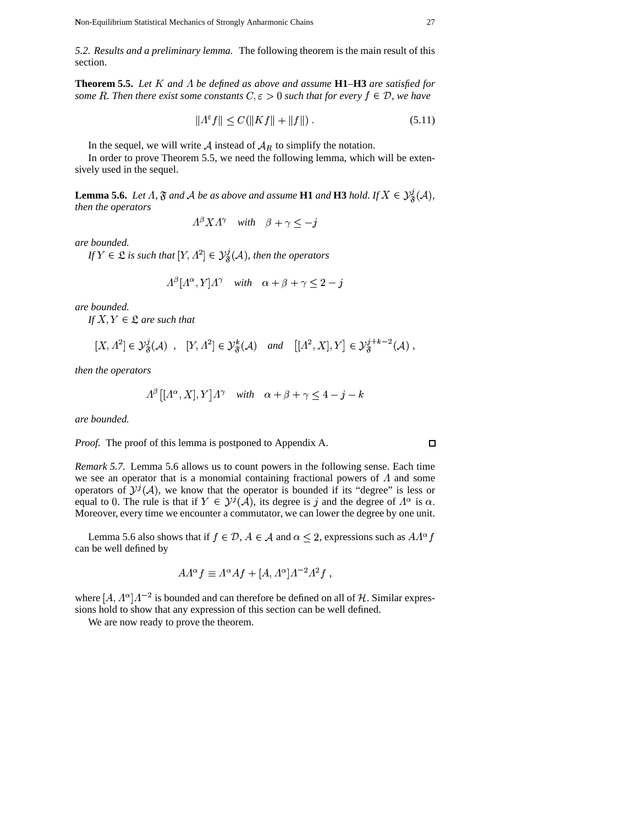$\Box$ 

*5.2. Results and a preliminary lemma.* The following theorem is the main result of this section.

**Theorem 5.5.** Let  $K$  and  $\Lambda$  be defined as above and assume  $H1-H3$  are satisfied for *some* R. Then there exist some constants  $C, \varepsilon > 0$  such that for every  $f \in \mathcal{D}$ , we have

$$
||A^{\varepsilon}f|| \le C(||Kf|| + ||f||). \tag{5.11}
$$

In the sequel, we will write  $\mathcal A$  instead of  $\mathcal A_R$  to simplify the notation.

In order to prove Theorem 5.5, we need the following lemma, which will be extensively used in the sequel.

**Lemma 5.6.** Let  $\Lambda$ ,  $\mathfrak{F}$  and  $\mathcal{A}$  be as above and assume **H1** and **H3** hold. If  $X \in \mathcal{Y}^{\mathcal{I}}_{\mathcal{R}}(\mathcal{A})$ , *then the operators*  $\beta$ 

$$
A^{\beta} X A^{\gamma} \quad with \quad \beta + \gamma \le -j
$$

*are bounded.*

*If*  $Y \in \mathfrak{L}$  *is such that*  $[Y, \Lambda^2] \in \mathcal{Y}_{\mathfrak{F}}^{\jmath}(\mathcal{A})$ *, th*  $\mathcal{O}_X^{\{r\}}(X, \Lambda^2) \in \mathcal{Y}^{\{r\}}_{\mathcal{R}}(\mathcal{A})$ , then the operators

$$
A^{\beta}[A^{\alpha}, Y]A^{\gamma} \quad with \quad \alpha + \beta + \gamma \le 2 - j
$$

*are bounded.*

*If*  $X, Y \in \mathcal{L}$  *are such that* 

$$
[X, \Lambda^2] \in \mathcal{Y}_{\mathfrak{F}}^j(\mathcal{A}) \quad , \quad [Y, \Lambda^2] \in \mathcal{Y}_{\mathfrak{F}}^k(\mathcal{A}) \quad \text{and} \quad [[\Lambda^2, X], Y] \in \mathcal{Y}_{\mathfrak{F}}^{j+k-2}(\mathcal{A}) \; ,
$$

*then the operators*

$$
A^{\beta}[(A^{\alpha}, X], Y]A^{\gamma} \quad with \quad \alpha + \beta + \gamma \le 4 - j - k
$$

*are bounded.*

*Proof.* The proof of this lemma is postponed to Appendix A.

*Remark 5.7.* Lemma 5.6 allows us to count powers in the following sense. Each time we see an operator that is a monomial containing fractional powers of  $\Lambda$  and some operators of  $\mathcal{Y}^{j}(\mathcal{A})$ , we know that the operator is bounded if its "degree" is less or equal to 0. The rule is that if  $Y \in \mathcal{Y}^j(\mathcal{A})$ , its degree is j and the degree of  $\Lambda^\alpha$  is  $\alpha$ . Moreover, every time we encounter a commutator, we can lower the degree by one unit.

Lemma 5.6 also shows that if  $f \in \mathcal{D}$ ,  $A \in \mathcal{A}$  and  $\alpha \leq 2$ , expressions such as  $AA'$  <sup>b</sup> can be well defined by

$$
A\Lambda^{\alpha}f \equiv \Lambda^{\alpha}Af + [A, \Lambda^{\alpha}]\Lambda^{-2}\Lambda^{2}f ,
$$

where  $[A, \Lambda^{\alpha}] \Lambda^{-2}$  is bounded<br>sions hold to show that any ex sions hold to show that any expression of this section can be well defined. <sup>2</sup> is bounded and can therefore be defined on all of  $H$ . Similar expres-

We are now ready to prove the theorem.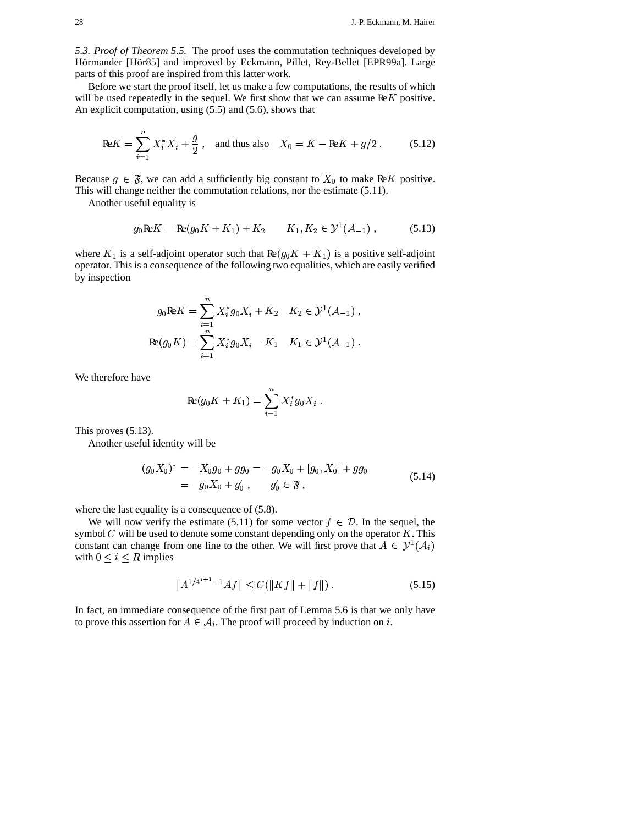*5.3. Proof of Theorem 5.5.* The proof uses the commutation techniques developed by Hörmander [Hör85] and improved by Eckmann, Pillet, Rey-Bellet [EPR99a]. Large parts of this proof are inspired from this latter work.

Before we start the proof itself, let us make a few computations, the results of which will be used repeatedly in the sequel. We first show that we can assume  $ReK$  positive. An explicit computation, using (5.5) and (5.6), shows that

$$
\text{Re}K = \sum_{i=1}^{n} X_i^* X_i + \frac{g}{2}, \text{ and thus also } X_0 = K - \text{Re}K + g/2. \quad (5.12)
$$

Because  $g \in \mathfrak{F}$ , we can add a sufficiently big constant to  $X_0$  to make ReK positive. This will change neither the commutation relations, nor the estimate (5.11).

Another useful equality is

$$
g_0 \mathbf{R} \mathbf{E} K = \mathbf{R} (g_0 K + K_1) + K_2 \qquad K_1, K_2 \in \mathcal{Y}^1(\mathcal{A}_{-1}), \tag{5.13}
$$

where  $K_1$  is a self-adjoint operator such that  $\text{Re}(g_0 K + K_1)$  is a positive self-adjoint operator. This is a consequence of the following two equalities, which are easily verified by inspection

$$
g_0 \text{Re} K = \sum_{i=1}^n X_i^* g_0 X_i + K_2 \quad K_2 \in \mathcal{Y}^1(\mathcal{A}_{-1}),
$$
  

$$
\text{Re}(g_0 K) = \sum_{i=1}^n X_i^* g_0 X_i - K_1 \quad K_1 \in \mathcal{Y}^1(\mathcal{A}_{-1}).
$$

We therefore have

$$
\text{Re}(g_0 K + K_1) = \sum_{i=1}^n X_i^* g_0 X_i .
$$

This proves (5.13).

Another useful identity will be

$$
(g_0 X_0)^* = -X_0 g_0 + g g_0 = -g_0 X_0 + [g_0, X_0] + g g_0
$$
  
= -g\_0 X\_0 + g'\_0, \t\t g'\_0 \in \mathfrak{F}, \t\t(5.14)

where the last equality is a consequence of  $(5.8)$ .

We will now verify the estimate (5.11) for some vector  $f \in \mathcal{D}$ . In the sequel, the symbol  $C$  will be used to denote some constant depending only on the operator  $K$ . This constant can change from one line to the other. We will first prove that  $A \in \mathcal{Y}^1(\mathcal{A}_i)$  $\cdots$ with  $0 \leq i \leq R$  implies

$$
||A^{1/4^{i+1}-1}Af|| \le C(||Kf|| + ||f||). \tag{5.15}
$$

In fact, an immediate consequence of the first part of Lemma 5.6 is that we only have to prove this assertion for  $A \in \mathcal{A}_i$ . The proof will proceed by induction on i.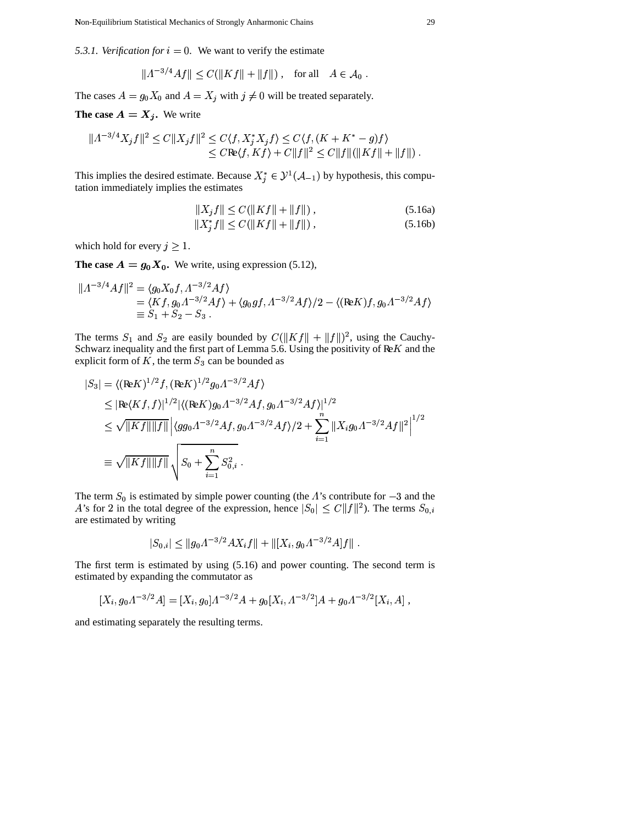5.3.1. Verification for  $i = 0$ . We want to verify the estimate

$$
|A^{-3/4}Af|| \leq C(||Kf|| + ||f||) , \text{ for all } A \in \mathcal{A}_0 .
$$

The cases  $A = g_0 X_0$  and  $A = X_j$  with  $j \neq 0$  will be treated separately.

**The case**  $A = X_j$ . We write

$$
||A^{-3/4}X_jf||^2 \le C||X_jf||^2 \le C\langle f, X_j^*X_jf \rangle \le C\langle f, (K + K^* - g)f \rangle
$$
  
\n
$$
\le C\text{Re}\langle f, Kf \rangle + C||f||^2 \le C||f||(||Kf|| + ||f||).
$$

This implies the desired estimate. Because  $X_j^* \in \mathcal{Y}^1(\mathcal{A}_{-1})$  by hypothesis, this computation immediately implies the estimates tation immediately implies the estimates

$$
||X_j f|| \le C(||Kf|| + ||f||), \tag{5.16a}
$$

$$
||X_j^* f|| \le C(||Kf|| + ||f||), \tag{5.16b}
$$

which hold for every  $j \geq 1$ .

**The case**  $A = g_0 X_0$ . We write, using expression (5.12),

$$
||A^{-3/4}Af||^2 = \langle g_0 X_0 f, A^{-3/2} Af \rangle
$$
  
=  $\langle Kf, g_0 A^{-3/2} Af \rangle + \langle g_0 gf, A^{-3/2} Af \rangle /2 - \langle (\text{Re} K)f, g_0 A^{-3/2} Af \rangle$   
\equiv  $S_1 + S_2 - S_3$ .

The terms  $S_1$  and  $S_2$  are easily bounded by  $C(||Kf|| + ||f||)^2$ , using the Cauchy-Schwarz inequality and the first part of Lemma 5.6. Using the positivity of  $\mathbb{R}K$  and the explicit form of K, the term  $S_3$  can be bounded as

$$
|S_3| = \langle (\mathbf{R} \in K)^{1/2} f, (\mathbf{R} \in K)^{1/2} g_0 \Lambda^{-3/2} A f \rangle
$$
  
\n
$$
\leq |\mathbf{R} \in (K f, f)|^{1/2} |\langle (\mathbf{R} \in K) g_0 \Lambda^{-3/2} A f, g_0 \Lambda^{-3/2} A f \rangle|^{1/2}
$$
  
\n
$$
\leq \sqrt{\|K f\| \|f\|} |\langle g g_0 \Lambda^{-3/2} A f, g_0 \Lambda^{-3/2} A f \rangle / 2 + \sum_{i=1}^n \|X_i g_0 \Lambda^{-3/2} A f\|^2|^{1/2}
$$
  
\n
$$
\equiv \sqrt{\|K f\| \|f\|} \sqrt{S_0 + \sum_{i=1}^n S_{0,i}^2}.
$$

The term  $S_0$  is estimated by simple power counting (the  $\Lambda$ 's contribute for  $-3$  and the are estimated by writing 's for 2 in the total degree of the expression, hence  $|S_0| \le C ||f||^2$ ). The terms  $S_{0,i}$ 

$$
|S_{0,i}| \leq ||g_0 \Lambda^{-3/2} A X_i f|| + ||[X_i, g_0 \Lambda^{-3/2} A] f||.
$$

The first term is estimated by using (5.16) and power counting. The second term is estimated by expanding the commutator as & &

$$
[X_i, g_0 \Lambda^{-3/2} A] = [X_i, g_0] \Lambda^{-3/2} A + g_0 [X_i, \Lambda^{-3/2}] A + g_0 \Lambda^{-3/2} [X_i, A] ,
$$

and estimating separately the resulting terms.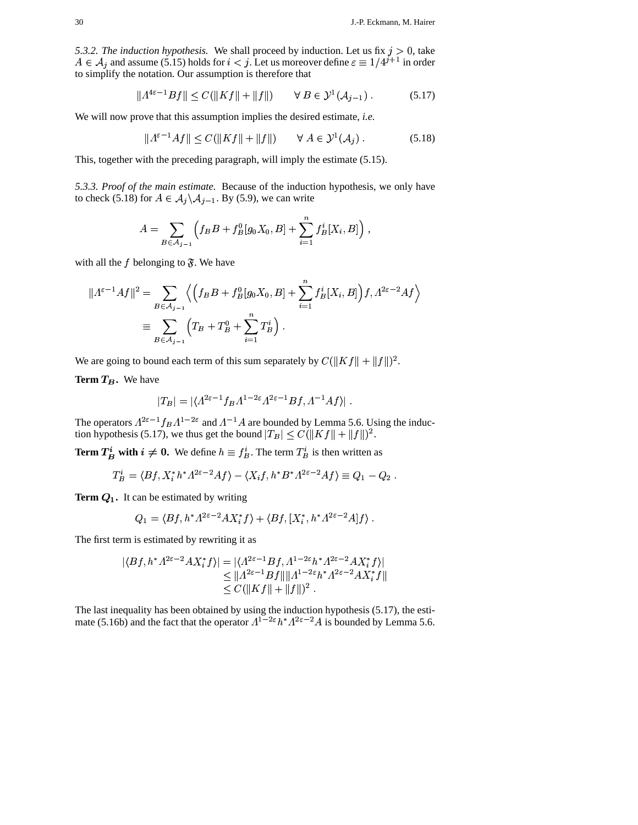*5.3.2. The induction hypothesis.* We shall proceed by induction. Let us fix  $j > 0$ , take to simplify the notation. Our assumption is therefore that<br>  $||A^{4\varepsilon-1}Bf|| < C(||Kf|| + ||f||) \quad \forall B$  $\in A_j$  and assume (5.15) holds for  $i < j$ . Let us moreover define  $\varepsilon \equiv 1/4^{j+1}$  in orde  $<sup>1</sup>$  in order</sup>

$$
||A^{4\varepsilon-1}Bf|| \le C(||Kf|| + ||f||) \qquad \forall B \in \mathcal{Y}^1(\mathcal{A}_{j-1}).
$$
 (5.17)

We will now prove that this assumption implies the desired estimate, *i.e.*<br> $||A^{\varepsilon-1}A f|| \leq C(||K f|| + ||f||) \quad \forall A \in \mathcal{V}^1(A)$ .

$$
||A^{\varepsilon-1}Af|| \le C(||Kf|| + ||f||) \qquad \forall A \in \mathcal{Y}^1(\mathcal{A}_j).
$$
 (5.18)

This, together with the preceding paragraph, will imply the estimate (5.15).

5.3.3. Proof of the main estimate. Because of the induction hypothesis, we only have to check (5.18) for  $A \in \mathcal{A}_j \backslash \mathcal{A}_{j-1}$ . By (5.9), we can write

$$
A = \sum_{B \in \mathcal{A}_{j-1}} \left( f_B B + f_B^0 [g_0 X_0, B] + \sum_{i=1}^n f_B^i [X_i, B] \right),
$$

with all the f belonging to  $\mathfrak{F}$ . We have

$$
\begin{aligned} ||A^{\varepsilon-1}Af||^2 &= \sum_{B \in \mathcal{A}_{j-1}} \left\langle \left(f_B B + f_B^0[g_0 X_0, B] + \sum_{i=1}^n f_B^i[X_i, B]\right) f, A^{2\varepsilon-2} Af \right\rangle \\ &\equiv \sum_{B \in \mathcal{A}_{j-1}} \left( T_B + T_B^0 + \sum_{i=1}^n T_B^i \right) .\end{aligned}
$$

We are going to bound each term of this sum separately by  $C(\|Kf\| + \|f\|)^2$ .

**Term**  $T_B$ . We have

$$
|T_B| = |\langle A^{2\varepsilon-1} f_B A^{1-2\varepsilon} A^{2\varepsilon-1} B f, A^{-1} A f\rangle| \; .
$$

<sup>F</sup>

The operators  $A^{2\epsilon - 1} f_B A^{1-2\epsilon}$  and  $A^{-1}A$  are bounded by Lemma 5.6. Using the  $|I_B| = |\langle A^{-1} I_B \rangle|$ <br> $\varepsilon^{-1} f_B A^{1-2\varepsilon}$  and  $A^{-1}$ .  $\epsilon$  and  $\Lambda^{-1}A$  are bounded by Lemma 5.6. Using the induction hypothesis (5.17), we thus get the bound  $|T_B| \leq C(||Kf|| + ||f||)^2$ . |<br>|<br>| |

**Term**  $T^i_B$  **with**  $i \neq 0$ **.** We define  $h \equiv f^i_B$ . The term  $T^i_B$  is then written as<br>  $T^i_B = \langle Bf, X^* h^* A^{2\varepsilon - 2} A f \rangle - \langle X, f, h^* B^* A^{2\varepsilon - 2} A f \rangle \equiv Q_1 - Q_2$ |<br>|<br>|

$$
T_B^i = \langle Bf, X_i^*h^*A^{2\varepsilon-2}Af \rangle - \langle X_i f, h^*B^*A^{2\varepsilon-2}Af \rangle \equiv Q_1 - Q_2.
$$

**Term**  $Q_1$ . It can be estimated by writing<br>  $Q_1 = \langle Bf, h^* A^{2\epsilon - 2} A X_i^* f \rangle$ 

can be estimated by writing  
\n
$$
Q_1 = \langle Bf, h^* A^{2\varepsilon - 2} A X_i^* f \rangle + \langle Bf, [X_i^*, h^* A^{2\varepsilon - 2} A] f \rangle.
$$

The first term is estimated by rewriting it as<br>  $|\langle Bf, h^* A^{2\varepsilon-2} A X^* f \rangle| = |\langle A^{2\varepsilon} \rangle|$ 

$$
|\langle Bf, h^* \Lambda^{2\varepsilon - 2} A X_i^* f \rangle| = |\langle \Lambda^{2\varepsilon - 1} Bf, \Lambda^{1 - 2\varepsilon} h^* \Lambda^{2\varepsilon - 2} A X_i^* f \rangle|
$$
  
≤  $||\Lambda^{2\varepsilon - 1} Bf|| ||\Lambda^{1 - 2\varepsilon} h^* \Lambda^{2\varepsilon - 2} A X_i^* f||$   
≤  $C(||Kf|| + ||f||)^2$ .

The last inequality has been obtained by using the induction hypothesis (5.17), the estimate (5.16b) and the fact that the operator  $\Lambda^{1-2\varepsilon} h^* \Lambda^{2\varepsilon-2}$ . s <sup>T</sup> . . . action hypothesis (5.17), the esti-<br> $\varepsilon^{-2}$  A is bounded by Lemma 5.6.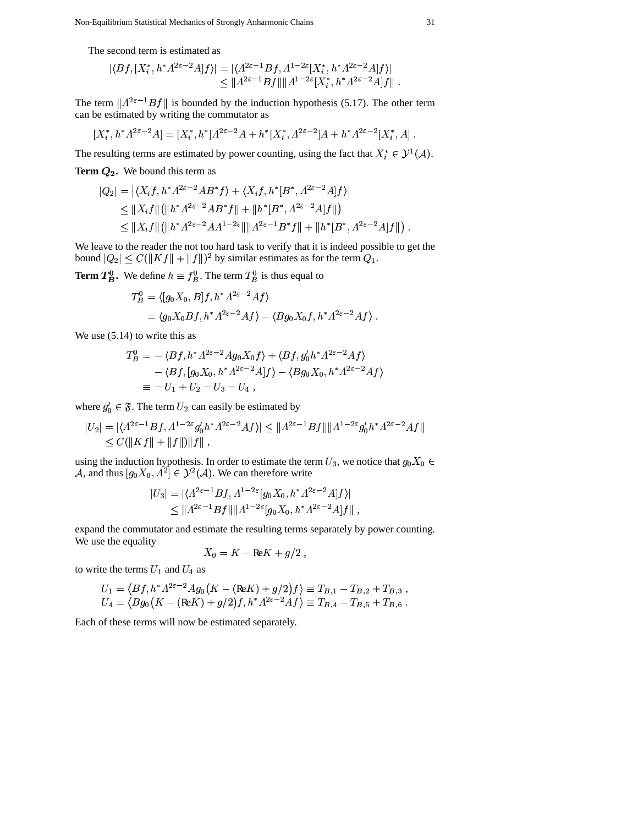Non-Equilibrium Statistical Mechanics of Strongly Anharmonic Chains 31

The second term is estimated as  
\n
$$
|\langle Bf, [X_i^*, h^* \Lambda^{2\varepsilon - 2} A]f \rangle| = |\langle \Lambda^{2\varepsilon - 1} Bf, \Lambda^{1 - 2\varepsilon} [X_i^*, h^* \Lambda^{2\varepsilon - 2} A]f \rangle|
$$
\n
$$
\leq \| \Lambda^{2\varepsilon - 1} Bf \| \| \Lambda^{1 - 2\varepsilon} [X_i^*, h^* \Lambda^{2\varepsilon - 2} A]f \|.
$$

The term  $||A^{2\varepsilon-1}Bf||$  is bounded by the induction hypothesis (5.17).  $\varepsilon^{-1} Bf$ || is b  $\|Bf\|$  is bounded by the induction hypothesis (5.17). The other term

can be estimated by writing the commutator as  
\n
$$
[X_i^*, h^* \Lambda^{2\varepsilon-2} A] = [X_i^*, h^*] \Lambda^{2\varepsilon-2} A + h^* [X_i^*, \Lambda^{2\varepsilon-2}] A + h^* \Lambda^{2\varepsilon-2} [X_i^*, A].
$$

The resulting terms are estimated by power counting, using the fact that  $X_i^* \in \mathcal{Y}^1(\mathcal{A})$ .  $^{1}(\mathcal{A}).$ 

**Term**  $Q_2$ **. We bound this term as<br>**  $|Q_2| = |\langle X, f, h^* A^{2\epsilon - 2} A B^* f \rangle|$ 

$$
Q_2.
$$
 We bound this term as  
\n
$$
|Q_2| = |\langle X_i f, h^* \Lambda^{2\varepsilon - 2} A B^* f \rangle + \langle X_i f, h^* [B^*, \Lambda^{2\varepsilon - 2} A] f \rangle|
$$
\n
$$
\leq ||X_i f|| (||h^* \Lambda^{2\varepsilon - 2} A B^* f|| + ||h^* [B^*, \Lambda^{2\varepsilon - 2} A] f||)
$$
\n
$$
\leq ||X_i f|| (||h^* \Lambda^{2\varepsilon - 2} A \Lambda^{1 - 2\varepsilon} || ||\Lambda^{2\varepsilon - 1} B^* f|| + ||h^* [B^*, \Lambda^{2\varepsilon - 2} A] f||).
$$

We leave to the reader the not too hard task to verify that it is indeed possible to get the bound  $|Q_2| \leq C(||Kf|| + ||f||)^2$  by similar estimates as for the term  $Q_1$ .

**Term**  $T_B^0$ **. We define**  $h \equiv f_B^0$ **. The term**  $T_B^0$  **is thus equal to<br>**  $T_P^0 = \langle [q_0 X_0, B]f, h^* A^{2\varepsilon - 2}A f \rangle$ 

$$
T_B^0 = \langle [g_0 X_0, B]f, h^* \Lambda^{2\varepsilon - 2} A f \rangle
$$
  
=  $\langle g_0 X_0 Bf, h^* \Lambda^{2\varepsilon - 2} A f \rangle - \langle B g_0 X_0 f, h^* \Lambda^{2\varepsilon - 2} A f \rangle$ .

We use  $(5.14)$  to write this as

4) to write this as  
\n
$$
T_B^0 = -\langle Bf, h^* A^{2\varepsilon - 2} A g_0 X_0 f \rangle + \langle Bf, g'_0 h^* A^{2\varepsilon - 2} A f \rangle
$$
\n
$$
- \langle Bf, [g_0 X_0, h^* A^{2\varepsilon - 2} A] f \rangle - \langle Bg_0 X_0, h^* A^{2\varepsilon - 2} A f \rangle
$$
\n
$$
\equiv -U_1 + U_2 - U_3 - U_4 ,
$$

where 
$$
g'_0 \in \mathfrak{F}
$$
. The term  $U_2$  can easily be estimated by  
\n
$$
|U_2| = |\langle \Lambda^{2\varepsilon - 1} Bf, \Lambda^{1 - 2\varepsilon} g'_0 h^* \Lambda^{2\varepsilon - 2} Af \rangle| \le ||\Lambda^{2\varepsilon - 1} Bf|| ||\Lambda^{1 - 2\varepsilon} g'_0 h^* \Lambda^{2\varepsilon - 2} Af||
$$
\n
$$
\le C(||Kf|| + ||f||)||f||,
$$

using the induction hypothesis. In order to estimate the term  $U_3$ , we notice that  $g_0X_0 \in$ A, and thus  $[g_0 X_0, \Lambda^2] \in \mathcal{Y}^2(\mathcal{A})$ . V  $2 \in \mathcal{Y}^2(\mathcal{A})$ . We can the <sup>2</sup>(*A*). We can therefore write<br>  $A^{2\varepsilon-1}Bf$ ,  $A^{1-2\varepsilon}[q_0X_0, h^*A^2]$  $^{-2}$  Al f > |

$$
|U_3| = |\langle \Lambda^{2\varepsilon - 1} Bf, \Lambda^{1 - 2\varepsilon} [g_0 X_0, h^* \Lambda^{2\varepsilon - 2} A]f \rangle|
$$
  
\$\leq \| \Lambda^{2\varepsilon - 1} Bf \| \| \Lambda^{1 - 2\varepsilon} [g\_0 X\_0, h^\* \Lambda^{2\varepsilon - 2} A]f \| ,

,

expand the commutator and estimate the resulting terms separately by power counting. We use the equality

$$
X_0 = K - \text{Re}K + g/2 ,
$$

to write the terms 
$$
U_1
$$
 and  $U_4$  as  
\n
$$
U_1 = \langle Bf, h^* A^{2\varepsilon - 2} A g_0 (K - (\text{Re}K) + g/2) f \rangle \equiv T_{B,1} - T_{B,2} + T_{B,3} ,
$$
\n
$$
U_4 = \langle Bg_0 (K - (\text{Re}K) + g/2) f, h^* A^{2\varepsilon - 2} A f \rangle \equiv T_{B,4} - T_{B,5} + T_{B,6} .
$$

Each of these terms will now be estimated separately.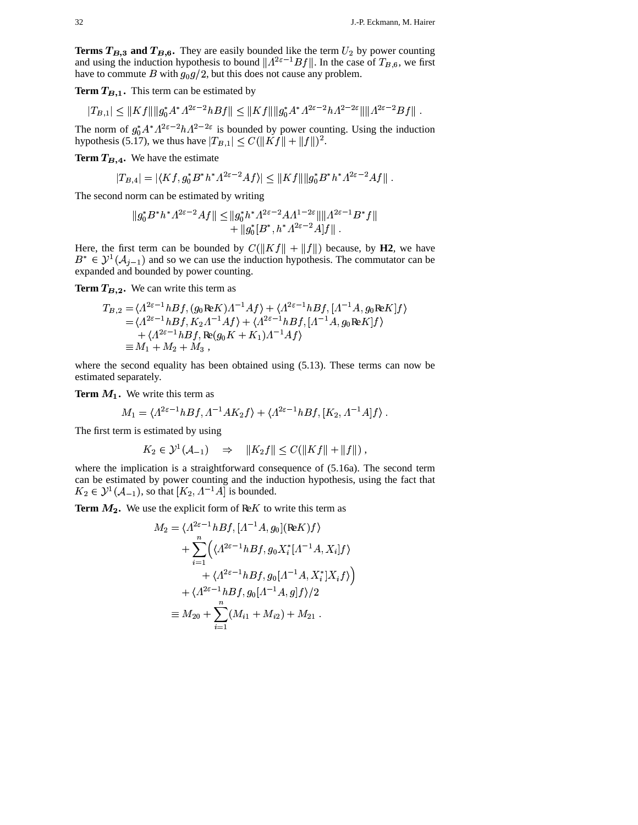**Terms**  $T_{B,3}$  and  $T_{B,6}$ . They are easily bounded like the term  $U_2$  by power counting and using the induction hypothesis to bound  $||A^{2\epsilon-1}Bf||$ . In the case of  $T_{B,6}$ , we first and using the induction hypothesis to bound  $||A^{2\varepsilon-1}Bf||$ . In t  $Bf$ ||. In the case of  $T_{B,6}$ , we first have to commute B with  $g_0 g/2$ , but this does not cause any problem.

**Term**  $T_{B,1}$ . This term can be estimated by<br>  $|T_{B,1}| < ||Kf|| ||a_0^* A^* A^{2\varepsilon-2} h Bf|| < ||I||$ 

**rm** 
$$
T_{B,1}
$$
. This term can be estimated by  
\n
$$
|T_{B,1}| \leq ||Kf|| ||g_0^* A^* \Lambda^{2\varepsilon - 2} h Bf|| \leq ||Kf|| ||g_0^* A^* \Lambda^{2\varepsilon - 2} h \Lambda^{2-2\varepsilon} || \Lambda^{2\varepsilon - 2} Bf||.
$$
\ne norm of  $g_0^* A^* \Lambda^{2\varepsilon - 2} h \Lambda^{2-2\varepsilon}$  is bounded by power counting. Using the induction

The norm of  $g_0^* A^* A^{2\varepsilon - 2} h A^2$ hypothesis (5.17), we thus have  $|T_{B,1}| \leq C(\|Kf\| + \|f\|)^2$ . VT  $\epsilon$  is bounded by power counting. Using the induction

**Term**  $T_{B,4}$ . We have the estimate

$$
|T_{B,4}| = |\langle Kf, g_0^* B^* h^* \Lambda^{2\varepsilon - 2} A f \rangle| \le ||Kf|| ||g_0^* B^* h^* \Lambda^{2\varepsilon - 2} A f||.
$$

The second norm can be estimated by writing<br>  $||a_0^* B^* h^* A^{2\epsilon - 2} A f|| < ||a_0^* h^* A^*$ 

orm can be estimated by writing  
\n
$$
||g_0^* B^* h^* \Lambda^{2\varepsilon - 2} A f|| \le ||g_0^* h^* \Lambda^{2\varepsilon - 2} A \Lambda^{1 - 2\varepsilon} || ||\Lambda^{2\varepsilon - 1} B^* f||
$$
\n
$$
+ ||g_0^* [B^*, h^* \Lambda^{2\varepsilon - 2} A] f||.
$$

Here, the first term can be bounded by  $C(||Kf|| + ||f||)$  because, by **H2**, we have  $B^* \in \mathcal{Y}^1(\mathcal{A}_{j-1})$  and so we can use the induction hypothesis. The commutator can be expanded and bounded by power counting.

**Term**  $T_{B,2}$ **. We can write this term as<br>**  $T_{B,2} = (A^{2\varepsilon - 1} h B f, (g_0 \Re K) A)$ 

$$
T_{B,2}.
$$
 We can write this term as  
\n
$$
T_{B,2} = \langle A^{2\varepsilon - 1} h B f, (g_0 \text{Re} K) A^{-1} A f \rangle + \langle A^{2\varepsilon - 1} h B f, [A^{-1} A, g_0 \text{Re} K] f \rangle
$$
  
\n
$$
= \langle A^{2\varepsilon - 1} h B f, K_2 A^{-1} A f \rangle + \langle A^{2\varepsilon - 1} h B f, [A^{-1} A, g_0 \text{Re} K] f \rangle
$$
  
\n
$$
+ \langle A^{2\varepsilon - 1} h B f, \text{Re}(g_0 K + K_1) A^{-1} A f \rangle
$$
  
\n
$$
\equiv M_1 + M_2 + M_3 ,
$$

where the second equality has been obtained using (5.13). These terms can now be estimated separately.

**Term**  $M_1$ **. We write this term as<br>** $M_1 = \langle A^{2\epsilon - 1} h B f, A^{-1} \rangle$ 

1. We write this term as  
\n
$$
M_1 = \langle A^{2\varepsilon - 1} h B f, \Lambda^{-1} A K_2 f \rangle + \langle A^{2\varepsilon - 1} h B f, [K_2, \Lambda^{-1} A] f \rangle.
$$

The first term is estimated by using &

$$
K_2 \in \mathcal{Y}^1(\mathcal{A}_{-1}) \quad \Rightarrow \quad ||K_2 f|| \leq C(||Kf|| + ||f||),
$$

where the implication is a straightforward consequence of  $(5.16a)$ . The second term can be estimated by power counting and the induction hypothesis, using the fact that &  $K_2 \in \mathcal{Y}^1(\mathcal{A}_{-1})$ , so that  $\mathcal{A}^{-1}(\mathcal{A}_{-1})$ , so that  $[K_2, \Lambda^{-1}A]$  is bound  $A$  is bounded.

**Term**  $M_2$ **. We use the explicit form of ReK to write this term as<br>**  $M_2 = \langle A^{2\epsilon - 1} h B f, [A^{-1} A, a_0] (R \epsilon K) f \rangle$ 

$$
M_2 = \langle A^{2\varepsilon - 1} h Bf, [A^{-1}A, g_0] (\text{Re} K) f \rangle
$$
  
+ 
$$
\sum_{i=1}^n \Big( \langle A^{2\varepsilon - 1} h Bf, g_0 X_i^* [A^{-1}A, X_i] f \rangle
$$
  
+ 
$$
\langle A^{2\varepsilon - 1} h Bf, g_0 [A^{-1}A, X_i^*] X_i f \rangle \Big)
$$
  
+ 
$$
\langle A^{2\varepsilon - 1} h Bf, g_0 [A^{-1}A, g] f \rangle / 2
$$
  

$$
\equiv M_{20} + \sum_{i=1}^n (M_{i1} + M_{i2}) + M_{21} .
$$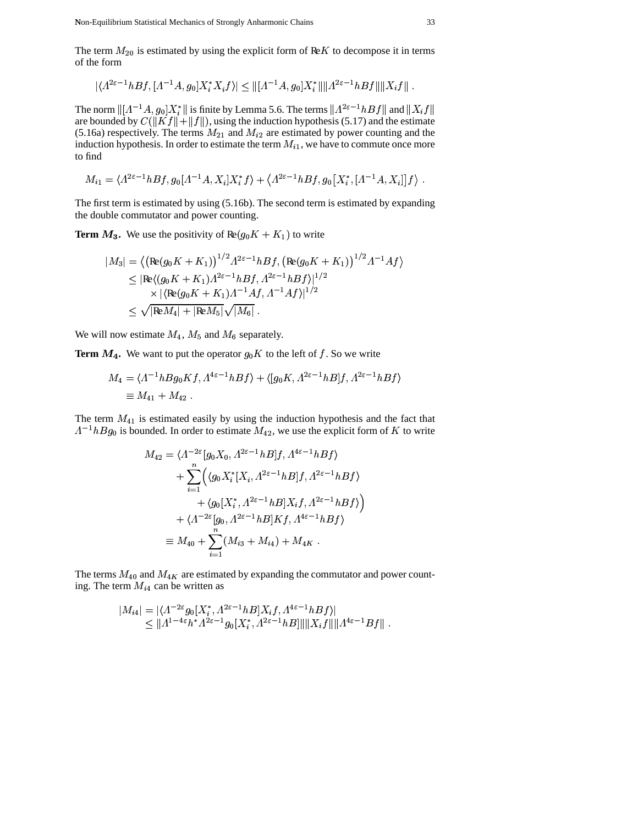Non-Equilibrium Statistical Mechanics of Strongly Anharmonic Chains 33

The term  $M_{20}$  is estimated by using the explicit form of Re $K$  to decompose it in terms of the form

$$
|\langle A^{2\varepsilon-1}hBf,[A^{-1}A,g_0]X_i^*X_if\rangle|\leq ||[A^{-1}A,g_0]X_i^*|| ||A^{2\varepsilon-1}hBf|| ||X_if||.
$$

The norm  $\|[A^{-1}A, g_0]X_i^*\|$  is finite by Lemma 5.6. The terms  $\|A^{2\varepsilon}\|$  $\left\|A, g_0\right\|X_i^*\|$  is finite by Lemma 5.6. The terms  $\left\|A^{2\varepsilon-1}hBf\right\|$  and  $C(\left\|Vf\right\| + \left\|f\right\|)$  with the induction by nother  $(\xi, 17)$  and the are bounded by  $C(\|Kf\|+\|f\|)$ , using the induction hypothesis (5.17) and the estimate  $\int_{\varepsilon^{-1}hBf}$  and  $\|X_i f\|$  <sup>h</sup> hb <sup>h</sup> (5.16a) respectively. The terms  $M_{21}$  and  $M_{i2}$  are estimated by power counting and the induction hypothesis. In order to estimate the term  $M_{i1}$ , we have to commute once more to find

$$
M_{i1} = \langle A^{2\varepsilon - 1}hBf, g_0[A^{-1}A, X_i]X_i^*f \rangle + \langle A^{2\varepsilon - 1}hBf, g_0[X_i^*, [A^{-1}A, X_i]]f \rangle.
$$

The first term is estimated by using (5.16b). The second term is estimated by expanding the double commutator and power counting.

**Term**  $M_3$ **. We use the positivity of**  $Re(g_0 K + K_1)$  **to write** 

$$
|M_3| = \left\langle \left( \text{Re}(g_0 K + K_1) \right)^{1/2} A^{2\varepsilon - 1} h B f, \left( \text{Re}(g_0 K + K_1) \right)^{1/2} A^{-1} A f \right\rangle
$$
  
\n
$$
\leq |\text{Re}\left\langle (g_0 K + K_1) A^{2\varepsilon - 1} h B f, A^{2\varepsilon - 1} h B f \right\rangle|^{1/2}
$$
  
\n
$$
\times |\left\langle \text{Re}(g_0 K + K_1) A^{-1} A f, A^{-1} A f \right\rangle|^{1/2}
$$
  
\n
$$
\leq \sqrt{|\text{Re} M_4| + |\text{Re} M_5|} \sqrt{|M_6|} .
$$

We will now estimate  $M_4$ ,  $M_5$  and  $M_6$  separately.

**Term**  $M_4$ **.** We want to put the operator  $g_0 K$  to the left of f. So we write<br>  $M_4 = (A^{-1}hBa_0Kf, A^{4\epsilon-1}hBf) + (\left[g_0K, A^{2\epsilon-1}hB\right]f, A^{2\epsilon-1}hB$ 

$$
M_4 = \langle \Lambda^{-1} h B g_0 K f, \Lambda^{4\epsilon - 1} h B f \rangle + \langle [g_0 K, \Lambda^{2\epsilon - 1} h B] f, \Lambda^{2\epsilon - 1} h B f \rangle
$$
  

$$
\equiv M_{41} + M_{42}.
$$

The term  $M_{41}$  is estimated easily by using the induction hypothesis and the fact that  $\sim$   $\sim$   $\sim$   $\sim$   $\sim$   $\sim$   $\sim$   $\sim$ <sup>1</sup>*hBg*<sub>0</sub> is bounded. In order to estimate  $M_{42}$ , we use the explicit form of *K* to write<br>  $M_{42} = (A^{-2\varepsilon} [q_0 X_0, A^{2\varepsilon-1} h B] f, A^{4\varepsilon-1} h B f)$ 

$$
M_{42} = \langle A^{-2\varepsilon} [g_0 X_0, A^{2\varepsilon - 1} h B] f, A^{4\varepsilon - 1} h B f \rangle
$$
  
+ 
$$
\sum_{i=1}^n \Big( \langle g_0 X_i^* [X_i, A^{2\varepsilon - 1} h B] f, A^{2\varepsilon - 1} h B f \rangle
$$
  
+ 
$$
\langle g_0 [X_i^*, A^{2\varepsilon - 1} h B] X_i f, A^{2\varepsilon - 1} h B f \rangle \Big)
$$
  
+ 
$$
\langle A^{-2\varepsilon} [g_0, A^{2\varepsilon - 1} h B] K f, A^{4\varepsilon - 1} h B f \rangle
$$
  

$$
\equiv M_{40} + \sum_{i=1}^n (M_{i3} + M_{i4}) + M_{4K}.
$$

The terms  $M_{40}$  and  $M_{4K}$  are estimated by expanding the commutator and power counting. The term  $M_{i4}$  can be written as

$$
|M_{i4}| = |\langle \Lambda^{-2\varepsilon} g_0[X_i^*, \Lambda^{2\varepsilon-1} h B] X_i f, \Lambda^{4\varepsilon-1} h B f \rangle|
$$
  
\n
$$
\leq ||\Lambda^{1-4\varepsilon} h^* \Lambda^{2\varepsilon-1} g_0[X_i^*, \Lambda^{2\varepsilon-1} h B]|| ||X_i f|| ||\Lambda^{4\varepsilon-1} B f||.
$$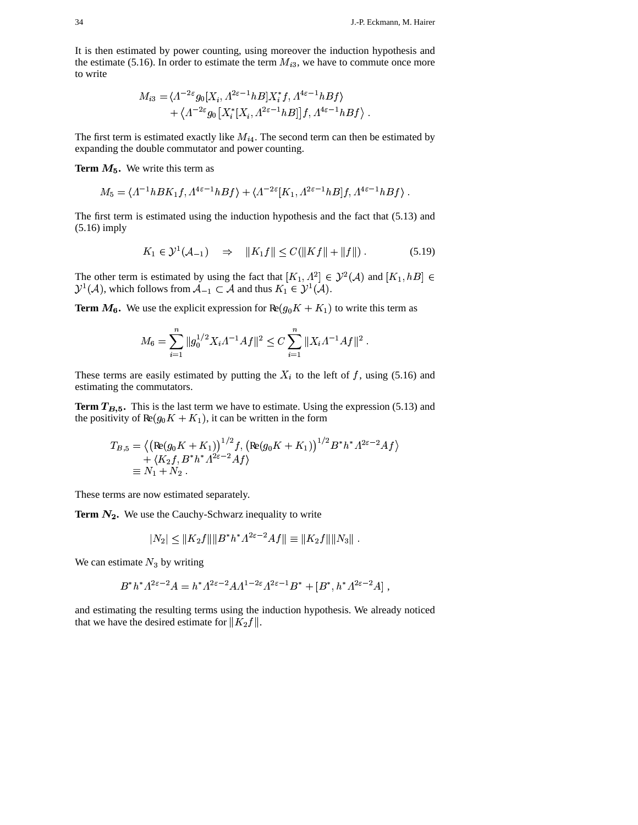It is then estimated by power counting, using moreover the induction hypothesis and the estimate (5.16). In order to estimate the term  $M_{i3}$ , we have to commute once more to write

$$
M_{i3} = \langle \Lambda^{-2\varepsilon} g_0[X_i, \Lambda^{2\varepsilon - 1} h B] X_i^* f, \Lambda^{4\varepsilon - 1} h B f \rangle
$$
  
+ 
$$
\langle \Lambda^{-2\varepsilon} g_0[X_i^* [X_i, \Lambda^{2\varepsilon - 1} h B]] f, \Lambda^{4\varepsilon - 1} h B f \rangle.
$$

The first term is estimated exactly like  $M_{i4}$ . The second term can then be estimated by expanding the double commutator and power counting.

**Term**  $M_5$ . We write this term as

$$
M_5. We write this term as
$$
  

$$
M_5 = \langle A^{-1}hBK_1f, A^{4\epsilon-1}hBf \rangle + \langle A^{-2\epsilon}[K_1, A^{2\epsilon-1}hB]f, A^{4\epsilon-1}hBf \rangle.
$$

The first term is estimated using the induction hypothesis and the fact that (5.13) and (5.16) imply

$$
K_1 \in \mathcal{Y}^1(\mathcal{A}_{-1}) \quad \Rightarrow \quad ||K_1 f|| \le C(||K f|| + ||f||) \,. \tag{5.19}
$$

The other term is estimated by using the fact that  $[K_1, \Lambda^2] \in \mathcal{Y}^2(\mathcal{A})$  and  $\mathcal{V}^2 \in \mathcal{Y}^2(\mathcal{A})$  and  $[K_1,$  $^2(\mathcal{A})$  and  $[K_1, hB] \in$ ~  $\mathcal{A}^1(\mathcal{A})$ , which follows from  $\mathcal{A}_{-1} \subset \mathcal{A}$  and thus  $i_1 \subset \mathcal{A}$  and thus  $K_1 \in \mathcal{Y}^1(\mathcal{A})$ .

**Term**  $M_6$ **.** We use the explicit expression for  $Re(g_0 K + K_1)$  to write this term as

$$
M_6 = \sum_{i=1}^n \|g_0^{1/2} X_i \Lambda^{-1} A f\|^2 \le C \sum_{i=1}^n \|X_i \Lambda^{-1} A f\|^2.
$$

These terms are easily estimated by putting the  $X_i$  to the left of f, using (5.16) and estimating the commutators.

**Term**  $T_{B,5}$ . This is the last term we have to estimate. Using the expression (5.13) and the positivity of  $\text{Re}(g_0 K + K_1)$ , it can be written in the form

$$
T_{B,5} = \left\langle \left( \text{Re}(g_0 K + K_1) \right)^{1/2} f, \left( \text{Re}(g_0 K + K_1) \right)^{1/2} B^* h^* \Lambda^{2\varepsilon - 2} A f \right\rangle + \left\langle K_2 f, B^* h^* \Lambda^{2\varepsilon - 2} A f \right\rangle \equiv N_1 + N_2.
$$

These terms are now estimated separately.

**Term**  $N_2$ **. We use the Cauchy-Schwarz inequality to write<br>**  $|N_2| \leq ||K_2 f|| ||B^* h^* A^{2\varepsilon - 2} A f|| \equiv ||K_2$ 

$$
|N_2| \leq ||K_2f|| ||B^*h^*A^{2\varepsilon-2}Af|| \equiv ||K_2f|| ||N_3||.
$$

We can estimate  $N_3$  by writing<br> $B^*h^* A^{2\varepsilon-2} A = h^* A$ 

$$
B^*h^* \Lambda^{2\varepsilon-2} A = h^* \Lambda^{2\varepsilon-2} A \Lambda^{1-2\varepsilon} \Lambda^{2\varepsilon-1} B^* + [B^*, h^* \Lambda^{2\varepsilon-2} A] ,
$$

and estimating the resulting terms using the induction hypothesis. We already noticed that we have the desired estimate for  $||K_2 f||$ .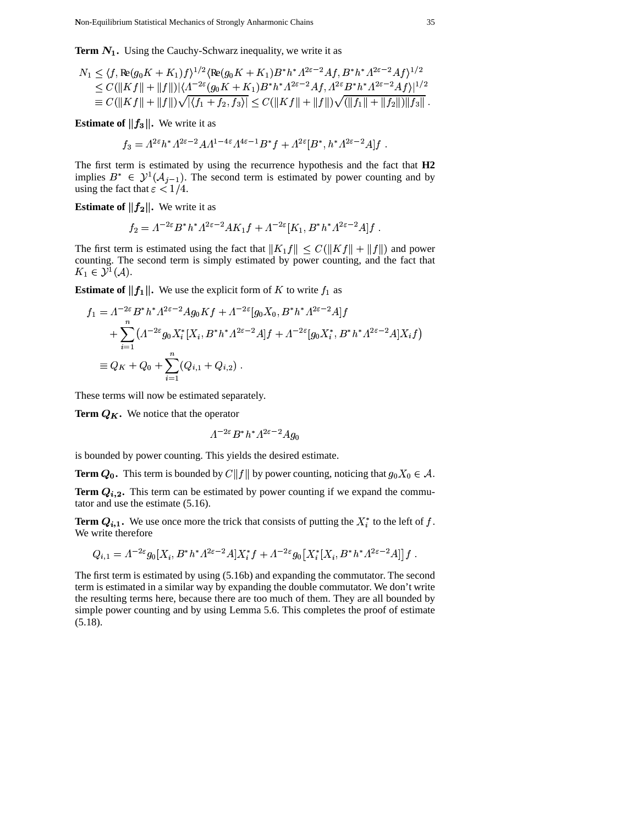**Term** 
$$
N_1
$$
. Using the Cauchy-Schwarz inequality, we write it as  
\n
$$
N_1 \leq \langle f, \text{Re}(g_0 K + K_1)f \rangle^{1/2} \langle \text{Re}(g_0 K + K_1) B^* h^* \Lambda^{2\epsilon - 2} A f, B^* h^* \Lambda^{2\epsilon - 2} A f \rangle^{1/2}
$$
\n
$$
\leq C(\|Kf\| + \|f\|)(\Lambda^{-2\epsilon}(g_0 K + K_1) B^* h^* \Lambda^{2\epsilon - 2} A f, \Lambda^{2\epsilon} B^* h^* \Lambda^{2\epsilon - 2} A f \rangle|^{1/2}
$$
\n
$$
\equiv C(\|Kf\| + \|f\|) \sqrt{|\langle f_1 + f_2, f_3 \rangle|} \leq C(\|Kf\| + \|f\|) \sqrt{(\|f_1\| + \|f_2\|) \|f_3\|}.
$$

**Estimate of**  $||f_3||$ **. We write it as<br>**  $f_3 = A^{2\varepsilon} h^* A^{2\varepsilon - 2} A A^{1-4\varepsilon}$ 

if ||f3||. We write it as  

$$
f_3 = \Lambda^{2\varepsilon} h^* \Lambda^{2\varepsilon - 2} A \Lambda^{1-4\varepsilon} \Lambda^{4\varepsilon - 1} B^* f + \Lambda^{2\varepsilon} [B^*, h^* \Lambda^{2\varepsilon - 2} A] f.
$$

The first term is estimated by using the recurrence hypothesis and the fact that **H2** & implies  $B^* \in \mathcal{Y}^1(\mathcal{A}_{j-1})$ . The second term is estimated by power counting and by using the fact that  $\varepsilon < 1/4$ .

**Estimate of**  $||f_2||$ **. We write it as** 

$$
\|\mathbf{f_2}\|.\ \text{ We write it as}
$$
\n
$$
f_2 = \Lambda^{-2\varepsilon} B^* h^* \Lambda^{2\varepsilon - 2} A K_1 f + \Lambda^{-2\varepsilon} [K_1, B^* h^* \Lambda^{2\varepsilon - 2} A] f.
$$

The first term is estimated using the fact that  $||K_1 f|| \leq C(||K f|| + ||f||)$  and power counting. The second term is simply estimated by power counting, and the fact that  $K_1 \in \mathcal{Y}^1(\mathcal{A}).$  $^{1}(\mathcal{A}).$ 

**Estimate of** ||f<sub>1</sub>||. We use the explicit form of *K* to write 
$$
f_1
$$
 as  
\n
$$
f_1 = \Lambda^{-2\varepsilon} B^* h^* \Lambda^{2\varepsilon - 2} A g_0 K f + \Lambda^{-2\varepsilon} [g_0 X_0, B^* h^* \Lambda^{2\varepsilon - 2} A] f
$$
\n
$$
+ \sum_{i=1}^n (\Lambda^{-2\varepsilon} g_0 X_i^* [X_i, B^* h^* \Lambda^{2\varepsilon - 2} A] f + \Lambda^{-2\varepsilon} [g_0 X_i^*, B^* h^* \Lambda^{2\varepsilon - 2} A] X_i f)
$$
\n
$$
\equiv Q_K + Q_0 + \sum_{i=1}^n (Q_{i,1} + Q_{i,2}) .
$$

These terms will now be estimated separately.

**Term**  $Q_K$ . We notice that the operator

$$
A^{-2\varepsilon} B^* h^* A^{2\varepsilon - 2} A g_0
$$

is bounded by power counting. This yields the desired estimate.

**Term**  $Q_0$ . This term is bounded by  $C||f||$  by power counting, noticing that  $g_0X_0 \in A$ .

**Term**  $Q_{i,2}$ . This term can be estimated by power counting if we expand the commutator and use the estimate (5.16).

**Term**  $Q_{i,1}$ . We use once more the trick that consists of putting the  $X_i^*$  to the left of f. We write therefore

write therefore  
\n
$$
Q_{i,1} = \Lambda^{-2\varepsilon} g_0[X_i, B^*h^* \Lambda^{2\varepsilon - 2} A] X_i^* f + \Lambda^{-2\varepsilon} g_0 \big[ X_i^* [X_i, B^*h^* \Lambda^{2\varepsilon - 2} A] \big] f.
$$

The first term is estimated by using (5.16b) and expanding the commutator. The second term is estimated in a similar way by expanding the double commutator. We don't write the resulting terms here, because there are too much of them. They are all bounded by simple power counting and by using Lemma 5.6. This completes the proof of estimate (5.18).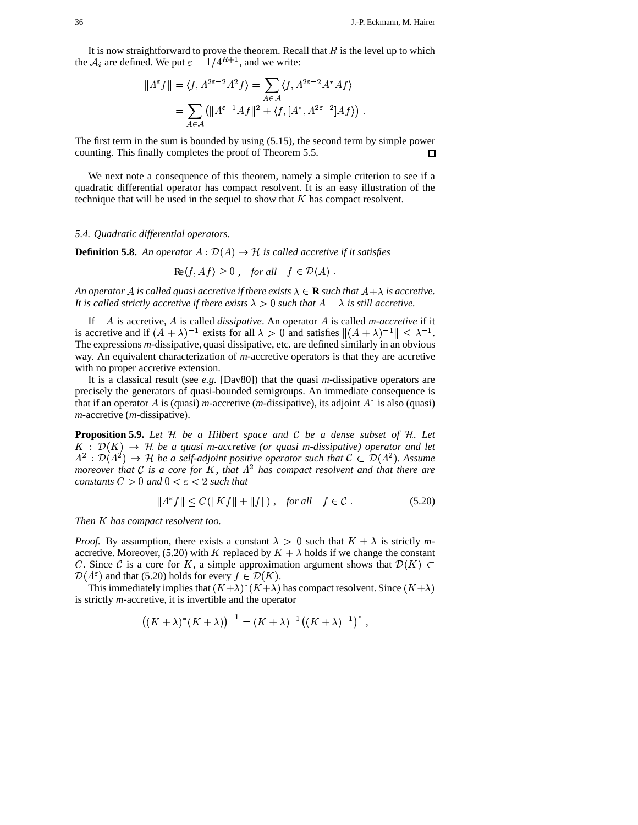It is now straightforward to prove the theorem. Recall that  $R$  is the level up to which the  $A_i$  are defined. We put  $\varepsilon = 1/4^{R+1}$ , and we write:<br> $||A^{\varepsilon}f|| = \langle f, A^{2\varepsilon - 2}A^2 f \rangle = \sum \langle f, A \rangle$ 

$$
||A^{\varepsilon} f|| = \langle f, A^{2\varepsilon - 2} A^2 f \rangle = \sum_{A \in \mathcal{A}} \langle f, A^{2\varepsilon - 2} A^* A f \rangle
$$
  
= 
$$
\sum_{A \in \mathcal{A}} (||A^{\varepsilon - 1} Af||^2 + \langle f, [A^*, A^{2\varepsilon - 2}] Af \rangle).
$$

The first term in the sum is bounded by using (5.15), the second term by simple power counting. This finally completes the proof of Theorem 5.5.  $\Box$ 

We next note a consequence of this theorem, namely a simple criterion to see if a quadratic differential operator has compact resolvent. It is an easy illustration of the technique that will be used in the sequel to show that  $K$  has compact resolvent.

## *5.4. Quadratic differential operators.*

**Definition 5.8.** An operator  $A: \mathcal{D}(A) \rightarrow \mathcal{H}$  is called  $\rightarrow$  *H* is called accretive if it satisfies

 $\text{Re}\langle f, Af \rangle \geq 0$ , *for all*  $f \in \mathcal{D}(A)$ .

An *operator* A is called quasi accretive if there exists  $\lambda \in \mathbf{R}$  such that  $A + \lambda$  is accretive. It is called strictly accretive if there exists  $\lambda > 0$  such that  $A - \lambda$  is still accretive.

If  $-A$  is accretive, A is called *dissipative*. An operator A is called *m-accretive* if it is called if  $(A + \lambda)^{-1}$  exists for all  $\lambda > 0$  and satisfies  $\|(A + \lambda)^{-1}\| < \lambda^{-1}$ . is accretive and if  $(A + \lambda)^{-1}$  exists for all  $\lambda > 0$  and satisfies  $\|(A + \lambda)^{-1}\| \leq \lambda$ The expressions *m*-dissipative, quasi dissipative, etc. are defined similarly in an obvious  $\mathbf{1}$ . way. An equivalent characterization of *m*-accretive operators is that they are accretive with no proper accretive extension.

It is a classical result (see *e.g.* [Dav80]) that the quasi *m*-dissipative operators are precisely the generators of quasi-bounded semigroups. An immediate consequence is that if an operator A is (quasi) *m*-accretive (*m*-dissipative), its adjoint  $A^*$  is also (quasi) [*m*-accretive (*m*-dissipative).

**Proposition 5.9.** Let H be a Hilbert space and C be a dense subset of H. Let  $K : \mathcal{D}(K) \rightarrow \mathcal{H}$  be a quas È <sup>×</sup> *be a quasi m-accretive (or quasi m-dissipative) operator and let* . . . . . *.* . .  $\mathcal{D}(A^2) \rightarrow \mathcal{H}$  be a  $\mathcal{P}(\mathcal{P}) \rightarrow \mathcal{H}$  *be a self-adjoint positive operator such that*  $\mathcal{C} \subset \mathcal{D}(A^2)$ . *moreover that*  $C$  *is a core for*  $K$ *, that*  $\Lambda^2$  *has compact resolvent and that there are . Assume constants*  $C > 0$  *and*  $0 < \varepsilon < 2$  *such that* 

$$
||A^{\varepsilon}f|| \le C(||Kf|| + ||f||), \quad \text{for all} \quad f \in \mathcal{C}. \tag{5.20}
$$

*Then*  $K$  *has compact resolvent too.* 

*Proof.* By assumption, there exists a constant  $\lambda > 0$  such that  $K + \lambda$  is strictly *m*accretive. Moreover, (5.20) with K replaced by  $K + \lambda$  holds if we change the constant C. Since C is a core for K, a simple approximation argument shows that  $\mathcal{D}(K) \subset$  $\mathcal{D}(\Lambda^{\varepsilon})$  and that (5.20) holds for every  $f \in \mathcal{D}(K)$ .

This immediately implies that  $(K + \lambda)^*(K + \lambda)$  has compact resolvent. Since  $(K + \lambda)$ is strictly *m*-accretive, it is invertible and the operator<br>  $((K + \lambda)^*(K + \lambda))^{-1} = (K + \lambda)^{-1}$ 

reuve, it is invertible and the operator  
\n
$$
((K + \lambda)^*(K + \lambda))^{-1} = (K + \lambda)^{-1}((K + \lambda)^{-1})^*
$$
,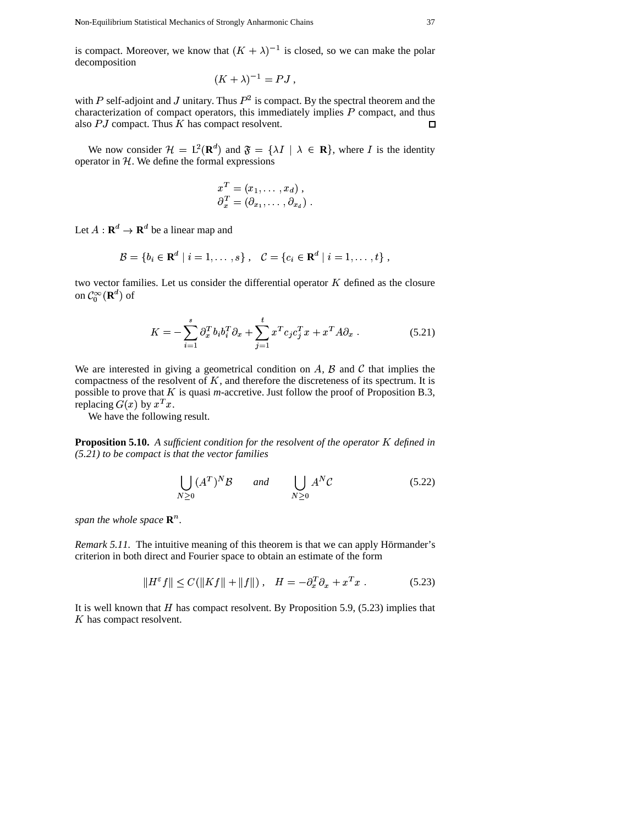is compact. Moreover, we know that  $(K + \lambda)^{-1}$  is closed, so we can make the polar decomposition  $(\lambda)^{-1} = PJ$ .

$$
(K+\lambda)^{-1}=PJ,
$$

with P self-adjoint and J unitary. Thus  $P^2$  is compact. By the spectral theorem and the characterization of compact operators, this immediately implies  $P$  compact, and thus also  $PJ$  compact. Thus  $K$  has compact resolvent.  $\Box$ 

We now consider  $\mathcal{H} = L^2(\mathbf{R}^d)$  and  $\mathfrak{F} = {\lambda I \mid \lambda \in \mathbf{R}}$ , where I is the identity operator in  $H$ . We define the formal expressions

$$
x^T = (x_1, \dots, x_d),
$$
  
\n
$$
\partial_x^T = (\partial_{x_1}, \dots, \partial_{x_d}).
$$

Let  $A: \mathbf{R}^d \to \mathbf{R}^d$  be a linear map and

$$
\mathcal{B} = \{b_i \in \mathbf{R}^d \mid i = 1, \ldots, s\}, \quad \mathcal{C} = \{c_i \in \mathbf{R}^d \mid i = 1, \ldots, t\},\
$$

two vector families. Let us consider the differential operator  $K$  defined as the closure on  $\mathcal{C}_0^{\infty}(\mathbf{R}^d)$  of

$$
K = -\sum_{i=1}^{s} \partial_x^T b_i b_i^T \partial_x + \sum_{j=1}^{t} x^T c_j c_j^T x + x^T A \partial_x \tag{5.21}
$$

We are interested in giving a geometrical condition on  $A$ ,  $B$  and  $C$  that implies the compactness of the resolvent of  $K$ , and therefore the discreteness of its spectrum. It is possible to prove that  $K$  is quasi *m*-accretive. Just follow the proof of Proposition B.3, replacing  $G(x)$  by  $x^T x$ . e that  $K$ <br>by  $x^T x$ .

We have the following result.

**Proposition 5.10.** A sufficient condition for the resolvent of the operator K defined in *(5.21) to be compact is that the vector families*

$$
\bigcup_{N\geq 0} (A^T)^N \mathcal{B} \qquad and \qquad \bigcup_{N\geq 0} A^N \mathcal{C} \tag{5.22}
$$

*span the whole space*  $\mathbb{R}^n$ *.* 

*Remark* 5.11. The intuitive meaning of this theorem is that we can apply Hörmander's criterion in both direct and Fourier space to obtain an estimate of the form

$$
||H^{\varepsilon}f|| \leq C(||Kf|| + ||f||), \quad H = -\partial_x^T \partial_x + x^T x. \tag{5.23}
$$

It is well known that  $H$  has compact resolvent. By Proposition 5.9, (5.23) implies that  $K$  has compact resolvent.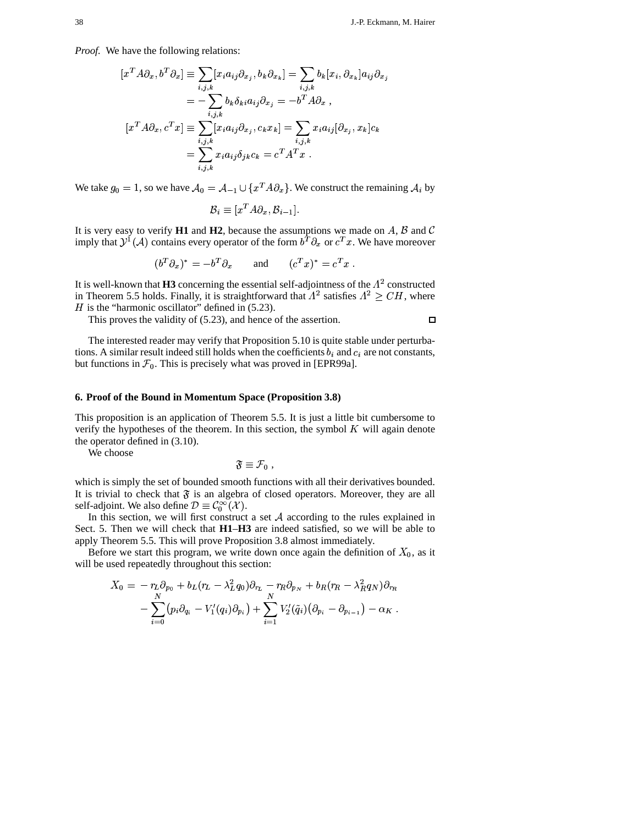$\Box$ 

*Proof.* We have the following relations:

$$
[x^T A \partial_x, b^T \partial_x] \equiv \sum_{i,j,k} [x_i a_{ij} \partial_{x_j}, b_k \partial_{x_k}] = \sum_{i,j,k} b_k [x_i, \partial_{x_k}] a_{ij} \partial_{x_j}
$$
  

$$
= -\sum_{i,j,k} b_k \delta_{ki} a_{ij} \partial_{x_j} = -b^T A \partial_x ,
$$
  

$$
[x^T A \partial_x, c^T x] \equiv \sum_{i,j,k} [x_i a_{ij} \partial_{x_j}, c_k x_k] = \sum_{i,j,k} x_i a_{ij} [\partial_{x_j}, x_k] c_k
$$
  

$$
= \sum_{i,j,k} x_i a_{ij} \delta_{jk} c_k = c^T A^T x .
$$

We take  $g_0 = 1$ , so we have  $\mathcal{A}_0 = \mathcal{A}_{-1} \cup \{x^T A \partial_x\}$ . V  $\cup \{x^TA\partial_x\}$ .  $\mathcal{A}_{-1} \cup \{x^T A \partial_x\}$ . We construct the remaining  $\mathcal{A}_i$  by

$$
B_i \equiv [x^T A \partial_x, B_{i-1}].
$$

It is very easy to verify **H1** and **H2**, because the assumptions we made on  $A$ ,  $B$  and  $C$ imply that  $\mathcal{Y}^1(\mathcal{A})$  contains every operator of the form  $b^T \partial_x$  or  $c^T x$ . We have moreover

$$
(b^T \partial_x)^* = -b^T \partial_x \quad \text{and} \quad (c^T x)^* = c^T x \ .
$$

It is well-known that  $H3$  concerning the essential self-adjointness of the  $\Lambda^2$  constructed in Theorem 5.5 holds. Finally, it is straightforward that  $\Lambda^2$  satisfies  $\Lambda^2 \geq CH$ , where  $H$  is the "harmonic oscillator" defined in (5.23).

This proves the validity of (5.23), and hence of the assertion.

The interested reader may verify that Proposition 5.10 is quite stable under perturba tions. A similar result indeed still holds when the coefficients  $b_i$  and  $c_i$  are not constants, but functions in  $\mathcal{F}_0$ . This is precisely what was proved in [EPR99a].

#### **6. Proof of the Bound in Momentum Space (Proposition 3.8)**

This proposition is an application of Theorem 5.5. It is just a little bit cumbersome to verify the hypotheses of the theorem. In this section, the symbol  $K$  will again denote the operator defined in (3.10).

We choose

$$
\mathfrak{F}\equiv\mathcal{F}_0\ ,
$$

which is simply the set of bounded smooth functions with all their derivatives bounded. It is trivial to check that  $\mathfrak F$  is an algebra of closed operators. Moreover, they are all self-adjoint. We also define  $\mathcal{D} \equiv \mathcal{C}_0^{\infty}(\mathcal{X})$ .

In this section, we will first construct a set  $A$  according to the rules explained in Sect. 5. Then we will check that **H1**–**H3** are indeed satisfied, so we will be able to apply Theorem 5.5. This will prove Proposition 3.8 almost immediately.

Before we start this program, we write down once again the definition of  $X_0$ , as it will be used repeatedly throughout this section:

$$
X_0 = -r_L \partial_{p_0} + b_L(r_L - \lambda_L^2 q_0) \partial_{r_L} - r_R \partial_{p_N} + b_R(r_R - \lambda_R^2 q_N) \partial_{r_R} - \sum_{i=0}^N (p_i \partial_{q_i} - V'_1(q_i) \partial_{p_i}) + \sum_{i=1}^N V'_2(\tilde{q}_i) (\partial_{p_i} - \partial_{p_{i-1}}) - \alpha_K.
$$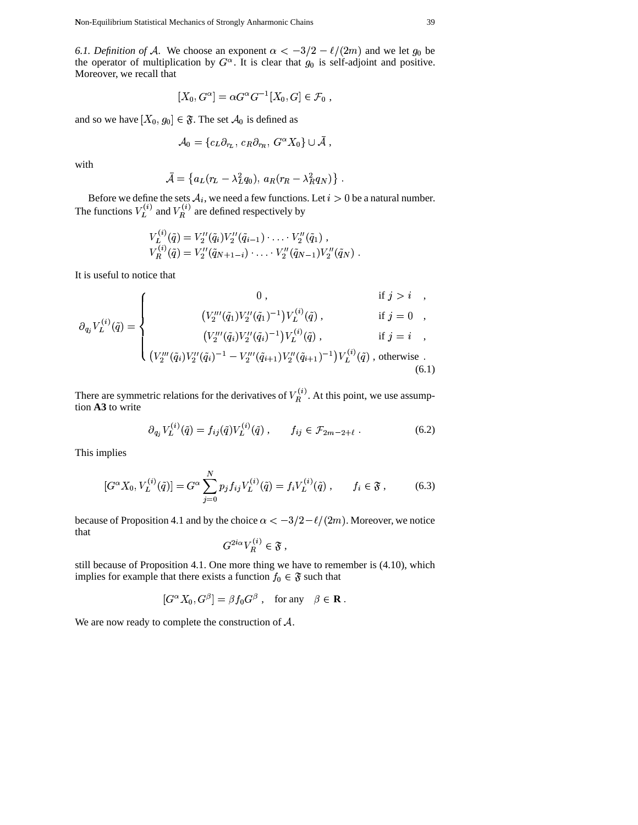Non-Equilibrium Statistical Mechanics of Strongly Anharmonic Chains 39

*6.1. Definition of A.* We choose an exponent  $\alpha < -3/2 - \ell/(2m)$  and we let  $g_0$  be the operator of multiplication by  $G^{\alpha}$ . It is clear that  $g_0$  is self-adjoint and positive. Moreover, we recall that

$$
[X_0, G^{\alpha}] = \alpha G^{\alpha} G^{-1} [X_0, G] \in \mathcal{F}_0 ,
$$

and so we have  $[X_0, g_0] \in \mathfrak{F}$ . The set  $\mathcal{A}_0$  is defined as

$$
\mathcal{A}_0 = \{c_L \partial_{r_L},\, c_R \partial_{r_R},\, G^\alpha X_0\} \cup \bar{\mathcal{A}}\ ,
$$

with

$$
\bar{\mathcal{A}} = \left\{ a_L(r_L - \lambda_L^2 q_0), \, a_R(r_R - \lambda_R^2 q_N) \right\}.
$$

Before we define the sets  $A_i$ , we need a few functions. Let  $i > 0$  be a natural number. The functions  $V_L^{(i)}$  and  $V_R^{(i)}$  are defined respectively by

$$
V_L^{(i)}(\tilde{q}) = V_2''(\tilde{q}_i)V_2''(\tilde{q}_{i-1}) \cdots V_2''(\tilde{q}_1) ,V_R^{(i)}(\tilde{q}) = V_2''(\tilde{q}_{N+1-i}) \cdots V_2''(\tilde{q}_{N-1})V_2''(\tilde{q}_N) .
$$

It is useful to notice that

$$
\partial_{q_j} V_L^{(i)}(\tilde{q}) = \begin{cases}\n0, & \text{if } j > i, \\
(V_2'''(\tilde{q}_1) V_2''(\tilde{q}_1)^{-1}) V_L^{(i)}(\tilde{q}), & \text{if } j = 0, \\
(V_2'''(\tilde{q}_i) V_2''(\tilde{q}_i)^{-1}) V_L^{(i)}(\tilde{q}), & \text{if } j = i, \\
(V_2'''(\tilde{q}_i) V_2''(\tilde{q}_i)^{-1} - V_2'''(\tilde{q}_{i+1}) V_2''(\tilde{q}_{i+1})^{-1}) V_L^{(i)}(\tilde{q}), & \text{otherwise}.\n\end{cases}
$$
\n(6.1)

There are symmetric relations for the derivatives of  $V_R^{(i)}$ . At this point, we use assumption **A3** to write

$$
\partial_{q_j} V_L^{(i)}(\tilde{q}) = f_{ij}(\tilde{q}) V_L^{(i)}(\tilde{q}) , \qquad f_{ij} \in \mathcal{F}_{2m-2+\ell} . \tag{6.2}
$$

This implies

$$
[G^{\alpha} X_0, V_L^{(i)}(\tilde{q})] = G^{\alpha} \sum_{j=0}^N p_j f_{ij} V_L^{(i)}(\tilde{q}) = f_i V_L^{(i)}(\tilde{q}) , \qquad f_i \in \mathfrak{F} ,
$$
 (6.3)

because of Proposition 4.1 and by the choice  $\alpha < -3/2 - \ell/(2m)$ . Moreover, we notice<br>that  $G^{2i\alpha}V_n^{(i)} \in \mathfrak{F}$ . that

$$
G^{2i\alpha}V_R^{(i)}\in\mathfrak{F}\,,
$$

still because of Proposition 4.1. One more thing we have to remember is (4.10), which implies for example that there exists a function  $f_0 \in \mathfrak{F}$  such that

$$
[G^{\alpha} X_0, G^{\beta}] = \beta f_0 G^{\beta} , \text{ for any } \beta \in \mathbf{R} .
$$

We are now ready to complete the construction of  $A$ .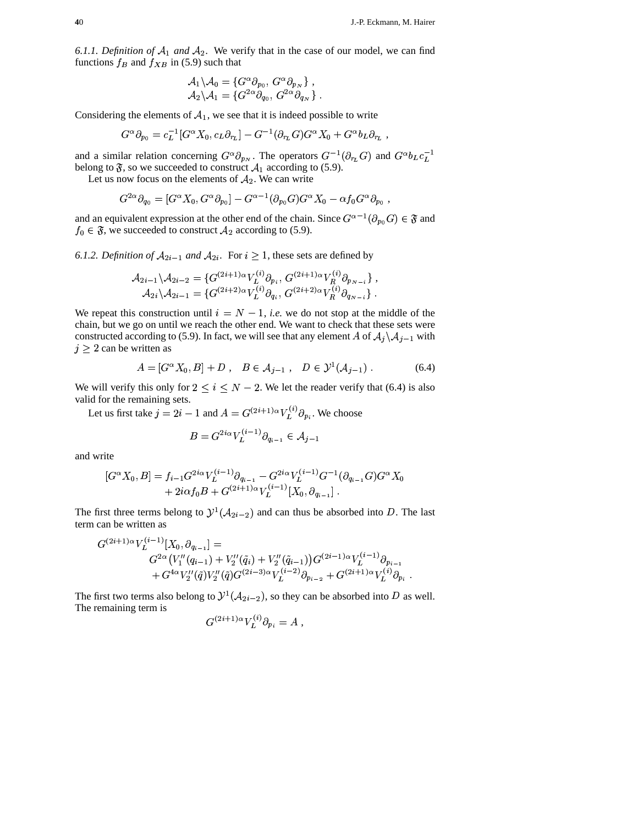6.1.1. Definition of  $A_1$  and  $A_2$ . We verify that in the case of our model, we can find functions  $f_B$  and  $f_{XB}$  in (5.9) such that

$$
\mathcal{A}_1 \backslash \mathcal{A}_0 = \{ G^{\alpha} \partial_{p_0}, G^{\alpha} \partial_{p_N} \}, \mathcal{A}_2 \backslash \mathcal{A}_1 = \{ G^{2\alpha} \partial_{q_0}, G^{2\alpha} \partial_{q_N} \}
$$

Considering the elements of  $A_1$ , we see that it is indeed possible to write

$$
G^{\alpha} \partial_{p_0} = c_L^{-1} [G^{\alpha} X_0, c_L \partial_{r_L}] - G^{-1} (\partial_{r_L} G) G^{\alpha} X_0 + G^{\alpha} b_L \partial_{r_L}
$$

and a similar relation concerning  $G^{\alpha} \partial_{p_N}$ . The operators  $G^{-1}(\partial_{r_L} G)$  and  $G^{\alpha} b_L c_L^{-1}$ belong to  $\mathfrak{F}$ , so we succeeded to construct  $\mathcal{A}_1$  according to (5.9).

Let us now focus on the elements of  $A_2$ . We can write

$$
G^{2\alpha}\partial_{q_0} = [G^{\alpha}X_0, G^{\alpha}\partial_{p_0}] - G^{\alpha-1}(\partial_{p_0}G)G^{\alpha}X_0 - \alpha f_0 G^{\alpha}\partial_{p_0}
$$

and an equivalent expression at the other end of the chain. Since  $G^{\alpha-1}(\partial_{p_0}G) \in \mathfrak{F}$  and  $f_0 \in \mathfrak{F}$ , we succeeded to construct  $\mathcal{A}_2$  according to (5.9).

6.1.2. Definition of  $A_{2i-1}$  and  $A_{2i}$ . For  $i \ge 1$ , these sets are defined by

$$
\mathcal{A}_{2i-1} \setminus \mathcal{A}_{2i-2} = \{ G^{(2i+1)\alpha} V_L^{(i)} \partial_{p_i}, G^{(2i+1)\alpha} V_R^{(i)} \partial_{p_{N-i}} \}, \mathcal{A}_{2i} \setminus \mathcal{A}_{2i-1} = \{ G^{(2i+2)\alpha} V_L^{(i)} \partial_{q_i}, G^{(2i+2)\alpha} V_R^{(i)} \partial_{q_{N-i}} \}.
$$

We repeat this construction until  $i = N - 1$ , *i.e.* we do not stop at the middle of the chain, but we go on until we reach the other end. We want to check that these sets were constructed according to (5.9). In fact, we will see that any element A of  $A_j \setminus A_{j-1}$  with  $j \geq 2$  can be written as

$$
A = [G^{\alpha} X_0, B] + D , B \in A_{j-1} , D \in \mathcal{Y}^1(A_{j-1}) .
$$
 (6.4)

We will verify this only for  $2 \le i \le N - 2$ . We let the reader verify that (6.4) is also valid for the remaining sets.

Let us first take  $j = 2i - 1$  and  $A = G^{(2i+1)\alpha} V_L^{(i)} \partial_{p_i}$ . We choose

$$
B = G^{2i\alpha} V_L^{(i-1)} \partial_{q_{i-1}} \in \mathcal{A}_{j-1}
$$

and write

$$
[G^{\alpha}X_0, B] = f_{i-1}G^{2i\alpha}V_L^{(i-1)}\partial_{q_{i-1}} - G^{2i\alpha}V_L^{(i-1)}G^{-1}(\partial_{q_{i-1}}G)G^{\alpha}X_0
$$
  
+  $2i\alpha f_0B + G^{(2i+1)\alpha}V_L^{(i-1)}[X_0, \partial_{q_{i-1}}].$ 

The first three terms belong to  $\mathcal{Y}^1(\mathcal{A}_{2i-2})$  and can thus be absorbed into D. The last term can be written as

$$
G^{(2i+1)\alpha}V_{L}^{(i-1)}[X_0, \partial_{q_{i-1}}] =
$$
  
\n
$$
G^{2\alpha}(V_{1}''(q_{i-1}) + V_{2}''(\tilde{q}_{i}) + V_{2}''(\tilde{q}_{i-1}))G^{(2i-1)\alpha}V_{L}^{(i-1)}\partial_{p_{i-1}}\n+ G^{4\alpha}V_{2}''(\tilde{q})V_{2}''(\tilde{q})G^{(2i-3)\alpha}V_{L}^{(i-2)}\partial_{p_{i-2}} + G^{(2i+1)\alpha}V_{L}^{(i)}\partial_{p_{i}}.
$$

The first two terms also belong to  $\mathcal{Y}^1(\mathcal{A}_{2i-2})$ , so they can be absorbed into D as well. The remaining term is  $\mathcal{L}$ 

$$
G^{(2i+1)\alpha}V_L^{(i)}\partial_{p_i}=A\ ,
$$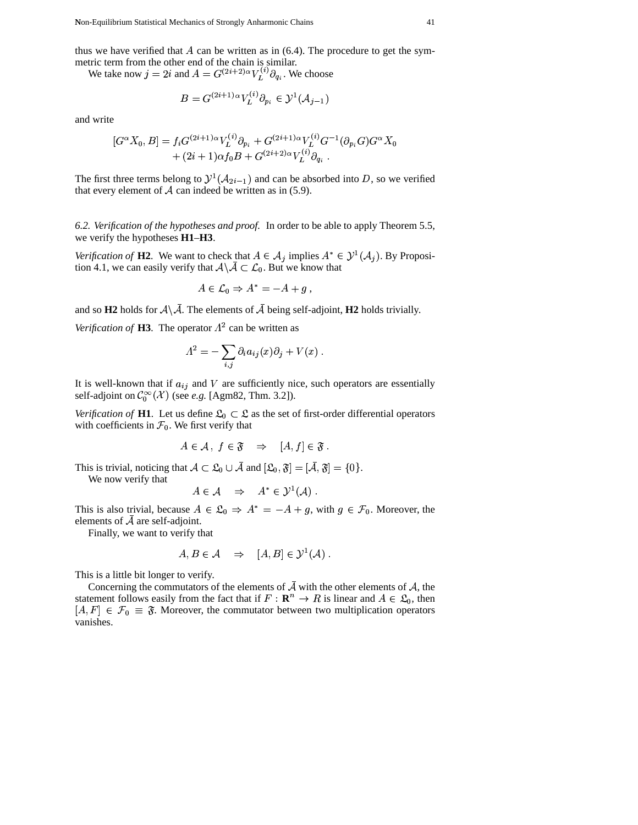thus we have verified that  $A$  can be written as in  $(6.4)$ . The procedure to get the symmetric term from the other end of the chain is similar.

We take now  $j = 2i$  and  $A = G^{(2i+2)\alpha} V_L^{(i)} \partial_{q_i}$ . We choose

$$
B = G^{(2i+1)\alpha} V_L^{(i)} \partial_{p_i} \in \mathcal{Y}^1(\mathcal{A}_{j-1})
$$

and write

$$
[G^{\alpha}X_0, B] = f_i G^{(2i+1)\alpha} V_L^{(i)} \partial_{p_i} + G^{(2i+1)\alpha} V_L^{(i)} G^{-1} (\partial_{p_i} G) G^{\alpha} X_0
$$
  
+  $(2i+1)\alpha f_0 B + G^{(2i+2)\alpha} V_L^{(i)} \partial_{q_i}$ .

The first three terms belong to  $\mathcal{Y}^1(\mathcal{A}_{2i-1})$  and can be absorbed into D, so we verified that every element of  $A$  can indeed be written as in (5.9).

6.2. Verification of the hypotheses and proof. In order to be able to apply Theorem 5.5, we verify the hypotheses  $H1-H3$ .

Verification of H2. We want to check that  $A \in \mathcal{A}_j$  implies  $A^* \in \mathcal{Y}^1(\mathcal{A}_j)$ . By Proposition 4.1, we can easily verify that  $A \setminus A \subset \mathcal{L}_0$ . But we know that

$$
A \in \mathcal{L}_0 \Rightarrow A^* = -A + g \ ,
$$

and so H2 holds for  $A \setminus \overline{A}$ . The elements of  $\overline{A}$  being self-adjoint, H2 holds trivially.

Verification of **H3**. The operator  $\Lambda^2$  can be written as

$$
\Lambda^2 = -\sum_{i,j} \partial_i a_{ij}(x)\partial_j + V(x)
$$

It is well-known that if  $a_{ij}$  and V are sufficiently nice, such operators are essentially self-adjoint on  $C_0^{\infty}(\mathcal{X})$  (see *e.g.* [Agm82, Thm. 3.2]).

Verification of H1. Let us define  $\mathfrak{L}_0 \subset \mathfrak{L}$  as the set of first-order differential operators with coefficients in  $\mathcal{F}_0$ . We first verify that

$$
A \in \mathcal{A}, f \in \mathfrak{F} \quad \Rightarrow \quad [A, f] \in \mathfrak{F}
$$

This is trivial, noticing that  $A \subset \mathfrak{L}_0 \cup \overline{A}$  and  $[\mathfrak{L}_0, \mathfrak{F}] = [\overline{A}, \mathfrak{F}] = \{0\}.$ 

We now verify that

$$
A \in \mathcal{A} \quad \Rightarrow \quad A^* \in \mathcal{Y}^1(\mathcal{A}) \; .
$$

This is also trivial, because  $A \in \mathfrak{L}_0 \Rightarrow A^* = -A + g$ , with  $g \in \mathcal{F}_0$ . Moreover, the elements of  $\bar{\mathcal{A}}$  are self-adjoint.

Finally, we want to verify that

$$
A, B \in \mathcal{A} \quad \Rightarrow \quad [A, B] \in \mathcal{Y}^1(\mathcal{A}) \; .
$$

This is a little bit longer to verify.

Concerning the commutators of the elements of  $\overline{A}$  with the other elements of  $A$ , the statement follows easily from the fact that if  $F : \mathbb{R}^n \to R$  is linear and  $A \in \mathfrak{L}_0$ , then  $[A, F] \in \mathcal{F}_0 \equiv \mathfrak{F}$ . Moreover, the commutator between two multiplication operators vanishes.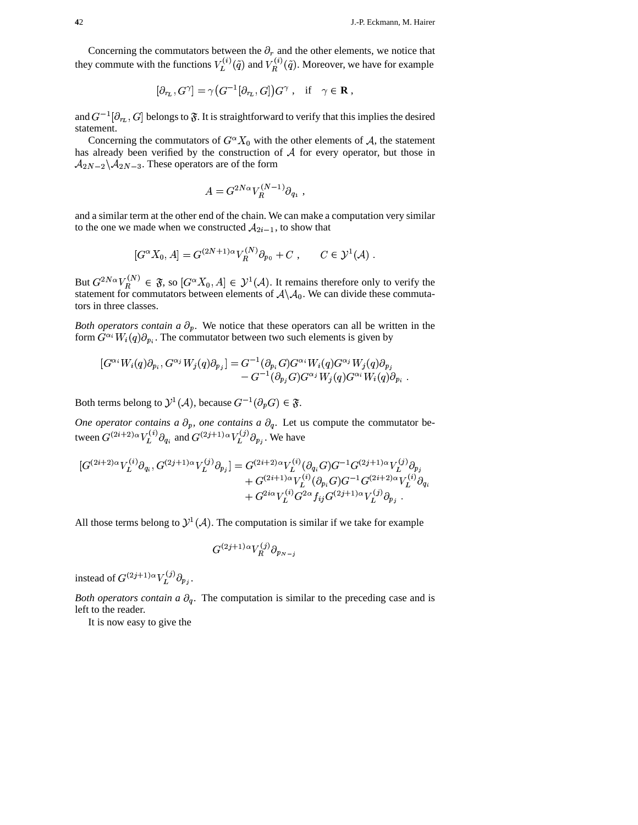Concerning the commutators between the  $\partial_r$  and the other elements, we notice that they commute with the functions  $V_L^{(i)}(\tilde{q})$  and  $V_B^{(i)}(\tilde{q})$ . Moreover, we have for example

$$
[\partial_{r_L},G^\gamma]=\gamma\big(G^{-1}[\partial_{r_L},G]\big)G^\gamma\ ,\quad\text{if}\quad\gamma\in\mathbf{R}\ ,
$$

and  $G^{-1}[\partial_{r_L}, G]$  belongs to  $\mathfrak{F}$ . It is straightforward to verify that this implies the desired statement.

Concerning the commutators of  $G^{\alpha}X_0$  with the other elements of A, the statement has already been verified by the construction of  $A$  for every operator, but those in  $\mathcal{A}_{2N-2} \backslash \mathcal{A}_{2N-3}$ . These operators are of the form

$$
A = G^{2N\alpha} V_R^{(N-1)} \partial_{q_1} ,
$$

and a similar term at the other end of the chain. We can make a computation very similar to the one we made when we constructed  $A_{2i-1}$ , to show that

$$
[G^{\alpha} X_0, A] = G^{(2N+1)\alpha} V_R^{(N)} \partial_{p_0} + C , \qquad C \in \mathcal{Y}^1(\mathcal{A})
$$

But  $G^{2N\alpha}V_R^{(N)} \in \mathfrak{F}$ , so  $[G^{\alpha}X_0, A] \in \mathcal{Y}^1(\mathcal{A})$ . It remains therefore only to verify the statement for commutators between elements of  $A \setminus A_0$ . We can divide these commutators in three classes.

Both operators contain a  $\partial_p$ . We notice that these operators can all be written in the form  $G^{\alpha_i}W_i(q)\partial_{p_i}$ . The commutator between two such elements is given by

$$
[G^{\alpha_i}W_i(q)\partial_{p_i}, G^{\alpha_j}W_j(q)\partial_{p_j}] = G^{-1}(\partial_{p_i}G)G^{\alpha_i}W_i(q)G^{\alpha_j}W_j(q)\partial_{p_j} - G^{-1}(\partial_{p_j}G)G^{\alpha_j}W_j(q)G^{\alpha_i}W_i(q)\partial_{p_i}
$$

Both terms belong to  $\mathcal{Y}^1(\mathcal{A})$ , because  $G^{-1}(\partial_n G) \in \mathfrak{F}$ .

One operator contains a  $\partial_p$ , one contains a  $\partial_q$ . Let us compute the commutator between  $G^{(2i+2)\alpha}V_L^{(i)}\partial_{q_i}$  and  $G^{(2j+1)\alpha}V_L^{(j)}\partial_{p_j}$ . We have

$$
\begin{aligned}[G^{(2i+2)\alpha}V_L^{(i)}\partial_{q_i}, G^{(2j+1)\alpha}V_L^{(j)}\partial_{p_j}] &= G^{(2i+2)\alpha}V_L^{(i)}(\partial_{q_i}G)G^{-1}G^{(2j+1)\alpha}V_L^{(j)}\partial_{p_j}\\ &\quad + G^{(2i+1)\alpha}V_L^{(i)}(\partial_{p_i}G)G^{-1}G^{(2i+2)\alpha}V_L^{(i)}\partial_{q_i}\\ &\quad + G^{2i\alpha}V_L^{(i)}G^{2\alpha}f_{ij}G^{(2j+1)\alpha}V_L^{(j)}\partial_{p_j}\ .\end{aligned}
$$

All those terms belong to  $\mathcal{Y}^1(\mathcal{A})$ . The computation is similar if we take for example

$$
G^{(2j+1)\alpha}V_R^{(j)}\partial_{p_{N-j}}
$$

instead of  $G^{(2j+1)\alpha}V_L^{(j)}\partial_{p_i}$ .

Both operators contain a  $\partial_a$ . The computation is similar to the preceding case and is left to the reader.

It is now easy to give the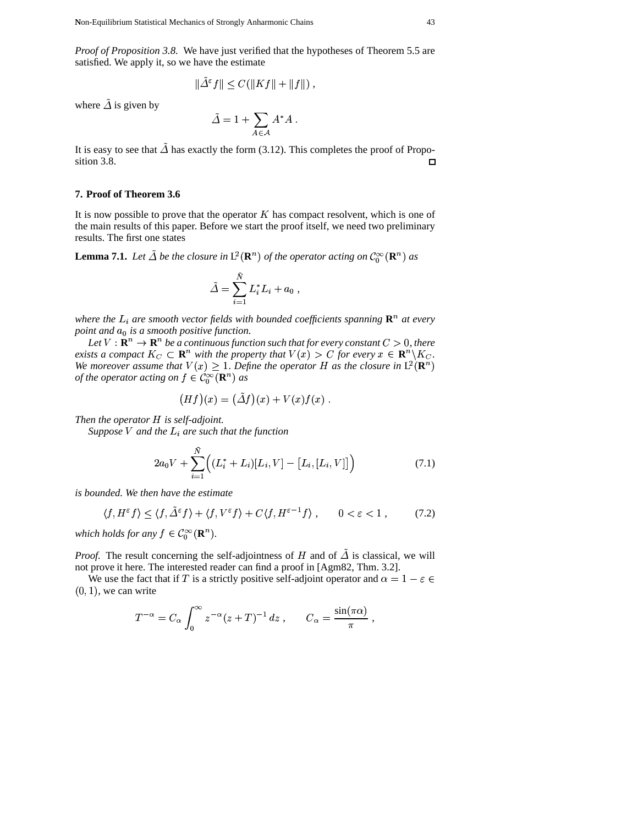Proof of Proposition 3.8. We have just verified that the hypotheses of Theorem 5.5 are satisfied. We apply it, so we have the estimate

$$
\|\Delta^{\varepsilon}f\| \leq C(\|Kf\| + \|f\|)\,,
$$

where  $\tilde{\Delta}$  is given by

$$
\tilde{\varDelta} = 1 + \sum_{A \in \mathcal{A}} A^* A \; .
$$

It is easy to see that  $\tilde{\Delta}$  has exactly the form (3.12). This completes the proof of Proposition 3.8.  $\Box$ 

### 7. Proof of Theorem 3.6

It is now possible to prove that the operator  $K$  has compact resolvent, which is one of the main results of this paper. Before we start the proof itself, we need two preliminary results. The first one states

**Lemma 7.1.** Let  $\tilde{\Delta}$  be the closure in  $L^2(\mathbf{R}^n)$  of the operator acting on  $\mathcal{C}_0^{\infty}(\mathbf{R}^n)$  as

$$
\tilde{\Delta} = \sum_{i=1}^{\tilde{N}} L_i^* L_i + a_0 ,
$$

where the  $L_i$  are smooth vector fields with bounded coefficients spanning  $\mathbf{R}^n$  at every point and  $a_0$  is a smooth positive function.

Let  $V : \mathbf{R}^n \to \mathbf{R}^n$  be a continuous function such that for every constant  $C > 0$ , there exists a compact  $K_C \subset \mathbf{R}^n$  with the property that  $V(x) > C$  for every  $x \in \mathbf{R}^n \backslash K_C$ . We moreover assume that  $V(x) \geq 1$ . Define the operator H as the closure in  $L^2(\mathbb{R}^n)$ of the operator acting on  $f \in \widehat{\mathcal{C}_0^{\infty}}(\mathbf{R}^n)$  as

$$
(Hf)(x) = (\tilde{\Delta}f)(x) + V(x)f(x) .
$$

Then the operator  $H$  is self-adjoint.

Suppose V and the  $L_i$  are such that the function

$$
2a_0V + \sum_{i=1}^{\bar{N}} \Big( (L_i^* + L_i)[L_i, V] - [L_i, [L_i, V]] \Big) \tag{7.1}
$$

is bounded. We then have the estimate

$$
\langle f, H^{\varepsilon} f \rangle \le \langle f, \tilde{\Delta}^{\varepsilon} f \rangle + \langle f, V^{\varepsilon} f \rangle + C \langle f, H^{\varepsilon - 1} f \rangle, \qquad 0 < \varepsilon < 1, \tag{7.2}
$$

which holds for any  $f \in C_0^{\infty}(\mathbb{R}^n)$ .

*Proof.* The result concerning the self-adjointness of H and of  $\tilde{\Delta}$  is classical, we will not prove it here. The interested reader can find a proof in [Agm82, Thm. 3.2].

We use the fact that if T is a strictly positive self-adjoint operator and  $\alpha = 1 - \varepsilon \in$  $(0, 1)$ , we can write

$$
T^{-\alpha} = C_{\alpha} \int_0^{\infty} z^{-\alpha} (z+T)^{-1} dz , \qquad C_{\alpha} = \frac{\sin(\pi \alpha)}{\pi} .
$$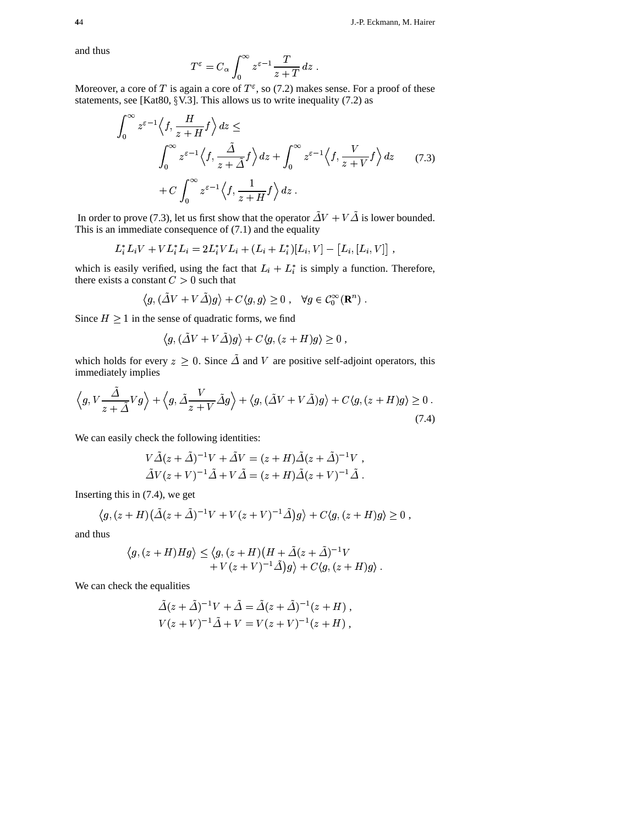and thus

$$
T^{\varepsilon} = C_{\alpha} \int_0^{\infty} z^{\varepsilon - 1} \frac{T}{z + T} dz
$$

Moreover, a core of T is again a core of  $T^{\varepsilon}$ , so (7.2) makes sense. For a proof of these statements, see [Kat80,  $\S$ V.3]. This allows us to write inequality (7.2) as

$$
\int_0^\infty z^{\varepsilon - 1} \left\langle f, \frac{H}{z + H} f \right\rangle dz \le
$$
\n
$$
\int_0^\infty z^{\varepsilon - 1} \left\langle f, \frac{\tilde{\Delta}}{z + \tilde{\Delta}} f \right\rangle dz + \int_0^\infty z^{\varepsilon - 1} \left\langle f, \frac{V}{z + V} f \right\rangle dz \qquad (7.3)
$$
\n
$$
+ C \int_0^\infty z^{\varepsilon - 1} \left\langle f, \frac{1}{z + H} f \right\rangle dz.
$$

In order to prove (7.3), let us first show that the operator  $\Delta V + V\Delta$  is lower bounded. This is an immediate consequence of (7.1) and the equality<br>  $L^* L_i V + V L^* L_i = 2L^* V L_i + (L_i + L^*) [L_i, V]$ 

$$
L_i^* L_i V + V L_i^* L_i = 2L_i^* V L_i + (L_i + L_i^*)[L_i, V] - [L_i, [L_i, V]]
$$

which is easily verified, using the fact that  $L_i + L_i^*$  is simply a function. Therefore, there exists a constant  $C > 0$  such that

$$
\langle g, (\tilde{\Delta}V + V\tilde{\Delta})g \rangle + C \langle g, g \rangle \ge 0 , \quad \forall g \in C_0^{\infty}(\mathbf{R}^n) .
$$

Since  $H \geq 1$  in the sense of quadratic forms, we find

$$
\langle g, (\tilde{\Delta}V + V\tilde{\Delta})g \rangle + C \langle g, (z + H)g \rangle \ge 0 ,
$$

which holds for every  $z \geq 0$ . Since  $\Delta$  and V are positive self-adjoint operators, this immediately implies

$$
\left\langle g, V \frac{\Delta}{z + \tilde{\Delta}} V g \right\rangle + \left\langle g, \tilde{\Delta} \frac{V}{z + V} \tilde{\Delta} g \right\rangle + \left\langle g, (\tilde{\Delta} V + V \tilde{\Delta}) g \right\rangle + C \left\langle g, (z + H) g \right\rangle \ge 0. \tag{7.4}
$$

We can easily check the following identities:<br> $V \tilde{\Delta} (z + \tilde{\Delta})^{-1} V + \tilde{\Delta} V =$ 

eck the following identities:  
\n
$$
V\tilde{\Delta}(z+\tilde{\Delta})^{-1}V + \tilde{\Delta}V = (z+H)\tilde{\Delta}(z+\tilde{\Delta})^{-1}V,
$$
\n
$$
\tilde{\Delta}V(z+V)^{-1}\tilde{\Delta} + V\tilde{\Delta} = (z+H)\tilde{\Delta}(z+V)^{-1}\tilde{\Delta}.
$$

Inserting this in (7.4), we get

 $\ddot{ }$ 

ting this in (7.4), we get  
\n
$$
\langle g, (z+H)(\tilde{\Delta}(z+\tilde{\Delta})^{-1}V + V(z+V)^{-1}\tilde{\Delta})g \rangle + C\langle g, (z+H)g \rangle \ge 0,
$$

and thus

$$
\langle g, (z+H)Hg \rangle \leq \langle g, (z+H)(H + \tilde{\Delta}(z+\tilde{\Delta})^{-1}V + V(z+V)^{-1}\tilde{\Delta})g \rangle + C \langle g, (z+H)g \rangle.
$$

We can check the equalities

$$
\tilde{\Delta}(z+\tilde{\Delta})^{-1}V + \tilde{\Delta} = \tilde{\Delta}(z+\tilde{\Delta})^{-1}(z+H) ,
$$
  
\n
$$
V(z+V)^{-1}\tilde{\Delta} + V = V(z+V)^{-1}(z+H) ,
$$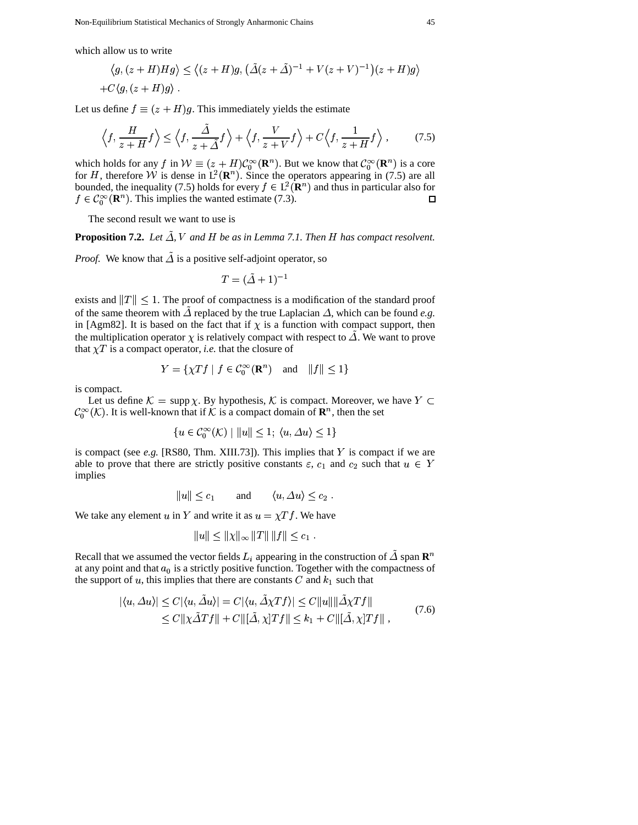which allow us to write

allow us to write  
\n
$$
\langle g, (z+H)Hg \rangle \le \langle (z+H)g, (\tilde{\Delta}(z+\tilde{\Delta})^{-1} + V(z+V)^{-1})(z+H)g \rangle
$$
  
\n+ $C\langle g, (z+H)g \rangle$ .

Let us define  $f \equiv (z + H)g$ . This immediately yields the estimate

$$
\left\langle f, \frac{H}{z+H}f \right\rangle \le \left\langle f, \frac{\tilde{\Delta}}{z+\tilde{\Delta}}f \right\rangle + \left\langle f, \frac{V}{z+V}f \right\rangle + C\left\langle f, \frac{1}{z+H}f \right\rangle, \tag{7.5}
$$

which holds for any f in  $W \equiv (z + H)\mathcal{C}_0^{\infty}(\mathbf{R}^n)$ . But we know that  $\mathcal{C}_0^{\infty}(\mathbf{R}^n)$  is a core for H, therefore W is dense in  $L^2(\mathbf{R}^n)$ . Since the operators appearing in (7.5) are all bounded, the inequality (7.5) holds for every  $f \in L^2(\mathbf{R}^n)$  and thus in particular also for  $f \in C_0^{\infty}(\mathbf{R}^n)$ . This implies the wanted estimate (7.3).  $\Box$ 

The second result we want to use is

**Proposition 7.2.** Let  $\Delta$ , V and H be as in Lemma 7.1. Then H has compact resolvent.

*Proof.* We know that  $\Delta$  is a positive self-adjoint operator, so

$$
T=(\tilde{\varDelta}+1)^{-1}
$$

exists and  $||T|| \leq 1$ . The proof of compactness is a modification of the standard proof of the same theorem with  $\Delta$  replaced by the true Laplacian  $\Delta$ , which can be found *e.g.* in [Agm82]. It is based on the fact that if  $\chi$  is a function with compact support, then the multiplication operator  $\chi$  is relatively compact with respect to  $\Delta$ . We want to prove that  $\chi T$  is a compact operator, *i.e.* that the closure of

$$
Y = \{ \chi Tf \mid f \in \mathcal{C}_0^{\infty}(\mathbf{R}^n) \quad \text{and} \quad ||f|| \le 1 \}
$$

is compact.

Let us define  $\mathcal{K} = \text{supp } \chi$ . By hypothesis,  $\mathcal{K}$  is compact. Moreover, we have  $Y \subset$  $\mathcal{C}_0^{\infty}(\mathcal{K})$ . It is well-known that if  $\mathcal K$  is a compact domain of  $\mathbf{R}^n$ , then the set

$$
\{u \in \mathcal{C}_0^{\infty}(\mathcal{K}) \mid ||u|| \le 1; \ \langle u, \Delta u \rangle \le 1\}
$$

is compact (see  $e.g.$  [RS80, Thm. XIII.73]). This implies that  $Y$  is compact if we are able to prove that there are strictly positive constants  $\varepsilon$ ,  $c_1$  and  $c_2$  such that  $u \in Y$ implies

$$
||u|| \leq c_1
$$
 and  $\langle u, \Delta u \rangle \leq c_2$ .

We take any element u in Y and write it as  $u = \chi T f$ . We have

$$
||u|| \leq ||\chi||_{\infty} ||T|| \, ||f|| \leq c_1 \, .
$$

Recall that we assumed the vector fields  $L_i$  appearing in the construction of  $\Delta$  span  $\mathbb{R}^n$ at any point and that  $a_0$  is a strictly positive function. Together with the compactness of the support of u, this implies that there are constants C and  $k_1$  such that

$$
|\langle u, \Delta u \rangle| \le C |\langle u, \Delta u \rangle| = C |\langle u, \Delta \chi T f \rangle| \le C ||u|| ||\Delta \chi T f||
$$
  
\n
$$
\le C ||\chi \tilde{\Delta} T f|| + C ||[\tilde{\Delta}, \chi] T f|| \le k_1 + C ||[\tilde{\Delta}, \chi] T f||,
$$
\n(7.6)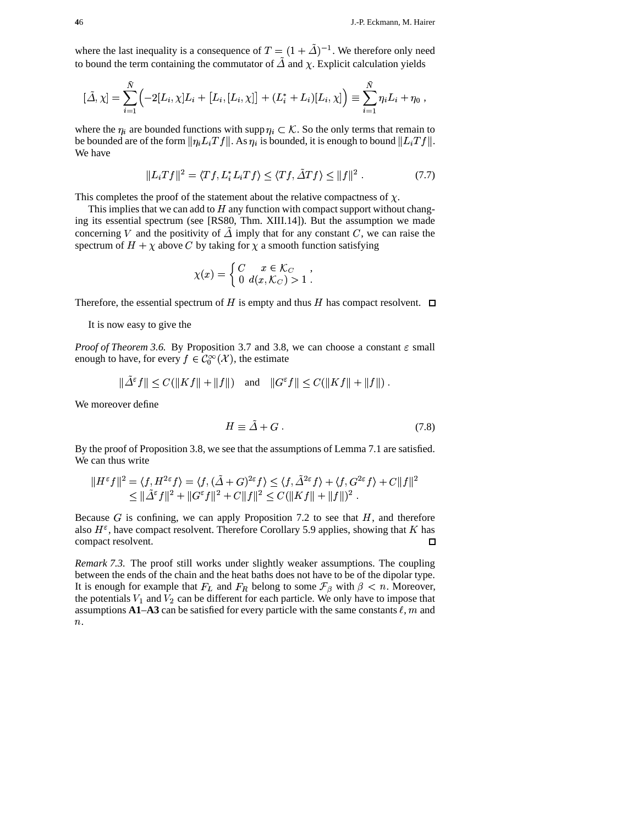where the last inequality is a consequence of  $T = (1 + \tilde{\Delta})^{-1}$ . We therefore only need to bound the term containing the commutator of  $\Delta$  and  $\chi$ . Explicit calculation yields

$$
[\tilde{\Delta}, \chi] = \sum_{i=1}^{\bar{N}} \Bigl( -2[L_i, \chi] L_i + [L_i, [L_i, \chi]] + (L_i^* + L_i)[L_i, \chi] \Bigr) \equiv \sum_{i=1}^{\bar{N}} \eta_i L_i + \eta_0 ,
$$

where the  $\eta_i$  are bounded functions with supp  $\eta_i \subset \mathcal{K}$ . So the only terms that remain to be bounded are of the form  $\|\eta_i L_i Tf\|$ . As  $\eta_i$  is bounded, it is enough to bound  $\|L_i Tf\|$ . )<br>;  $\frac{1}{2}$ We have

$$
||L_iTf||^2 = \langle Tf, L_i^*L_iTf \rangle \le \langle Tf, \tilde{\Delta}Tf \rangle \le ||f||^2.
$$
 (7.7)

This completes the proof of the statement about the relative compactness of  $\chi$ .

This implies that we can add to  $H$  any function with compact support without changing its essential spectrum (see [RS80, Thm. XIII.14]). But the assumption we made concerning V and the positivity of  $\Delta$  imply that for any constant C, we can raise the spectrum of  $H + \chi$  above C by taking for  $\chi$  a smooth function satisfying

$$
\chi(x) = \begin{cases} C & x \in \mathcal{K}_C \\ 0 & d(x, \mathcal{K}_C) > 1 \end{cases}
$$

Therefore, the essential spectrum of  $H$  is empty and thus  $H$  has compact resolvent.

It is now easy to give the

*Proof of Theorem* 3.6. By Proposition 3.7 and 3.8, we can choose a constant  $\varepsilon$  small enough to have, for every  $f \in C_0^\infty(\mathcal{X})$ , the estimate

$$
\|\tilde{\varDelta}^{\varepsilon} f\| \leq C(\|Kf\| + \|f\|) \quad \text{and} \quad \|G^{\varepsilon} f\| \leq C(\|Kf\| + \|f\|) .
$$

We moreover define

$$
H \equiv \tilde{\Delta} + G \ . \tag{7.8}
$$

By the proof of Proposition 3.8, we see that the assumptions of Lemma 7.1 are satisfied. We can thus write

$$
||H^{\varepsilon}f||^{2} = \langle f, H^{2\varepsilon}f \rangle = \langle f, (\tilde{\Delta} + G)^{2\varepsilon}f \rangle \le \langle f, \tilde{\Delta}^{2\varepsilon}f \rangle + \langle f, G^{2\varepsilon}f \rangle + C||f||^{2}
$$
  

$$
\le ||\tilde{\Delta}^{\varepsilon}f||^{2} + ||G^{\varepsilon}f||^{2} + C||f||^{2} \le C(||Kf|| + ||f||)^{2}.
$$

Because  $G$  is confining, we can apply Proposition 7.2 to see that  $H$ , and therefore also  $H^{\varepsilon}$ , have compact resolvent. Therefore Corollary 5.9 applies, showing that K has compact resolvent.  $\Box$ 

*Remark 7.3.* The proof still works under slightly weaker assumptions. The coupling between the ends of the chain and the heat baths does not have to be of the dipolar type. It is enough for example that  $F_L$  and  $F_R$  belong to some  $\mathcal{F}_{\beta}$  with  $\beta < n$ . Moreover, the potentials  $V_1$  and  $V_2$  can be different for each particle. We only have to impose that assumptions  $A1-A3$  can be satisfied for every particle with the same constants  $\ell$ , m and  $n$ .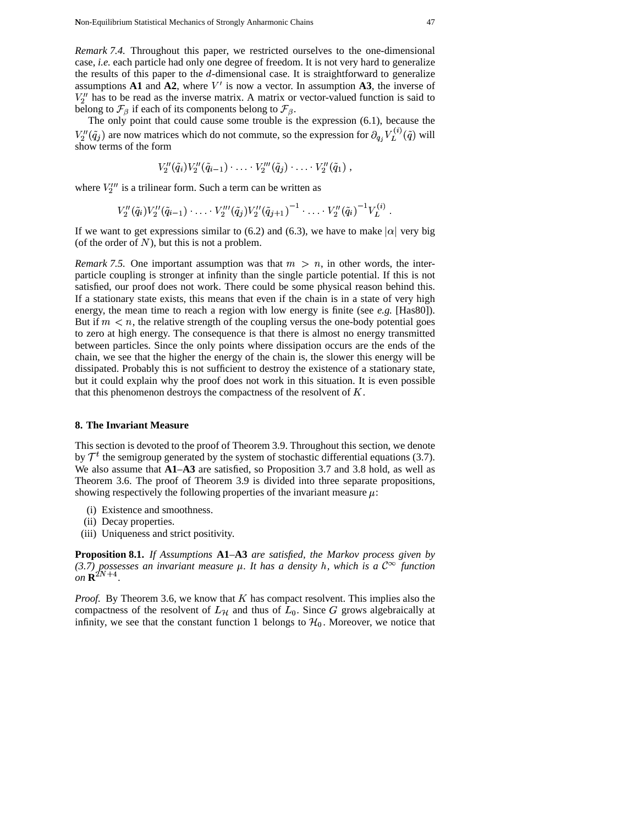The only point that could cause some trouble is the expression (6.1), because the  $V_2''({\tilde q}_i)$  a The only point that could cause some trouble is the expression (6.1), because the  $\tilde{q}_j$ ) are now matrices which do not commute, so the expression for  $\partial_{q_i} V_L^{(i)}(\tilde{q})$  will  $(\tilde{q})$  will show terms of the form

$$
V''_2(\tilde{q}_i) V''_2(\tilde{q}_{i-1}) \cdot \ldots \cdot V''_2(\tilde{q}_j) \cdot \ldots \cdot V''_2(\tilde{q}_1) ,
$$

where  $V_2^{\prime\prime\prime}$  is a trilinear form. Such a term can be written as

is a trilinear form. Such a term can be written as  
\n
$$
V_2''(\tilde{q}_i)V_2''(\tilde{q}_{i-1})\cdot\ldots\cdot V_2'''(\tilde{q}_j)V_2''(\tilde{q}_{j+1})^{-1}\cdot\ldots\cdot V_2''(\tilde{q}_i)^{-1}V_L^{(i)}.
$$

If we want to get expressions similar to (6.2) and (6.3), we have to make  $|\alpha|$  very big (of the order of  $N$ ), but this is not a problem.

*Remark* 7.5. One important assumption was that  $m > n$ , in other words, the interparticle coupling is stronger at infinity than the single particle potential. If this is not satisfied, our proof does not work. There could be some physical reason behind this. If a stationary state exists, this means that even if the chain is in a state of very high energy, the mean time to reach a region with low energy is finite (see  $e.g.$  [Has80]). But if  $m < n$ , the relative strength of the coupling versus the one-body potential goes to zero at high energy. The consequence is that there is almost no energy transmitted between particles. Since the only points where dissipation occurs are the ends of the chain, we see that the higher the energy of the chain is, the slower this energy will be dissipated. Probably this is not sufficient to destroy the existence of a stationary state, but it could explain why the proof does not work in this situation. It is even possible that this phenomenon destroys the compactness of the resolvent of  $K$ .

#### **8. The Invariant Measure**

This section is devoted to the proof of Theorem 3.9. Throughout this section, we denote by  $\mathcal{T}^t$  the semigroup generated by the system of stochastic differential equations (3.7). We also assume that **A1**–**A3** are satisfied, so Proposition 3.7 and 3.8 hold, as well as Theorem 3.6. The proof of Theorem 3.9 is divided into three separate propositions, showing respectively the following properties of the invariant measure  $\mu$ :

- (i) Existence and smoothness.
- (ii) Decay properties.
- (iii) Uniqueness and strict positivity.

**Proposition 8.1.** *If Assumptions* **A1***–***A3** *are satisfied, the Markov process given by* (3.7) possesses an *invariant measure*  $\mu$ . It has a density *h*, which is a  $C^{\infty}$  function  $C^{\infty}$  $\omega n \, \mathbf{R}^{2N+4}$ . *.*

*Proof.* By Theorem 3.6, we know that  $K$  has compact resolvent. This implies also the compactness of the resolvent of  $L_{\mathcal{H}}$  and thus of  $L_0$ . Since G grows algebraically at infinity, we see that the constant function 1 belongs to  $H_0$ . Moreover, we notice that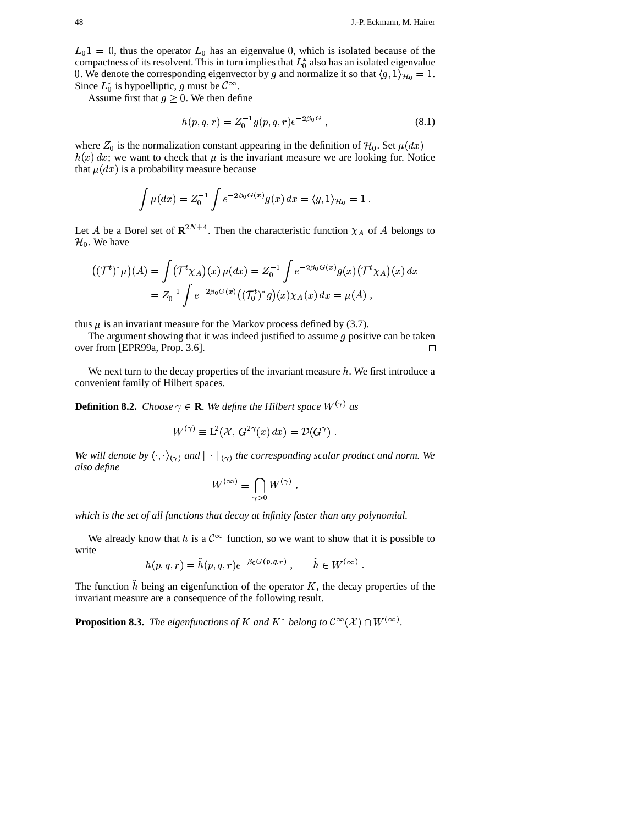$L_0$ 1 = 0, thus the operator  $L_0$  has an eigenvalue 0, which is isolated because of the compactness of its resolvent. This in turn implies that  $L_0^*$  also has an isolated eigenvalue 0. We denote the corresponding eigenvector by g and normalize it so that  $\langle g, 1 \rangle_{\mathcal{H}_0} = 1$ . Since  $L_0^*$  is hypoelliptic, g must be  $\mathcal{C}^{\infty}$ .

Assume first that  $g \geq 0$ . We then define

$$
h(p,q,r) = Z_0^{-1} g(p,q,r) e^{-2\beta_0 G} , \qquad (8.1)
$$

where  $Z_0$  is the normalization constant appearing in the definition of  $\mathcal{H}_0$ . Set  $\mu(dx)$  =  $h(x) dx$ ; we want to check that  $\mu$  is the invariant measure we are looking for. Notice that  $\mu(dx)$  is a probability measure because

$$
\int \mu(dx) = Z_0^{-1} \int e^{-2\beta_0 G(x)} g(x) dx = \langle g, 1 \rangle_{\mathcal{H}_0} = 1
$$

Let A be a Borel set of  $\mathbb{R}^{2N+4}$ . Then the characteristic function  $\chi_A$  of A belongs to  $H_0$ . We have

$$
((\mathcal{T}^t)^*\mu)(A) = \int (\mathcal{T}^t \chi_A)(x) \,\mu(dx) = Z_0^{-1} \int e^{-2\beta_0 G(x)} g(x) (\mathcal{T}^t \chi_A)(x) \, dx
$$
  
=  $Z_0^{-1} \int e^{-2\beta_0 G(x)} ((\mathcal{T}_0^t)^* g)(x) \chi_A(x) \, dx = \mu(A),$ 

thus  $\mu$  is an invariant measure for the Markov process defined by (3.7).

The argument showing that it was indeed justified to assume  $g$  positive can be taken over from [EPR99a, Prop. 3.6].  $\Box$ 

We next turn to the decay properties of the invariant measure  $h$ . We first introduce a convenient family of Hilbert spaces.

**Definition 8.2.** Choose  $\gamma \in \mathbf{R}$ . We define the Hilbert space  $W^{(\gamma)}$  as

$$
W^{(\gamma)} \equiv L^2(\mathcal{X}, G^{2\gamma}(x) dx) = \mathcal{D}(G^{\gamma}).
$$

We will denote by  $\langle \cdot, \cdot \rangle_{(\gamma)}$  and  $\|\cdot\|_{(\gamma)}$  the corresponding scalar product and norm. We also define

$$
W^{(\infty)} \equiv \bigcap_{\gamma > 0} W^{(\gamma)} ,
$$

which is the set of all functions that decay at infinity faster than any polynomial.

We already know that h is a  $\mathcal{C}^{\infty}$  function, so we want to show that it is possible to write

$$
h(p,q,r) = \tilde{h}(p,q,r)e^{-\beta_0 G(p,q,r)}, \qquad \tilde{h} \in W^{(\infty)}
$$

The function  $\tilde{h}$  being an eigenfunction of the operator K, the decay properties of the invariant measure are a consequence of the following result.

**Proposition 8.3.** The eigenfunctions of K and K<sup>\*</sup> belong to  $C^{\infty}(\mathcal{X}) \cap W^{(\infty)}$ .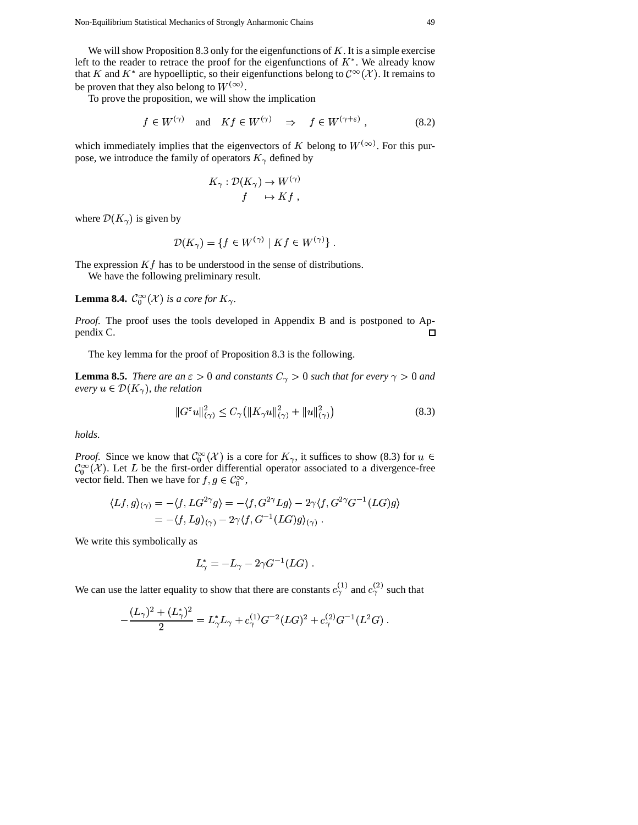We will show Proposition 8.3 only for the eigenfunctions of  $K$ . It is a simple exercise left to the reader to retrace the proof for the eigenfunctions of  $K^*$ . We already know that K and K<sup>\*</sup> are hypoelliptic, so their eigenfunctions belong to  $\mathcal{C}^{\infty}(\mathcal{X})$ . It remains to be proven that they also belong to  $W^{(\infty)}$ .

To prove the proposition, we will show the implication

 $\mathbb{R}^2$ 

$$
f \in W^{(\gamma)}
$$
 and  $Kf \in W^{(\gamma)} \Rightarrow f \in W^{(\gamma + \varepsilon)}$ , (8.2)

which immediately implies that the eigenvectors of K belong to  $W^{(\infty)}$ . For this purpose, we introduce the family of operators  $K_{\gamma}$  defined by

$$
K_{\gamma}: \mathcal{D}(K_{\gamma}) \to W^{(\gamma)}
$$
  

$$
f \to Kf,
$$

where  $\mathcal{D}(K_{\gamma})$  is given by

$$
\mathcal{D}(K_{\gamma}) = \{ f \in W^{(\gamma)} \mid Kf \in W^{(\gamma)} \}
$$

The expression  $Kf$  has to be understood in the sense of distributions.

We have the following preliminary result.

**Lemma 8.4.**  $C_0^{\infty}(\mathcal{X})$  is a core for  $K_{\gamma}$ .

Proof. The proof uses the tools developed in Appendix B and is postponed to Appendix C.  $\Box$ 

The key lemma for the proof of Proposition 8.3 is the following.

**Lemma 8.5.** There are an  $\epsilon > 0$  and constants  $C_{\gamma} > 0$  such that for every  $\gamma > 0$  and every  $u \in \mathcal{D}(K_{\gamma})$ , the relation

$$
||G^{\varepsilon}u||_{(\gamma)}^2 \le C_{\gamma} (||K_{\gamma}u||_{(\gamma)}^2 + ||u||_{(\gamma)}^2)
$$
\n(8.3)

holds.

*Proof.* Since we know that  $C_0^{\infty}(\mathcal{X})$  is a core for  $K_{\gamma}$ , it suffices to show (8.3) for  $u \in$  $\mathcal{C}_0^{\infty}(\mathcal{X})$ . Let L be the first-order differential operator associated to a divergence-free vector field. Then we have for  $f,g\in\mathcal{C}_0^\infty,$ 

$$
\langle Lf, g \rangle_{(\gamma)} = -\langle f, LG^{2\gamma}g \rangle = -\langle f, G^{2\gamma}Lg \rangle - 2\gamma \langle f, G^{2\gamma}G^{-1}(LG)g \rangle
$$
  
= 
$$
-\langle f, Lg \rangle_{(\gamma)} - 2\gamma \langle f, G^{-1}(LG)g \rangle_{(\gamma)}.
$$

We write this symbolically as

$$
L^*_{\gamma} = -L_{\gamma} - 2\gamma G^{-1}(LG)
$$

We can use the latter equality to show that there are constants  $c_{\gamma}^{(1)}$  and  $c_{\gamma}^{(2)}$  such that

$$
-\frac{(L_{\gamma})^2 + (L_{\gamma}^*)^2}{2} = L_{\gamma}^* L_{\gamma} + c_{\gamma}^{(1)} G^{-2} (LG)^2 + c_{\gamma}^{(2)} G^{-1} (L^2 G)
$$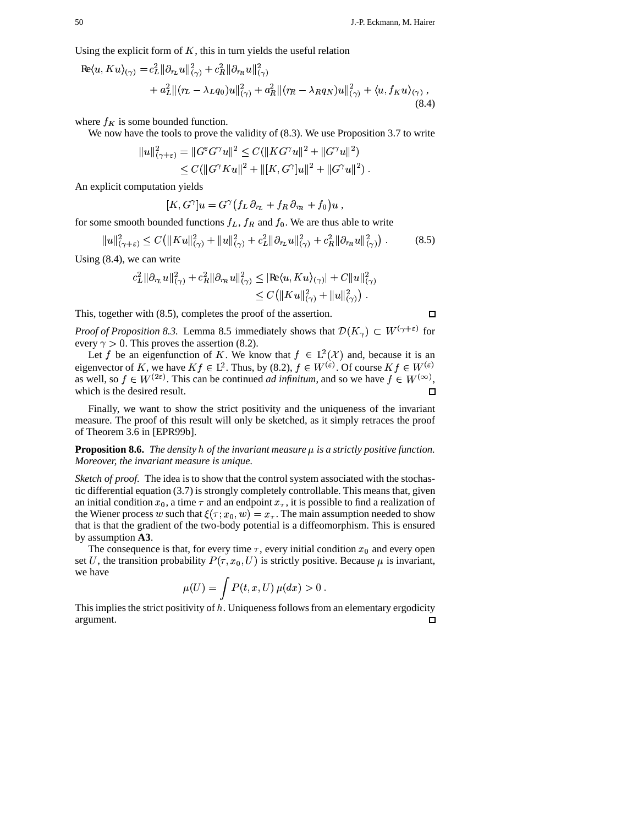Using the explicit form of  $K$ , this in turn yields the useful relation

$$
\begin{split} \text{Re}\langle u, K u \rangle_{(\gamma)} &= c_L^2 \|\partial_{r_L} u\|_{(\gamma)}^2 + c_R^2 \|\partial_{r_R} u\|_{(\gamma)}^2 \\ &+ a_L^2 \|(r_L - \lambda_L q_0)u\|_{(\gamma)}^2 + a_R^2 \|(r_R - \lambda_R q_N)u\|_{(\gamma)}^2 + \langle u, f_K u \rangle_{(\gamma)} \,, \end{split} \tag{8.4}
$$

where  $f_K$  is some bounded function.

We now have the tools to prove the validity of  $(8.3)$ . We use Proposition 3.7 to write

$$
||u||_{(\gamma+\varepsilon)}^2 = ||G^{\varepsilon}G^{\gamma}u||^2 \leq C(||KG^{\gamma}u||^2 + ||G^{\gamma}u||^2)
$$
  
 
$$
\leq C(||G^{\gamma}Ku||^2 + ||[K, G^{\gamma}]u||^2 + ||G^{\gamma}u||^2).
$$

An explicit computation yields

$$
[K, G^{\gamma}]u = G^{\gamma}\left(f_L \partial_{r_L} + f_R \partial_{r_R} + f_0\right)u,
$$

for some smooth bounded functions  $f_L$ ,  $f_R$  and  $f_0$ . We are thus able to write

$$
||u||_{(\gamma+\varepsilon)}^2 \le C(||Ku||_{(\gamma)}^2 + ||u||_{(\gamma)}^2 + c_L^2 ||\partial_{r_L} u||_{(\gamma)}^2 + c_R^2 ||\partial_{r_R} u||_{(\gamma)}^2) . \tag{8.5}
$$

Using  $(8.4)$ , we can write

$$
c_L^2 \|\partial_{r_L} u\|_{(\gamma)}^2 + c_R^2 \|\partial_{r_R} u\|_{(\gamma)}^2 \leq |\mathbf{Re}\langle u, K u\rangle_{(\gamma)}| + C \|u\|_{(\gamma)}^2
$$
  

$$
\leq C \left( \|K u\|_{(\gamma)}^2 + \|u\|_{(\gamma)}^2 \right).
$$

This, together with  $(8.5)$ , completes the proof of the assertion.

*Proof of Proposition 8.3.* Lemma 8.5 immediately shows that  $\mathcal{D}(K_\gamma) \subset W^{(\gamma+\varepsilon)}$  for every  $\gamma > 0$ . This proves the assertion (8.2).

Let f be an eigenfunction of K. We know that  $f \in L^2(\mathcal{X})$  and, because it is an eigenvector of K, we have  $K f \in L^2$ . Thus, by (8.2),  $f \in W^{(\varepsilon)}$ . Of course  $K f \in W^{(\varepsilon)}$ as well, so  $f \in W^{(2\varepsilon)}$ . This can be continued *ad infinitum*, and so we have  $f \in W^{(\infty)}$ , which is the desired result. n

Finally, we want to show the strict positivity and the uniqueness of the invariant measure. The proof of this result will only be sketched, as it simply retraces the proof of Theorem 3.6 in [EPR99b].

**Proposition 8.6.** The density  $h$  of the invariant measure  $\mu$  is a strictly positive function. Moreover, the invariant measure is unique.

*Sketch of proof.* The idea is to show that the control system associated with the stochastic differential equation (3.7) is strongly completely controllable. This means that, given an initial condition  $x_0$ , a time  $\tau$  and an endpoint  $x_{\tau}$ , it is possible to find a realization of the Wiener process w such that  $\xi(\tau; x_0, w) = x_{\tau}$ . The main assumption needed to show that is that the gradient of the two-body potential is a diffeomorphism. This is ensured by assumption A3.

The consequence is that, for every time  $\tau$ , every initial condition  $x_0$  and every open set U, the transition probability  $P(\tau, x_0, U)$  is strictly positive. Because  $\mu$  is invariant, we have

$$
\mu(U) = \int P(t, x, U) \mu(dx) > 0.
$$

This implies the strict positivity of  $h$ . Uniqueness follows from an elementary ergodicity argument.  $\Box$ 

 $\Box$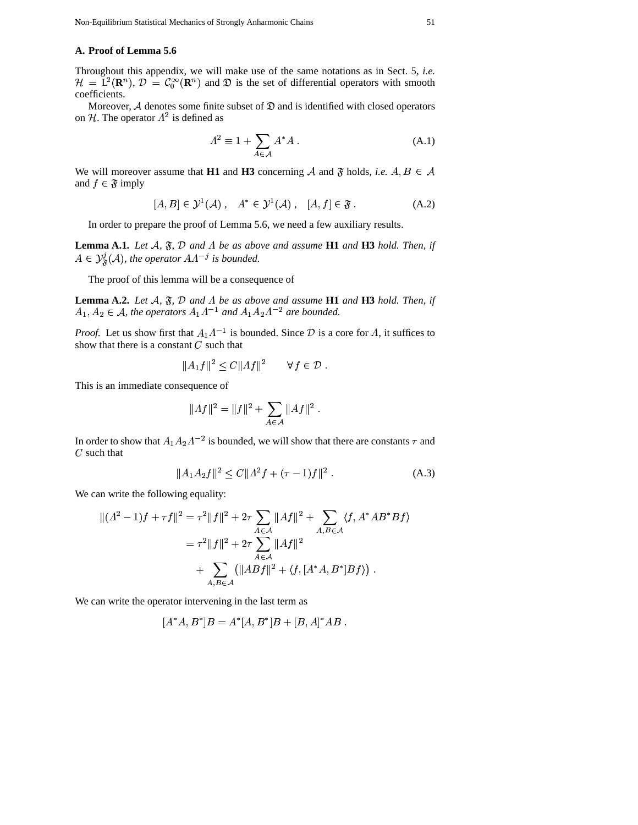# **A. Proof of Lemma 5.6**

Throughout this appendix, we will make use of the same notations as in Sect. 5, *i.e.*  $\mathcal{H} = L^2(\mathbf{R}^n), \mathcal{D} = C_0^{\infty}(\mathbf{R}^n)$  and  $\mathfrak{D}$  is the set of differential operators with smooth coefficients.

Moreover,  $A$  denotes some finite subset of  $D$  and is identified with closed operators on H. The operator  $\Lambda^2$  is defined as

$$
\Lambda^2 \equiv 1 + \sum_{A \in \mathcal{A}} A^* A \,. \tag{A.1}
$$

We will moreover assume that **H1** and **H3** concerning  $\mathcal A$  and  $\mathfrak F$  holds, *i.e.*  $A, B \in \mathcal A$ and  $f \in \mathfrak{F}$  imply

$$
[A, B] \in \mathcal{Y}^1(\mathcal{A}) \,, \quad A^* \in \mathcal{Y}^1(\mathcal{A}) \,, \quad [A, f] \in \mathfrak{F} \,.
$$

In order to prepare the proof of Lemma 5.6, we need a few auxiliary results.

**Lemma A.1.** *Let*  $A$ ,  $\mathfrak{F}$ ,  $D$  *and*  $\Lambda$  *be as above and assume* **H1** *and* **H3** *hold. Then, if*  $\in \mathcal{Y}_{\mathcal{R}}^{\mathcal{I}}(\mathcal{A})$ , the operator  $AA^{-j}$  is bounded.

The proof of this lemma will be a consequence of

**Lemma A.2.** *Let*  $A$ ,  $\mathfrak{F}$ ,  $D$  *and*  $\Lambda$  *be as above and assume* **H1** *and* **H3** *hold. Then, if*  $A_1, A_2 \in \mathcal{A}$ , the operators  $A_1 \Lambda^{-1}$  and  $A_1 A_2 \Lambda$  $^1$  and  $A_1A_2\Lambda^{-2}$  are bounde and  $A_1A_2\Lambda^{-2}$  are bounded.

*Proof.* Let us show first that  $A_1 \Lambda^{-1}$  is bounded. Since  $D$  is show that there is a constant  $C$  such that <sup>1</sup> is bounded. Since  $\mathcal{D}$  is a core for  $\Lambda$ , it suffices to

$$
||A_1f||^2 \le C||Af||^2 \qquad \forall f \in \mathcal{D} .
$$

This is an immediate consequence of

$$
||Af||^2 = ||f||^2 + \sum_{A \in \mathcal{A}} ||Af||^2.
$$

In order to show that  $A_1 A_2 A^{-2}$  is bounded, <sup>2</sup> is bounded, we will show that there are constants  $\tau$  and  $C$  such that

$$
||A_1 A_2 f||^2 \le C||A^2 f + (\tau - 1)f||^2.
$$
 (A.3)

We can write the following equality:

$$
\begin{aligned} || (A^2 - 1)f + \tau f ||^2 &= \tau^2 ||f||^2 + 2\tau \sum_{A \in \mathcal{A}} ||Af||^2 + \sum_{A, B \in \mathcal{A}} \langle f, A^* A B^* B f \rangle \\ &= \tau^2 ||f||^2 + 2\tau \sum_{A \in \mathcal{A}} ||Af||^2 \\ &+ \sum_{A, B \in \mathcal{A}} (||ABf||^2 + \langle f, [A^* A, B^*] B f \rangle) \end{aligned}
$$

We can write the operator intervening in the last term as

$$
[A^*A, B^*]B = A^*[A, B^*]B + [B, A]^*AB.
$$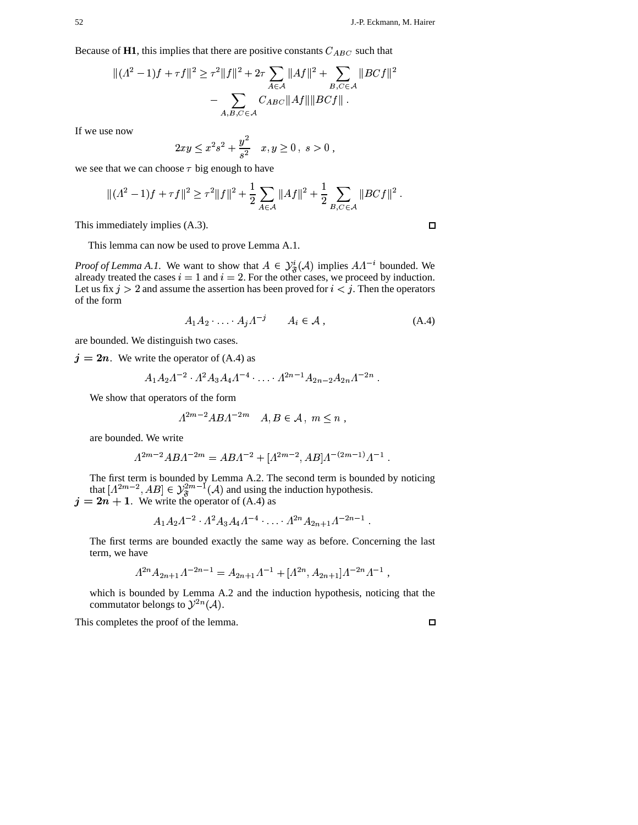Because of H1, this implies that there are positive constants  $C_{ABC}$  such that

$$
\|(A^{2}-1)f+\tau f\|^{2} \geq \tau^{2}||f||^{2} + 2\tau \sum_{A \in \mathcal{A}} ||Af||^{2} + \sum_{B,C \in \mathcal{A}} ||BCf||^{2}
$$

$$
- \sum_{A,B,C \in \mathcal{A}} C_{ABC} ||Af|| ||BCf||.
$$

If we use now

$$
2xy \le x^2 s^2 + \frac{y^2}{s^2} \quad x, y \ge 0, \ s > 0 ,
$$

 $\mathbf{a}$  and  $\mathbf{a}$ 

we see that we can choose  $\tau$  big enough to have

$$
\|(A^2 - 1)f + \tau f\|^2 \ge \tau^2 \|f\|^2 + \frac{1}{2} \sum_{A \in \mathcal{A}} \|Af\|^2 + \frac{1}{2} \sum_{B,C \in \mathcal{A}} \|BCf\|^2.
$$

This immediately implies (A.3).

This lemma can now be used to prove Lemma A.1.

*Proof of Lemma A.1.* We want to show that  $\cdots$   $\cdots$   $\cdots$   $\cdots$  $\in \mathcal{Y}^i_{\mathcal{R}}(\mathcal{A})$  implies A [  $\Lambda^{-i}$  bounded. We already treated the cases  $i = 1$  and  $i = 2$ . For the other cases, we proceed by induction. Let us fix  $j > 2$  and assume the assertion has been proved for  $i < j$ . Then the operators of the form

$$
A_1 A_2 \cdot \ldots \cdot A_j A^{-j} \qquad A_i \in \mathcal{A} \,, \tag{A.4}
$$

are bounded. We distinguish two cases.

 $j = 2n$ . We write the operator of (A.4) as

$$
A_1 A_2 \Lambda^{-2} \cdot \Lambda^2 A_3 A_4 \Lambda^{-4} \cdot \ldots \cdot \Lambda^{2n-1} A_{2n-2} A_{2n} \Lambda^{-2n}.
$$

We show that operators of the form

$$
A^{2m-2}ABA^{-2m} \quad A, B \in \mathcal{A}, m \leq n ,
$$

are bounded. We write

d. We write  

$$
\Lambda^{2m-2}ABA^{-2m} = ABA^{-2} + [A^{2m-2}, AB]\Lambda^{-(2m-1)}\Lambda^{-1}.
$$

The first term is bounded by Lemma A.2. The second term is bounded by noticing The first term is bounded by Lemma A.2. The second term is bounded by r<br>
that  $[A^{2m-2}, AB] \in \mathcal{Y}_{\mathfrak{F}}^{2m-1}(A)$  and using the induction hypothesis.<br>  $j = 2n + 1$ . We write the operator of (A.4) as<br>  $A_1 A_2 A^{-2} \cdot A^2 A_3 A_4 A^{-$ 

$$
A_1 A_2 \Lambda^{-2} \cdot \Lambda^2 A_3 A_4 \Lambda^{-4} \cdot \ldots \cdot \Lambda^{2n} A_{2n+1} \Lambda^{-2n-1}
$$

The first terms are bounded exactly the same way as before. Concerning the last term, we have

$$
A^{2n}A_{2n+1}A^{-2n-1} = A_{2n+1}A^{-1} + [A^{2n}, A_{2n+1}]A^{-2n}A^{-1},
$$

which is bounded by Lemma A.2 and the induction hypothesis, noticing that the commutator belongs to  $\mathcal{Y}^{2n}(\mathcal{A})$ .  $(\mathcal{A}).$ 

This completes the proof of the lemma.

 $\Box$ 

 $\Box$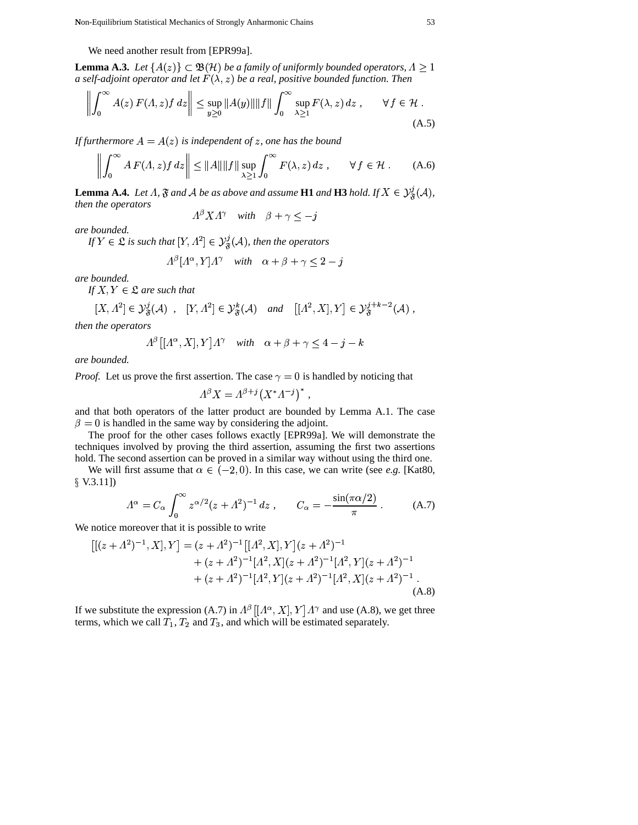We need another result from [EPR99a].

**Lemma A.3.** Let  $\{A(z)\}\subset \mathfrak{B}(\mathcal{H})$  be a family of uniformly bounded operators,  $\Lambda \geq 1$ <br>a self-adioint operator and let  $F(\lambda, z)$  be a real, positive bounded function. Then a self-adjoint operator and let  $F(\lambda, z)$  be a real, positive bounded function. Then **William Communication Communication** 

$$
\left\| \int_0^\infty A(z) \, F(\Lambda, z) f \, dz \right\| \le \sup_{y \ge 0} \|A(y)\| \|f\| \int_0^\infty \sup_{\lambda \ge 1} F(\lambda, z) \, dz \,, \qquad \forall \, f \in \mathcal{H} \,.
$$

If furthermore  $A = A(z)$  is independent of z, one has the bound

$$
\left\| \int_0^\infty A \, F(\Lambda, z) f \, dz \right\| \le \|A\| \|f\| \sup_{\lambda \ge 1} \int_0^\infty F(\lambda, z) \, dz \,, \qquad \forall \, f \in \mathcal{H} \,.
$$
 (A.6)

**Lemma A.4.** Let  $\Lambda$ ,  $\mathfrak{F}$  and  $\mathcal{A}$  be as above and assume **H1** and **H3** hold. If  $X \in \mathcal{Y}_{\mathfrak{F}}^j(\mathcal{A})$ , *then the operators*  $\frac{\beta}{\beta}$ 

 $A^{\beta} X A^{\gamma}$  with  $\beta + \gamma \leq -j$ 

*are bounded.*

*If*  $Y \in \mathfrak{L}$  *is such that*  $[Y, \Lambda^2] \in \mathcal{Y}_{\mathfrak{F}}^{\jmath}(\mathcal{A})$ *, th*  $\mathcal{C}^{\mu}[Y, \Lambda^2] \in \mathcal{Y}^{\jmath}_{\mathcal{R}}(\mathcal{A})$ , then the operators

$$
A^{\beta}[A^{\alpha}, Y]A^{\gamma} \quad with \quad \alpha + \beta + \gamma \le 2 - j
$$

*are bounded.*

If  $X, Y \in \mathfrak{L}$  are such that

 $\overline{1}$ 

$$
f X, Y \in \mathfrak{L} \text{ are such that}
$$
  

$$
[X, \Lambda^2] \in \mathcal{Y}_{\mathfrak{F}}^j(\mathcal{A}) , [Y, \Lambda^2] \in \mathcal{Y}_{\mathfrak{F}}^k(\mathcal{A}) \text{ and } [[\Lambda^2, X], Y] \in \mathcal{Y}_{\mathfrak{F}}^{j+k-2}(\mathcal{A}) ,
$$

*then the operators*

$$
\Lambda^{\beta}\left[[\Lambda^{\alpha}, X], Y\right] \Lambda^{\gamma} \quad with \quad \alpha + \beta + \gamma \le 4 - j - k
$$

*are bounded.*

*are bounaea.*<br>*Proof.* Let us prove the first assertion. The case  $\gamma = 0$  is handled by noticing that

$$
\begin{aligned}\n\text{section. The case } \gamma = 0 \text{ is handle} \\
1^{\beta} X &= \Lambda^{\beta+j} \left( X^* \Lambda^{-j} \right)^* \,,\n\end{aligned}
$$

 and that both operators of the latter product are bounded by Lemma A.1. The case  $\beta = 0$  is handled in the same way by considering the adjoint.

The proof for the other cases follows exactly [EPR99a]. We will demonstrate the techniques involved by proving the third assertion, assuming the first two assertions hold. The second assertion can be proved in a similar way without using the third one.

We will first assume that  $\alpha \in (-2, 0)$ . In this case, we can write (see *e.g.* [Kat80,  $\S$  V.3.11])

$$
\Lambda^{\alpha} = C_{\alpha} \int_0^{\infty} z^{\alpha/2} (z + \Lambda^2)^{-1} dz , \qquad C_{\alpha} = -\frac{\sin(\pi \alpha/2)}{\pi} .
$$
 (A.7)

We notice moreover that it is possible to write

e notice moreover that it is possible to write  
\n
$$
[[(z + \Lambda^2)^{-1}, X], Y] = (z + \Lambda^2)^{-1} [[\Lambda^2, X], Y](z + \Lambda^2)^{-1}
$$
\n
$$
+ (z + \Lambda^2)^{-1} [\Lambda^2, X](z + \Lambda^2)^{-1} [\Lambda^2, Y](z + \Lambda^2)^{-1}
$$
\n
$$
+ (z + \Lambda^2)^{-1} [\Lambda^2, Y](z + \Lambda^2)^{-1} [\Lambda^2, X](z + \Lambda^2)^{-1}.
$$
\n(A.8)

If we substitute the expression (A.7) in  $A^{\beta}$   $\left[ A^{\alpha}, X \right], Y | A^{\gamma}$  and use (A.8), we get three terms, which we call  $T_1, T_2$  and  $T_3$ , and which will be estimated separately.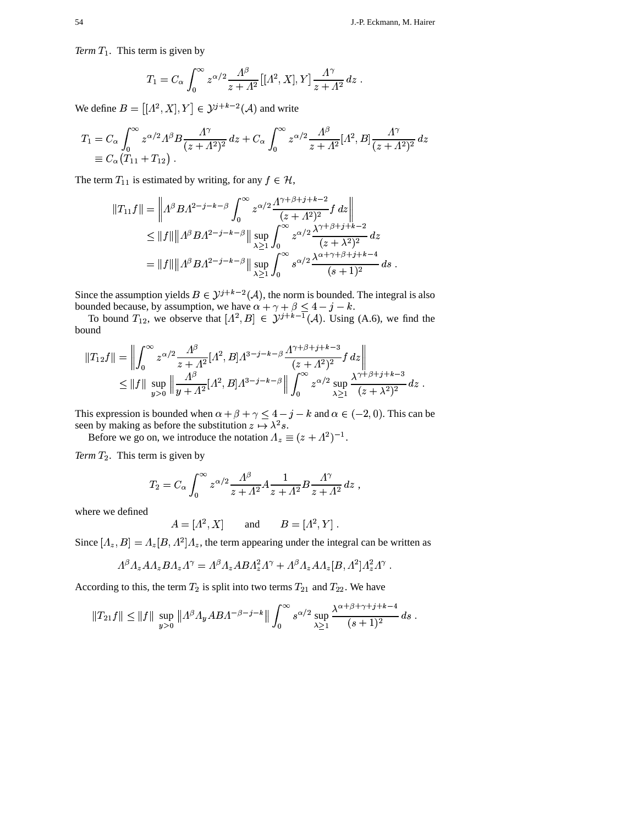*Term*  $T_1$ . This term is given by

$$
T_1 = C_{\alpha} \int_0^{\infty} z^{\alpha/2} \frac{\Lambda^{\beta}}{z + \Lambda^2} [( \Lambda^2, X ], Y ] \frac{\Lambda^{\gamma}}{z + \Lambda^2} dz .
$$

We define  $B = |[A^2, X], Y| \in \mathcal{Y}$  $\left[ \begin{array}{cc} 0 & z + A^2 \end{array} \right]$ <br> $\left[ \begin{array}{c} 2, X \end{array} \right], Y \right] \in \mathcal{Y}^{j+k-2}(\mathcal{A})$  and write

$$
T_1 = C_{\alpha} \int_0^{\infty} z^{\alpha/2} \Lambda^{\beta} B \frac{\Lambda^{\gamma}}{(z + \Lambda^2)^2} dz + C_{\alpha} \int_0^{\infty} z^{\alpha/2} \frac{\Lambda^{\beta}}{z + \Lambda^2} [\Lambda^2, B] \frac{\Lambda^{\gamma}}{(z + \Lambda^2)^2} dz
$$
  
 
$$
\equiv C_{\alpha} (T_{11} + T_{12}).
$$

The term  $T_{11}$  is estimated by writing, for any  $f \in \mathcal{H}$ ,

$$
||T_{11} f|| = ||A^{\beta} B A^{2-j-k-\beta} \int_{0}^{\infty} z^{\alpha/2} \frac{A^{\gamma+\beta+j+k-2}}{(z+A^2)^2} f dz ||
$$
  
\n
$$
\leq ||f|| ||A^{\beta} B A^{2-j-k-\beta} || \sup_{\lambda \geq 1} \int_{0}^{\infty} z^{\alpha/2} \frac{\lambda^{\gamma+\beta+j+k-2}}{(z+\lambda^2)^2} dz
$$
  
\n
$$
= ||f|| ||A^{\beta} B A^{2-j-k-\beta} || \sup_{\lambda \geq 1} \int_{0}^{\infty} s^{\alpha/2} \frac{\lambda^{\alpha+\gamma+\beta+j+k-4}}{(s+1)^2} ds.
$$

Since the assumption yields  $B \in \mathcal{Y}^{j+k-2}(\mathcal{A})$ , the norm is bounded. The integral is also<br>bounded because, by assumption, we have  $\alpha + \gamma + \beta < 4 - i - k$ . bounded because, by assumption, we have  $\alpha + \gamma + \beta \leq 4 - j - k$ .  $\sim$   $\sim$  $\begin{aligned} + \beta &\leq 4 - j - k, \\ + k^{-1}(\mathcal{A}). \end{aligned}$  Using (A.6), we find the

To bound  $T_{12}$ , we observe that  $[A^2, B] \in \mathcal{Y}^{j+k-1}(\mathcal{A})$ . Usi bound &

$$
||T_{12}f|| = \left\| \int_0^\infty z^{\alpha/2} \frac{\Lambda^\beta}{z + \Lambda^2} [A^2, B] \Lambda^{3-j-k-\beta} \frac{\Lambda^{\gamma+\beta+j+k-3}}{(z + \Lambda^2)^2} f dz \right\|
$$
  
\$\leq ||f|| \sup\_{y>0} \left\| \frac{\Lambda^\beta}{y + \Lambda^2} [A^2, B] \Lambda^{3-j-k-\beta} \right\| \int\_0^\infty z^{\alpha/2} \sup\_{\lambda \geq 1} \frac{\lambda^{\gamma+\beta+j+k-3}}{(z + \lambda^2)^2} dz .

This expression is bounded when  $\alpha + \beta + \gamma \le 4 - j - k$  and  $\alpha \in (-2, 0)$ . This can be seen by making as before the substitution  $z \mapsto \lambda^2 s$ . seen by making as before the substitution  $z \mapsto \lambda^2 s$ . éÈ

Before we go on, we introduce the notation  $\Lambda_z \equiv (z + \Lambda^2)^{-1}$ .  $^{2})^{-1}.$ 

*Term*  $T_2$ . This term is given by

$$
T_2 = C_\alpha \int_0^\infty z^{\alpha/2} \frac{\Lambda^\beta}{z + \Lambda^2} A \frac{1}{z + \Lambda^2} B \frac{\Lambda^\gamma}{z + \Lambda^2} \, dz \;,
$$

where we defined

$$
A = [A2, X] \qquad \text{and} \qquad B = [A2, Y] .
$$

Since  $[A_z, B] = A_z[B, A^2]A_z$ , the term a  $[\beta] = \Lambda_z[B, \Lambda^2] \Lambda_z$ , the term appearing under the integral can be written as

$$
A^{\beta} A_z A A_z B A_z A^{\gamma} = A^{\beta} A_z A B A_z^2 A^{\gamma} + A^{\beta} A_z A A_z [B, A^2] A_z^2 A^{\gamma} .
$$

According to this, the term  $T_2$  is split into two terms  $T_{21}$  and  $T_{22}$ . We have

From the terms of the following matrices:

\n
$$
\|T_{21}f\| \le \|f\| \sup_{y>0} \|A^{\beta}A_y A B A^{-\beta-j-k}\| \int_0^\infty s^{\alpha/2} \sup_{\lambda \ge 1} \frac{\lambda^{\alpha+\beta+\gamma+j+k-4}}{(s+1)^2} ds.
$$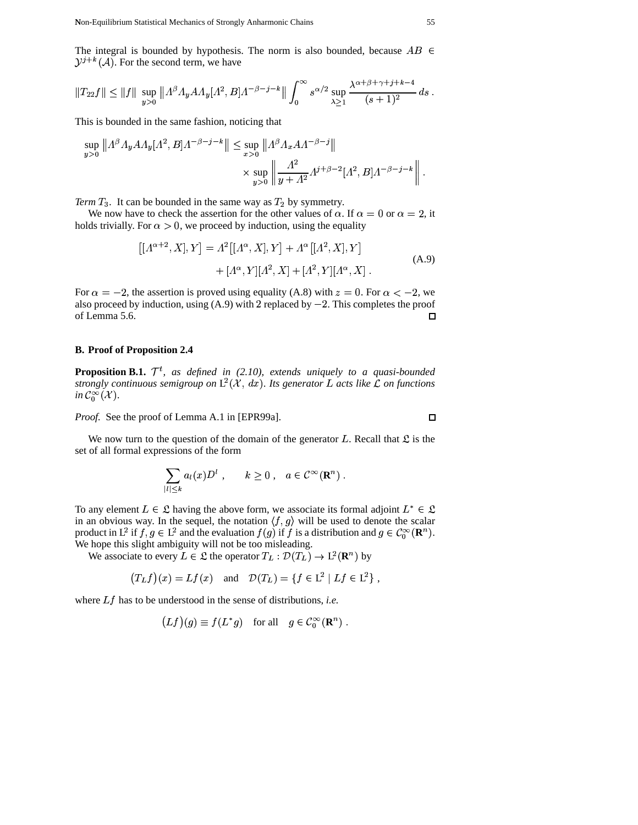The integral is bounded by hypothesis. The norm is also bounded, because  $AB \in$  $\mathcal{Y}^{j+k}(\mathcal{A})$ . For the second term, we have

$$
||T_{22}f|| \le ||f|| \sup_{y>0} ||A^{\beta} \Lambda_y A \Lambda_y [A^2, B] A^{-\beta-j-k} || \int_0^{\infty} s^{\alpha/2} \sup_{\lambda \ge 1} \frac{\lambda^{\alpha+\beta+\gamma+j+k-4}}{(s+1)^2} ds
$$
.

This is bounded in the same fashion, noticing that

$$
\sup_{y>0} ||A^{\beta} A_y A A_y [A^2, B] A^{-\beta-j-k} || \le \sup_{x>0} ||A^{\beta} A_x A A^{-\beta-j} ||
$$
  
 
$$
\times \sup_{y>0} ||\frac{A^2}{y+A^2} A^{j+\beta-2} [A^2, B] A^{-\beta-j-k} ||
$$

Term  $T_3$ . It can be bounded in the same way as  $T_2$  by symmetry.

We now have to check the assertion for the other values of  $\alpha$ . If  $\alpha = 0$  or  $\alpha = 2$ , it holds trivially. For  $\alpha > 0$ , we proceed by induction, using the equality

$$
[[\Lambda^{\alpha+2}, X], Y] = \Lambda^2 [[\Lambda^{\alpha}, X], Y] + \Lambda^{\alpha} [[\Lambda^2, X], Y] + [\Lambda^{\alpha}, Y][\Lambda^2, X] + [\Lambda^2, Y][\Lambda^{\alpha}, X].
$$
 (A.9)

For  $\alpha = -2$ , the assertion is proved using equality (A.8) with  $z = 0$ . For  $\alpha < -2$ , we also proceed by induction, using  $(A.9)$  with 2 replaced by  $-2$ . This completes the proof of Lemma 5.6.  $\Box$ 

# **B. Proof of Proposition 2.4**

**Proposition B.1.**  $\mathcal{T}^t$ , as defined in (2.10), extends uniquely to a quasi-bounded strongly continuous semigroup on  $L^2(\mathcal{X}, dx)$ . Its generator L acts like L on functions in  $\mathcal{C}_0^{\infty}(\mathcal{X})$ .

*Proof.* See the proof of Lemma A.1 in [EPR99a].

We now turn to the question of the domain of the generator L. Recall that  $\mathfrak L$  is the set of all formal expressions of the form

$$
\sum_{|l| \leq k} a_l(x) D^l, \qquad k \geq 0, \quad a \in \mathcal{C}^{\infty}(\mathbf{R}^n) .
$$

To any element  $L \in \mathfrak{L}$  having the above form, we associate its formal adjoint  $L^* \in \mathfrak{L}$ in an obvious way. In the sequel, the notation  $\langle f, g \rangle$  will be used to denote the scalar product in L<sup>2</sup> if  $f, g \in L^2$  and the evaluation  $f(g)$  if f is a distribution and  $g \in C_0^{\infty}(\mathbf{R}^n)$ . We hope this slight ambiguity will not be too misleading.

We associate to every  $L \in \mathcal{L}$  the operator  $T_L : \mathcal{D}(T_L) \to L^2(\mathbf{R}^n)$  by

$$
(T_L f)(x) = Lf(x) \quad \text{and} \quad \mathcal{D}(T_L) = \{ f \in L^2 \mid Lf \in L^2 \},
$$

where  $Lf$  has to be understood in the sense of distributions, *i.e.* 

$$
(Lf)(g) \equiv f(L^*g) \quad \text{for all} \quad g \in \mathcal{C}_0^{\infty}(\mathbf{R}^n)
$$

 $\Box$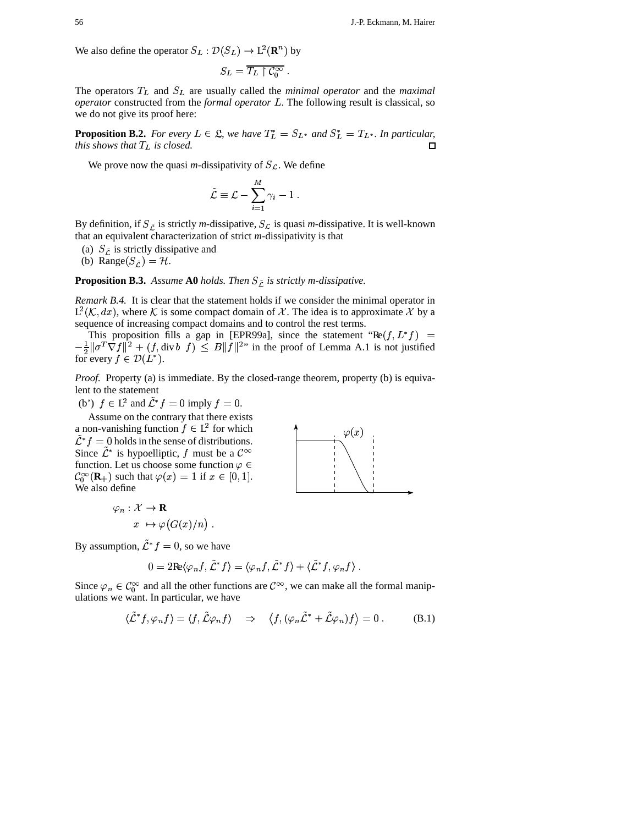We also define the operator  $S_L : \mathcal{D}(S_L) \to L^2(\mathbf{R}^n)$  by

$$
S_L = \overline{T_L \restriction \mathcal{C}_0^\infty} \ .
$$

The operators  $T_L$  and  $S_L$  are usually called the *minimal operator* and the *maximal* operator constructed from the formal operator L. The following result is classical, so we do not give its proof here:

**Proposition B.2.** For every  $L \in \mathcal{L}$ , we have  $T_L^* = S_{L^*}$  and  $S_L^* = T_{L^*}$ . In particular, this shows that  $T_L$  is closed. О

We prove now the quasi *m*-dissipativity of  $S_{\mathcal{L}}$ . We define

$$
\tilde{\mathcal{L}} \equiv \mathcal{L} - \sum_{i=1}^M \gamma_i - 1 \; .
$$

By definition, if  $S_{\tilde{C}}$  is strictly *m*-dissipative,  $S_{\mathcal{L}}$  is quasi *m*-dissipative. It is well-known that an equivalent characterization of strict  $m$ -dissipativity is that

(a)  $S_{\tilde{L}}$  is strictly dissipative and

(b) Range( $S_{\tilde{L}}$ ) = H.

**Proposition B.3.** Assume A0 holds. Then  $S_{\tilde{C}}$  is strictly m-dissipative.

*Remark B.4.* It is clear that the statement holds if we consider the minimal operator in  $L^2(\mathcal{K}, dx)$ , where K is some compact domain of X. The idea is to approximate X by a sequence of increasing compact domains and to control the rest terms.

This proposition fills a gap in [EPR99a], since the statement " $Re(f, L^*f)$  =  $-\frac{1}{2} \|\sigma^T \nabla f\|^2 + (f, \text{div } b f) \leq B \|f\|^2$ " in the proof of Lemma A.1 is not justified for every  $f \in \mathcal{D}(L^*)$ .

*Proof.* Property (a) is immediate. By the closed-range theorem, property (b) is equivalent to the statement

(b')  $f \in L^2$  and  $\tilde{\mathcal{L}}^* f = 0$  imply  $f = 0$ .

Assume on the contrary that there exists a non-vanishing function  $f \in L^2$  for which  $\tilde{\mathcal{L}}^* f = 0$  holds in the sense of distributions. Since  $\mathcal{L}^*$  is hypoelliptic, f must be a  $\mathcal{C}^{\infty}$ function. Let us choose some function  $\varphi \in$  $\mathcal{C}_0^{\infty}(\mathbf{R}_+)$  such that  $\varphi(x) = 1$  if  $x \in [0,1]$ . We also define

$$
\varphi_n : \mathcal{X} \to \mathbf{R}
$$

$$
x \mapsto \varphi(G(x)/n) .
$$



By assumption,  $\tilde{\mathcal{L}}^* f = 0$ , so we have

$$
0 = 2\mathrm{Re}\langle \varphi_n f, \tilde{\mathcal{L}}^* f\rangle = \langle \varphi_n f, \tilde{\mathcal{L}}^* f\rangle + \langle \tilde{\mathcal{L}}^* f, \varphi_n f\rangle.
$$

Since  $\varphi_n \in C_0^{\infty}$  and all the other functions are  $C^{\infty}$ , we can make all the formal manipulations we want. In particular, we have

$$
\langle \tilde{\mathcal{L}}^* f, \varphi_n f \rangle = \langle f, \tilde{\mathcal{L}} \varphi_n f \rangle \quad \Rightarrow \quad \langle f, (\varphi_n \tilde{\mathcal{L}}^* + \tilde{\mathcal{L}} \varphi_n) f \rangle = 0 \ . \tag{B.1}
$$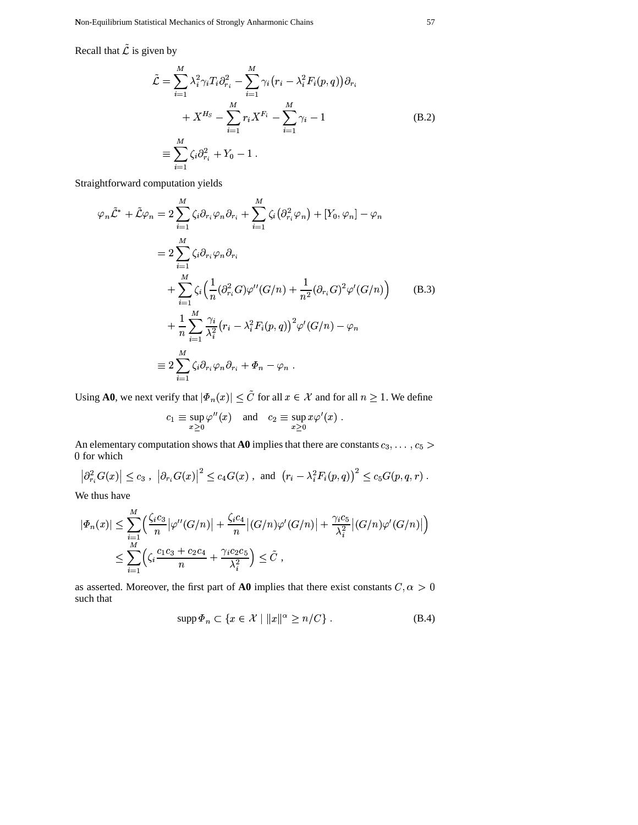Recall that  $\tilde{\mathcal{L}}$  is given by

$$
\tilde{\mathcal{L}} = \sum_{i=1}^{M} \lambda_i^2 \gamma_i T_i \partial_{r_i}^2 - \sum_{i=1}^{M} \gamma_i (r_i - \lambda_i^2 F_i(p, q)) \partial_{r_i} \n+ X^{H_S} - \sum_{i=1}^{M} r_i X^{F_i} - \sum_{i=1}^{M} \gamma_i - 1 \n\equiv \sum_{i=1}^{M} \zeta_i \partial_{r_i}^2 + Y_0 - 1.
$$
\n(B.2)

Straightforward computation yields

$$
\varphi_n \tilde{\mathcal{L}}^* + \tilde{\mathcal{L}} \varphi_n = 2 \sum_{i=1}^M \zeta_i \partial_{r_i} \varphi_n \partial_{r_i} + \sum_{i=1}^M \zeta_i (\partial_{r_i}^2 \varphi_n) + [Y_0, \varphi_n] - \varphi_n
$$
  
\n
$$
= 2 \sum_{i=1}^M \zeta_i \partial_{r_i} \varphi_n \partial_{r_i}
$$
  
\n
$$
+ \sum_{i=1}^M \zeta_i \Big( \frac{1}{n} (\partial_{r_i}^2 G) \varphi''(G/n) + \frac{1}{n^2} (\partial_{r_i} G)^2 \varphi'(G/n) \Big)
$$
  
\n
$$
+ \frac{1}{n} \sum_{i=1}^M \frac{\gamma_i}{\lambda_i^2} (r_i - \lambda_i^2 F_i(p, q))^2 \varphi'(G/n) - \varphi_n
$$
  
\n
$$
\equiv 2 \sum_{i=1}^M \zeta_i \partial_{r_i} \varphi_n \partial_{r_i} + \varPhi_n - \varphi_n.
$$
 (B.3)

Using **A0**, we next verify that  $|\Phi_n(x)| \leq \tilde{C}$  for all  $x \in \mathcal{X}$  and for all  $n \geq 1$ . We define

$$
c_1 \equiv \sup_{x \ge 0} \varphi''(x)
$$
 and  $c_2 \equiv \sup_{x \ge 0} x \varphi'(x)$ .

An elementary computation shows that A0 implies that there are constants  $c_3, \ldots, c_5$ 0 for which

$$
\left|\partial_{r_i}^2 G(x)\right| \le c_3 \;, \; \left|\partial_{r_i} G(x)\right|^2 \le c_4 G(x) \;, \; \text{and} \; \left(r_i - \lambda_i^2 F_i(p,q)\right)^2 \le c_5 G(p,q,r) \; .
$$

We thus have

$$
|\Phi_n(x)| \leq \sum_{i=1}^M \left( \frac{\zeta_i c_3}{n} |\varphi''(G/n)| + \frac{\zeta_i c_4}{n} |(G/n)\varphi'(G/n)| + \frac{\gamma_i c_5}{\lambda_i^2} |(G/n)\varphi'(G/n)| \right)
$$
  

$$
\leq \sum_{i=1}^M \left( \zeta_i \frac{c_1 c_3 + c_2 c_4}{n} + \frac{\gamma_i c_2 c_5}{\lambda_i^2} \right) \leq \tilde{C} ,
$$

as asserted. Moreover, the first part of  ${\bf A0}$  implies that there exist constants  $C,\alpha>0$ such that

$$
\operatorname{supp} \Phi_n \subset \{ x \in \mathcal{X} \mid ||x||^\alpha \ge n/C \} . \tag{B.4}
$$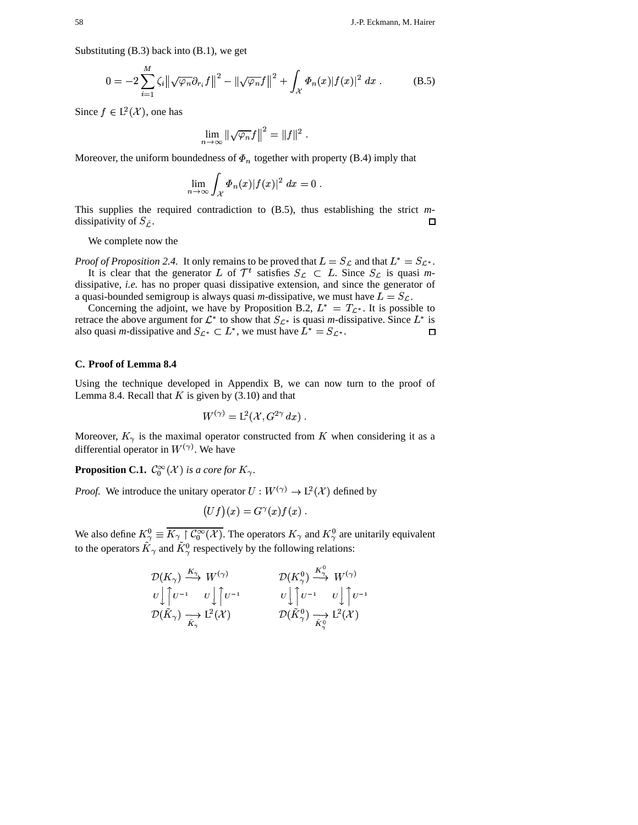Substituting  $(B.3)$  back into  $(B.1)$ , we get

$$
0 = -2 \sum_{i=1}^{M} \zeta_i \| \sqrt{\varphi_n} \partial_{r_i} f \|^2 - \| \sqrt{\varphi_n} f \|^2 + \int_{\mathcal{X}} \Phi_n(x) |f(x)|^2 dx .
$$
 (B.5)

Since  $f \in L^2(\mathcal{X})$ , one has

$$
\lim_{n\to\infty}\left\|\sqrt{\varphi_n}f\right\|^2=\|f\|^2.
$$

Moreover, the uniform boundedness of  $\Phi_n$  together with property (B.4) imply that

$$
\lim_{n\to\infty}\int_{\mathcal{X}}\varPhi_n(x)|f(x)|^2\ dx=0
$$

This supplies the required contradiction to  $(B.5)$ , thus establishing the strict mdissipativity of  $S_{\tilde{L}}$ .  $\Box$ 

We complete now the

*Proof of Proposition 2.4.* It only remains to be proved that  $L = S_{\mathcal{L}}$  and that  $L^* = S_{\mathcal{L}^*}$ . It is clear that the generator L of  $\mathcal{T}^t$  satisfies  $S_{\mathcal{L}} \subset L$ . Since  $S_{\mathcal{L}}$  is quasi mdissipative, *i.e.* has no proper quasi dissipative extension, and since the generator of a quasi-bounded semigroup is always quasi *m*-dissipative, we must have  $L = S_{\mathcal{L}}$ .

Concerning the adjoint, we have by Proposition B.2,  $L^* = T_{\mathcal{L}^*}$ . It is possible to retrace the above argument for  $\mathcal{L}^*$  to show that  $S_{\mathcal{L}^*}$  is quasi *m*-dissipative. Since  $L^*$  is also quasi *m*-dissipative and  $S_{\mathcal{L}^*} \subset L^*$ , we must have  $L^* = S_{\mathcal{L}^*}$ .  $\Box$ 

# C. Proof of Lemma 8.4

Using the technique developed in Appendix B, we can now turn to the proof of Lemma 8.4. Recall that  $K$  is given by (3.10) and that

$$
W^{(\gamma)} = \mathsf{L}^2(\mathcal{X}, G^{2\gamma} dx) .
$$

Moreover,  $K_{\gamma}$  is the maximal operator constructed from K when considering it as a differential operator in  $W^{(\gamma)}$ . We have

**Proposition C.1.**  $\mathcal{C}_0^{\infty}(\mathcal{X})$  is a core for  $K_{\gamma}$ .

*Proof.* We introduce the unitary operator  $U : W^{(\gamma)} \to L^2(\mathcal{X})$  defined by

$$
(Uf)(x) = G^{\gamma}(x)f(x) .
$$

We also define  $K^0_\gamma \equiv \overline{K_\gamma \restriction \mathcal{C}_0^\infty(\mathcal{X})}$ . The operators  $K_\gamma$  and  $K^0_\gamma$  are unitarily equivalent to the operators  $\tilde{K}_{\gamma}$  and  $\tilde{K}_{\gamma}^{0}$  respectively by the following relations:

$$
\mathcal{D}(K_{\gamma}) \xrightarrow{K_{\gamma}} W^{(\gamma)} \qquad \mathcal{D}(K_{\gamma}^0) \xrightarrow{K_{\gamma}^0} W^{(\gamma)}
$$
\n
$$
U \rvert \rvert \nu^{-1} \qquad U \rvert \rvert \nu^{-1} \qquad U \rvert \rvert \rvert \nu^{-1} \qquad U \rvert \rvert \rvert \nu^{-1}
$$
\n
$$
\mathcal{D}(\tilde{K}_{\gamma}) \xrightarrow[K_{\gamma}]{\tilde{K}_{\gamma}} \mathcal{L}^2(\mathcal{X}) \qquad \mathcal{D}(\tilde{K}_{\gamma}^0) \xrightarrow[K_{\gamma}^0]{\tilde{K}_{\gamma}^0} \mathcal{L}^2(\mathcal{X})
$$